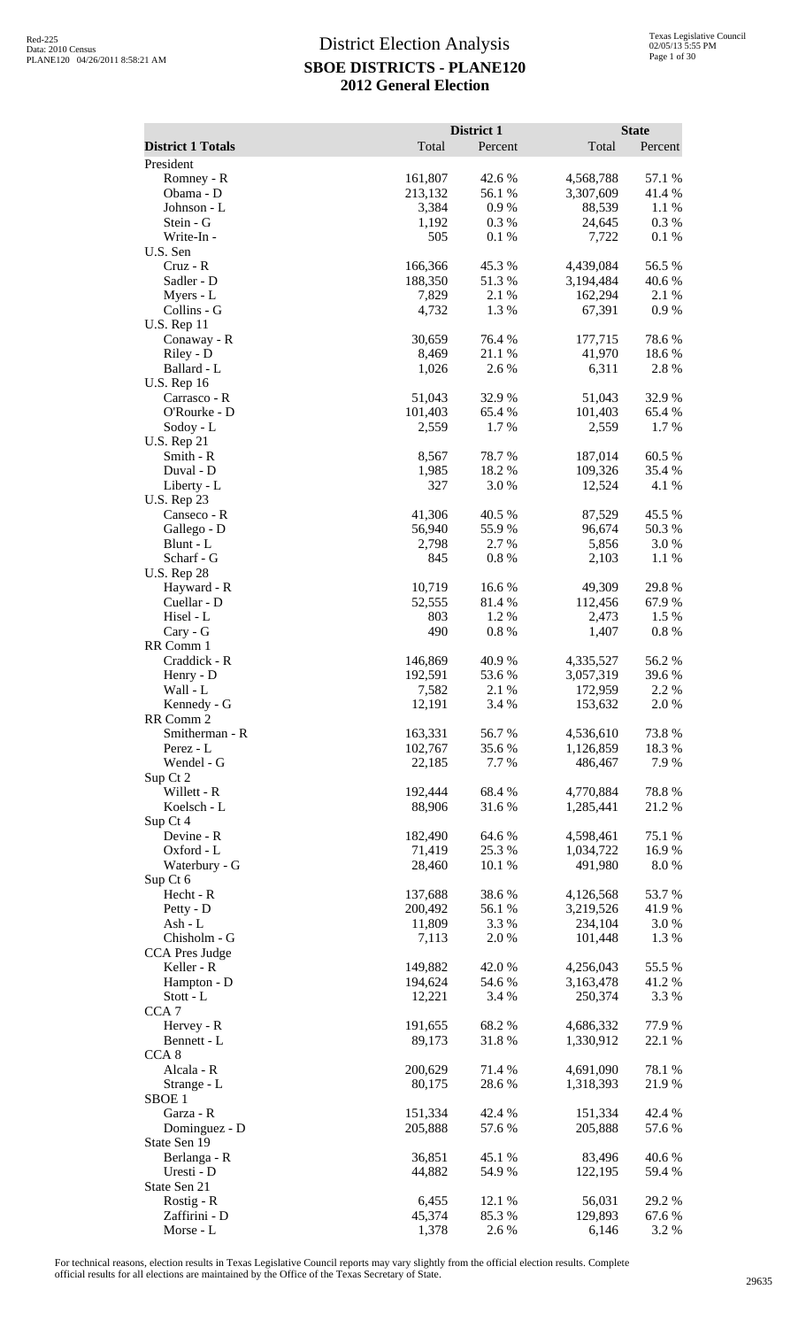|                                |                    | District 1       |                        | <b>State</b>    |
|--------------------------------|--------------------|------------------|------------------------|-----------------|
| <b>District 1 Totals</b>       | Total              | Percent          | Total                  | Percent         |
| President                      |                    |                  |                        |                 |
| Romney - R                     | 161,807            | 42.6 %           | 4,568,788              | 57.1 %          |
| Obama - D                      | 213,132            | 56.1 %           | 3,307,609              | 41.4 %          |
| Johnson - L                    | 3,384              | $0.9\ \%$        | 88,539                 | 1.1 %           |
| Stein - G<br>Write-In -        | 1,192<br>505       | 0.3%<br>0.1 %    | 24,645<br>7,722        | 0.3%<br>0.1%    |
| U.S. Sen                       |                    |                  |                        |                 |
| $Cruz - R$                     | 166,366            | 45.3 %           | 4,439,084              | 56.5 %          |
| Sadler - D                     | 188,350            | 51.3 %           | 3,194,484              | 40.6%           |
| Myers - L                      | 7,829              | 2.1 %            | 162,294                | 2.1 %           |
| Collins - G                    | 4,732              | 1.3%             | 67,391                 | 0.9 %           |
| <b>U.S. Rep 11</b>             |                    |                  |                        |                 |
| Conaway - R                    | 30,659             | 76.4 %<br>21.1 % | 177,715<br>41,970      | 78.6%<br>18.6%  |
| Riley - D<br>Ballard - L       | 8,469<br>1,026     | 2.6 %            | 6,311                  | 2.8%            |
| <b>U.S. Rep 16</b>             |                    |                  |                        |                 |
| Carrasco - R                   | 51,043             | 32.9%            | 51,043                 | 32.9%           |
| O'Rourke - D                   | 101,403            | 65.4 %           | 101,403                | 65.4 %          |
| Sodoy - L                      | 2,559              | 1.7%             | 2,559                  | 1.7%            |
| <b>U.S. Rep 21</b>             |                    |                  |                        |                 |
| Smith - R                      | 8,567              | 78.7%            | 187,014                | 60.5 %          |
| Duval - D<br>Liberty - L       | 1,985<br>327       | 18.2 %<br>3.0 %  | 109,326<br>12,524      | 35.4 %<br>4.1 % |
| <b>U.S. Rep 23</b>             |                    |                  |                        |                 |
| Canseco - R                    | 41,306             | 40.5 %           | 87,529                 | 45.5 %          |
| Gallego - D                    | 56,940             | 55.9%            | 96,674                 | 50.3 %          |
| Blunt - L                      | 2,798              | 2.7 %            | 5,856                  | 3.0%            |
| Scharf - G                     | 845                | 0.8 %            | 2,103                  | 1.1 %           |
| <b>U.S. Rep 28</b>             |                    |                  |                        |                 |
| Hayward - R                    | 10,719             | 16.6%            | 49,309                 | 29.8 %          |
| Cuellar - D<br>Hisel - L       | 52,555<br>803      | 81.4 %<br>1.2%   | 112,456<br>2,473       | 67.9%<br>1.5 %  |
| Cary - G                       | 490                | 0.8 %            | 1,407                  | $0.8\ \%$       |
| RR Comm 1                      |                    |                  |                        |                 |
| Craddick - R                   | 146,869            | 40.9 %           | 4,335,527              | 56.2%           |
| Henry - D                      | 192,591            | 53.6 %           | 3,057,319              | 39.6 %          |
| Wall - L                       | 7,582              | 2.1 %            | 172,959                | 2.2 %           |
| Kennedy - G                    | 12,191             | 3.4 %            | 153,632                | 2.0%            |
| RR Comm 2<br>Smitherman - R    | 163,331            | 56.7%            | 4,536,610              | 73.8%           |
| Perez - L                      | 102,767            | 35.6%            | 1,126,859              | 18.3%           |
| Wendel - G                     | 22,185             | 7.7 %            | 486,467                | 7.9%            |
| Sup Ct 2                       |                    |                  |                        |                 |
| Willett - R                    | 192,444            | 68.4%            | 4,770,884              | 78.8%           |
| Koelsch - L                    | 88,906             | 31.6%            | 1,285,441              | 21.2%           |
| Sup Ct 4                       |                    |                  |                        |                 |
| Devine - R<br>Oxford - L       | 182,490<br>71,419  | 64.6 %<br>25.3 % | 4,598,461<br>1,034,722 | 75.1 %<br>16.9% |
| Waterbury - G                  | 28,460             | 10.1 %           | 491,980                | 8.0%            |
| Sup Ct 6                       |                    |                  |                        |                 |
| Hecht - R                      | 137,688            | 38.6%            | 4,126,568              | 53.7%           |
| Petty - D                      | 200,492            | 56.1 %           | 3,219,526              | 41.9%           |
| Ash - L                        | 11,809             | 3.3 %            | 234,104                | 3.0 %           |
| Chisholm - G                   | 7,113              | 2.0%             | 101,448                | 1.3%            |
| <b>CCA Pres Judge</b>          |                    |                  |                        |                 |
| Keller - R<br>Hampton - D      | 149,882<br>194,624 | 42.0%<br>54.6 %  | 4,256,043<br>3,163,478 | 55.5 %<br>41.2% |
| Stott - L                      | 12,221             | 3.4 %            | 250,374                | 3.3 %           |
| CCA <sub>7</sub>               |                    |                  |                        |                 |
| Hervey - R                     | 191,655            | 68.2%            | 4,686,332              | 77.9%           |
| Bennett - L                    | 89,173             | 31.8%            | 1,330,912              | 22.1 %          |
| CCA <sub>8</sub>               |                    |                  |                        |                 |
| Alcala - R                     | 200,629            | 71.4 %           | 4,691,090              | 78.1 %          |
| Strange - L                    | 80,175             | 28.6%            | 1,318,393              | 21.9%           |
| SBOE <sub>1</sub><br>Garza - R | 151,334            | 42.4 %           | 151,334                | 42.4 %          |
| Dominguez - D                  | 205,888            | 57.6 %           | 205,888                | 57.6 %          |
| State Sen 19                   |                    |                  |                        |                 |
| Berlanga - R                   | 36,851             | 45.1 %           | 83,496                 | 40.6%           |
| Uresti - D                     | 44,882             | 54.9%            | 122,195                | 59.4%           |
| State Sen 21                   |                    |                  |                        |                 |
| Rostig - R                     | 6,455              | 12.1 %           | 56,031                 | 29.2 %          |
| Zaffirini - D                  | 45,374<br>1,378    | 85.3%            | 129,893                | 67.6 %          |
| Morse - L                      |                    | 2.6%             | 6,146                  | 3.2 %           |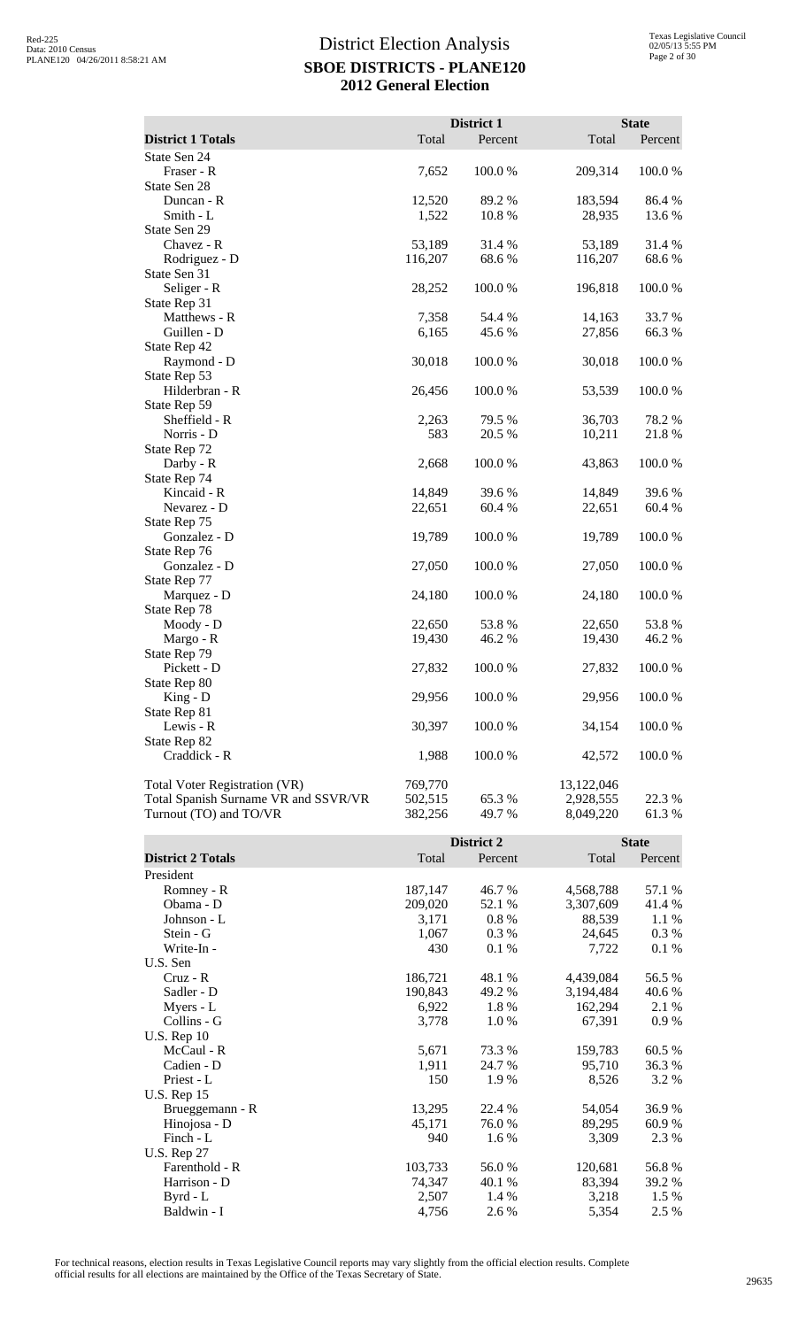|                                      |         | District 1 |            | <b>State</b> |
|--------------------------------------|---------|------------|------------|--------------|
| <b>District 1 Totals</b>             | Total   | Percent    | Total      | Percent      |
| State Sen 24                         |         |            |            |              |
| Fraser - R                           | 7,652   | 100.0%     | 209,314    | 100.0%       |
| State Sen 28                         |         |            |            |              |
| Duncan - R                           | 12,520  | 89.2%      | 183,594    | 86.4%        |
| Smith - L                            | 1,522   | 10.8 %     | 28,935     | 13.6 %       |
| State Sen 29                         |         |            |            |              |
| Chavez - R                           | 53,189  | 31.4 %     | 53,189     | 31.4 %       |
| Rodriguez - D                        | 116,207 | 68.6%      | 116,207    | 68.6%        |
| State Sen 31                         |         |            |            |              |
| Seliger - R                          | 28,252  | 100.0%     | 196,818    | 100.0%       |
| State Rep 31                         |         |            |            |              |
| Matthews - R                         | 7,358   | 54.4 %     | 14,163     | 33.7%        |
| Guillen - D                          | 6,165   | 45.6%      | 27,856     | 66.3%        |
| State Rep 42                         |         |            |            |              |
| Raymond - D                          | 30,018  | 100.0%     | 30,018     | 100.0%       |
| State Rep 53<br>Hilderbran - R       | 26,456  | 100.0%     | 53,539     | 100.0%       |
| State Rep 59                         |         |            |            |              |
| Sheffield - R                        | 2,263   | 79.5 %     | 36,703     | 78.2 %       |
| Norris - D                           | 583     | 20.5 %     | 10,211     | 21.8%        |
| State Rep 72                         |         |            |            |              |
| Darby - R                            | 2,668   | 100.0%     | 43,863     | 100.0%       |
| State Rep 74                         |         |            |            |              |
| Kincaid - R                          | 14,849  | 39.6%      | 14,849     | 39.6%        |
| Nevarez - D                          | 22,651  | 60.4%      | 22,651     | 60.4%        |
| State Rep 75                         |         |            |            |              |
| Gonzalez - D                         | 19,789  | 100.0%     | 19,789     | 100.0%       |
| State Rep 76                         |         |            |            |              |
| Gonzalez - D                         | 27,050  | 100.0%     | 27,050     | 100.0%       |
| State Rep 77                         |         |            |            |              |
| Marquez - D                          | 24,180  | 100.0%     | 24,180     | 100.0%       |
| State Rep 78                         |         |            |            |              |
| Moody - D                            | 22,650  | 53.8%      | 22,650     | 53.8%        |
| Margo - R                            | 19,430  | 46.2%      | 19,430     | 46.2%        |
| State Rep 79                         |         |            |            |              |
| Pickett - D                          | 27,832  | 100.0%     | 27,832     | 100.0 %      |
| State Rep 80                         |         |            |            |              |
| King - D                             | 29,956  | 100.0 %    | 29,956     | 100.0%       |
| State Rep 81<br>Lewis - R            | 30,397  | 100.0%     | 34,154     | 100.0%       |
| State Rep 82                         |         |            |            |              |
| Craddick - R                         | 1,988   | 100.0%     | 42,572     | 100.0%       |
|                                      |         |            |            |              |
| Total Voter Registration (VR)        | 769,770 |            | 13,122,046 |              |
| Total Spanish Surname VR and SSVR/VR | 502,515 | 65.3 %     | 2,928,555  | 22.3 %       |
| Turnout (TO) and TO/VR               | 382,256 | 49.7 %     | 8,049,220  | 61.3%        |
|                                      |         |            |            |              |
|                                      |         | District 2 |            | <b>State</b> |
| <b>District 2 Totals</b>             | Total   | Percent    | Total      | Percent      |
| President                            |         |            |            |              |
| Romney - R                           | 187,147 | 46.7%      | 4,568,788  | 57.1 %       |
| Obama - D                            | 209,020 | 52.1 %     | 3,307,609  | 41.4 %       |
| Johnson - L                          | 3,171   | 0.8%       | 88,539     | 1.1 %        |
| Stein - G                            | 1,067   | 0.3%       | 24,645     | 0.3 %        |
| Write-In -                           | 430     | 0.1%       | 7,722      | 0.1%         |
| U.S. Sen                             |         |            |            |              |
| Cruz - R                             | 186,721 | 48.1 %     | 4,439,084  | 56.5 %       |
| Sadler - D                           | 190,843 | 49.2 %     | 3,194,484  | 40.6 %       |
| Myers - L                            | 6,922   | 1.8%       | 162,294    | 2.1 %        |
| Collins - G                          | 3,778   | 1.0%       | 67,391     | 0.9 %        |

McCaul - R<br>
Cadien - D<br>
Cadien - D<br>
Cadien - D<br>
Catien - D<br>
Cadien - D<br>
Cadien - D<br>
Cadien - D<br>
Cadien - D<br>
Cadien - D<br>
Cadien - D<br>
Cadien - D<br>
Cadien - D<br>
Cadien - D<br>
Cadien - D<br>
Cadien - D<br>
Cadien - D<br>
Cadien - D<br>
Cadien Cadien - D<br>
Priest - L<br>
24.7 % 95,710 36.3 %<br>
1,911 24.7 % 95,710 36.3 %<br>
3.2 % Priest - L  $150$  1.9 % 8,526 3.2 %

Brueggemann - R 13,295 22.4 % 54,054 36.9 % Hinojosa - D<br>
Finch - L<br>  $\begin{array}{ccc} 45,171 & 76.0 % & 89,295 & 60.9 % \\ 940 & 1.6 % & 3,309 & 2.3 % \\ \end{array}$ Finch - L 6  $\frac{940}{1.6\%}$   $\frac{3,309}{2.3\%}$   $\frac{2.3\%}{2.3\%}$ 

Farenthold - R<br>
Harrison - D<br>
Tanglad - R<br>
Tanglad - R<br>
Tanglad - R<br>
Tanglad - R<br>
Tanglad - R<br>
Tanglad - R<br>
Tanglad - R<br>
Tanglad - R<br>
Tanglad - R<br>
Tanglad - R<br>
Tanglad - R<br>
Tanglad - R<br>
Tanglad - R<br>
Tanglad - R<br>
Tanglad - Harrison - D<br>Byrd - L<br>2,507 1.4% 83,394 39.2 %<br>3,218 1.5 % Byrd - L 2,507 1.4 % 3,218 1.5 % Baldwin - I  $4,756$   $2.6\%$   $5,354$   $2.5\%$ 

For technical reasons, election results in Texas Legislative Council reports may vary slightly from the official election results. Complete official results for all elections are maintained by the Office of the Texas Secretary of State. <sup>29635</sup>

Collins - G U.S. Rep 10

U.S. Rep 15

U.S. Rep 27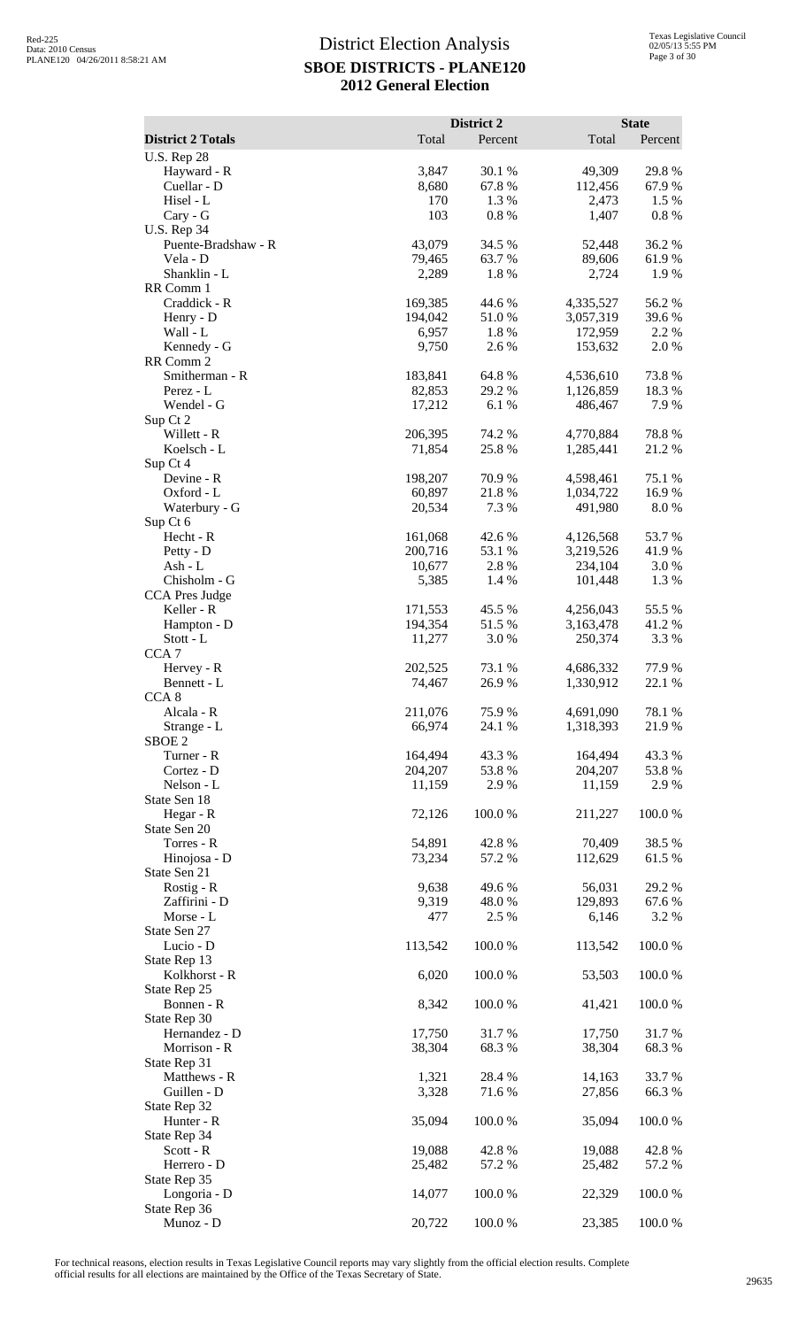|                                   |                    | District 2      |                        | <b>State</b>    |
|-----------------------------------|--------------------|-----------------|------------------------|-----------------|
| <b>District 2 Totals</b>          | Total              | Percent         | Total                  | Percent         |
| <b>U.S. Rep 28</b><br>Hayward - R | 3,847              | 30.1 %          | 49,309                 | 29.8%           |
| Cuellar - D                       | 8,680              | 67.8%           | 112,456                | 67.9%           |
| Hisel - L                         | 170                | 1.3 %           | 2,473                  | 1.5 %           |
| Cary - G<br><b>U.S. Rep 34</b>    | 103                | 0.8 %           | 1,407                  | $0.8\ \%$       |
| Puente-Bradshaw - R               | 43,079             | 34.5 %          | 52,448                 | 36.2%           |
| Vela - D                          | 79,465             | 63.7%           | 89,606                 | 61.9%           |
| Shanklin - L                      | 2,289              | 1.8%            | 2,724                  | 1.9%            |
| RR Comm 1<br>Craddick - R         | 169,385            | 44.6 %          | 4,335,527              | 56.2%           |
| Henry - D                         | 194,042            | 51.0 %          | 3,057,319              | 39.6%           |
| Wall - L                          | 6,957              | 1.8%            | 172,959                | 2.2 %           |
| Kennedy - G<br>RR Comm 2          | 9,750              | 2.6 %           | 153,632                | 2.0%            |
| Smitherman - R                    | 183,841            | 64.8%           | 4,536,610              | 73.8%           |
| Perez - L                         | 82,853             | 29.2 %          | 1,126,859              | 18.3%           |
| Wendel - G                        | 17,212             | 6.1%            | 486,467                | 7.9%            |
| Sup Ct 2<br>Willett - R           | 206,395            | 74.2 %          | 4,770,884              | 78.8%           |
| Koelsch - L                       | 71,854             | 25.8 %          | 1,285,441              | 21.2%           |
| Sup Ct 4                          |                    |                 |                        |                 |
| Devine - R<br>Oxford - L          | 198,207<br>60,897  | 70.9%<br>21.8%  | 4,598,461<br>1,034,722 | 75.1 %<br>16.9% |
| Waterbury - G                     | 20,534             | 7.3 %           | 491,980                | 8.0%            |
| Sup Ct 6                          |                    |                 |                        |                 |
| Hecht - R                         | 161,068            | 42.6 %          | 4,126,568              | 53.7%           |
| Petty - D<br>Ash - L              | 200,716<br>10,677  | 53.1 %<br>2.8%  | 3,219,526<br>234,104   | 41.9%<br>3.0%   |
| Chisholm - G                      | 5,385              | 1.4 %           | 101,448                | 1.3%            |
| <b>CCA Pres Judge</b>             |                    |                 |                        |                 |
| Keller - R<br>Hampton - D         | 171,553<br>194,354 | 45.5 %<br>51.5% | 4,256,043<br>3,163,478 | 55.5 %<br>41.2% |
| Stott - L                         | 11,277             | 3.0%            | 250,374                | 3.3 %           |
| CCA <sub>7</sub>                  |                    |                 |                        |                 |
| Hervey - R                        | 202,525            | 73.1 %          | 4,686,332              | 77.9 %          |
| Bennett - L<br>CCA <sub>8</sub>   | 74,467             | 26.9%           | 1,330,912              | 22.1 %          |
| Alcala - R                        | 211,076            | 75.9%           | 4,691,090              | 78.1 %          |
| Strange - L                       | 66,974             | 24.1 %          | 1,318,393              | 21.9%           |
| SBOE <sub>2</sub><br>Turner - R   | 164,494            | 43.3 %          | 164,494                | 43.3%           |
| Cortez - D                        | 204,207            | 53.8%           | 204,207                | 53.8%           |
| Nelson - L                        | 11,159             | 2.9%            | 11,159                 | 2.9%            |
| State Sen 18<br>Hegar - R         | 72,126             | 100.0%          | 211,227                | 100.0%          |
| State Sen 20                      |                    |                 |                        |                 |
| Torres - R                        | 54,891             | 42.8%           | 70,409                 | 38.5%           |
| Hinojosa - D                      | 73,234             | 57.2 %          | 112,629                | 61.5%           |
| State Sen 21<br>Rostig - R        | 9,638              | 49.6%           | 56,031                 | 29.2 %          |
| Zaffirini - D                     | 9,319              | 48.0%           | 129,893                | 67.6 %          |
| Morse - L                         | 477                | 2.5 %           | 6,146                  | 3.2 %           |
| State Sen 27<br>Lucio - D         | 113,542            | 100.0%          | 113,542                | 100.0%          |
| State Rep 13                      |                    |                 |                        |                 |
| Kolkhorst - R                     | 6,020              | 100.0%          | 53,503                 | 100.0%          |
| State Rep 25                      |                    |                 |                        |                 |
| Bonnen - R<br>State Rep 30        | 8,342              | 100.0%          | 41,421                 | 100.0%          |
| Hernandez - D                     | 17,750             | 31.7%           | 17,750                 | 31.7%           |
| Morrison - R                      | 38,304             | 68.3%           | 38,304                 | 68.3%           |
| State Rep 31<br>Matthews - R      | 1,321              | 28.4 %          | 14,163                 | 33.7 %          |
| Guillen - D                       | 3,328              | 71.6%           | 27,856                 | 66.3%           |
| State Rep 32                      |                    |                 |                        |                 |
| Hunter - R                        | 35,094             | 100.0%          | 35,094                 | 100.0%          |
| State Rep 34<br>$Scott - R$       | 19,088             | 42.8%           | 19,088                 | 42.8%           |
| Herrero - D                       | 25,482             | 57.2 %          | 25,482                 | 57.2 %          |
| State Rep 35                      |                    |                 |                        |                 |
| Longoria - D<br>State Rep 36      | 14,077             | 100.0%          | 22,329                 | 100.0%          |
| Munoz - D                         | 20,722             | 100.0%          | 23,385                 | 100.0%          |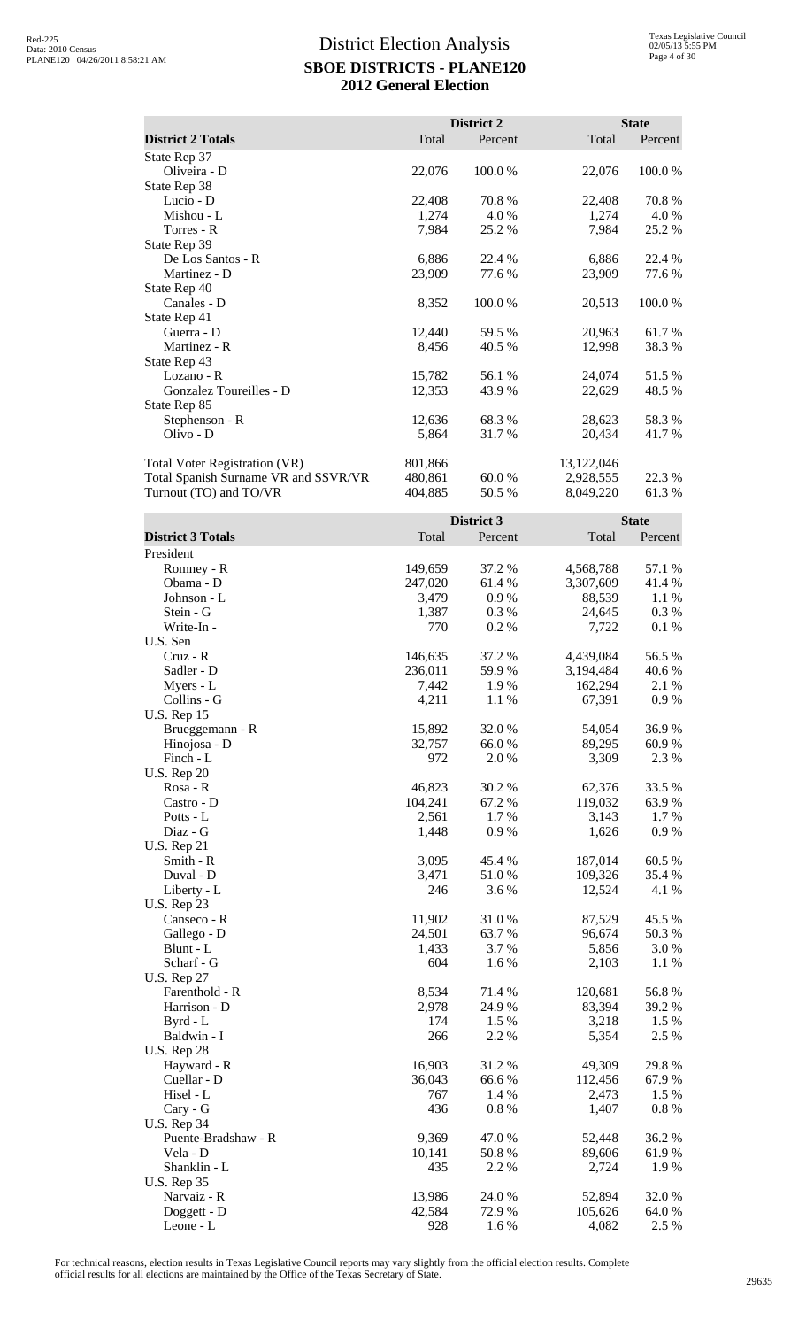|                                      |         | District 2 |            | <b>State</b> |
|--------------------------------------|---------|------------|------------|--------------|
| <b>District 2 Totals</b>             | Total   | Percent    | Total      | Percent      |
| State Rep 37                         |         |            |            |              |
| Oliveira - D                         | 22,076  | 100.0%     | 22,076     | 100.0%       |
| State Rep 38                         |         |            |            |              |
| Lucio - D                            | 22,408  | 70.8 %     | 22,408     | 70.8%        |
| Mishou - L                           | 1,274   | 4.0 %      | 1,274      | 4.0 %        |
| Torres - R                           | 7,984   | 25.2 %     | 7,984      | 25.2 %       |
| State Rep 39                         |         |            |            |              |
| De Los Santos - R                    | 6,886   | 22.4 %     | 6,886      | 22.4 %       |
| Martinez - D                         | 23,909  | 77.6 %     | 23,909     | 77.6 %       |
| State Rep 40                         |         |            |            |              |
| Canales - D                          | 8,352   | 100.0 %    | 20,513     | 100.0%       |
| State Rep 41                         |         |            |            |              |
| Guerra - D                           | 12,440  | 59.5 %     | 20,963     | 61.7 %       |
| Martinez - R                         | 8,456   | 40.5 %     | 12,998     | 38.3%        |
| State Rep 43                         |         |            |            |              |
| Lozano - R                           | 15,782  | 56.1 %     | 24,074     | 51.5 %       |
| Gonzalez Toureilles - D              | 12,353  | 43.9 %     | 22,629     | 48.5 %       |
| State Rep 85                         |         |            |            |              |
| Stephenson - R                       | 12,636  | 68.3 %     | 28,623     | 58.3 %       |
| Olivo - D                            | 5,864   | 31.7 %     | 20,434     | 41.7 %       |
| Total Voter Registration (VR)        | 801,866 |            | 13,122,046 |              |
| Total Spanish Surname VR and SSVR/VR | 480,861 | 60.0 %     | 2,928,555  | 22.3 %       |
| Turnout (TO) and TO/VR               | 404,885 | 50.5 %     | 8,049,220  | 61.3%        |

|                          |         | District 3 |           | <b>State</b> |
|--------------------------|---------|------------|-----------|--------------|
| <b>District 3 Totals</b> | Total   | Percent    | Total     | Percent      |
| President                |         |            |           |              |
| Romney - R               | 149,659 | 37.2 %     | 4,568,788 | 57.1 %       |
| Obama - D                | 247,020 | 61.4%      | 3,307,609 | 41.4%        |
| Johnson - L              | 3,479   | 0.9%       | 88,539    | 1.1 %        |
| Stein - G                | 1,387   | 0.3%       | 24,645    | 0.3%         |
| Write-In -               | 770     | 0.2%       | 7,722     | 0.1 %        |
| U.S. Sen                 |         |            |           |              |
| $Cruz - R$               | 146,635 | 37.2 %     | 4,439,084 | 56.5 %       |
| Sadler - D               | 236,011 | 59.9%      | 3,194,484 | 40.6%        |
| Myers - L                | 7,442   | 1.9%       | 162,294   | 2.1 %        |
| Collins - G              | 4,211   | 1.1 %      | 67,391    | 0.9%         |
| <b>U.S. Rep 15</b>       |         |            |           |              |
| Brueggemann - R          | 15,892  | 32.0%      | 54,054    | 36.9%        |
| Hinojosa - D             | 32,757  | 66.0%      | 89,295    | 60.9%        |
| Finch - L                | 972     | 2.0%       | 3,309     | 2.3 %        |
| <b>U.S. Rep 20</b>       |         |            |           |              |
| Rosa - R                 | 46,823  | 30.2%      | 62,376    | 33.5 %       |
| Castro - D               | 104,241 | 67.2%      | 119,032   | 63.9%        |
| Potts - L                | 2,561   | 1.7 %      | 3,143     | 1.7%         |
| Diaz - G                 | 1,448   | 0.9%       | 1,626     | 0.9%         |
| <b>U.S. Rep 21</b>       |         |            |           |              |
| Smith - R                | 3,095   | 45.4 %     | 187,014   | 60.5 %       |
| Duval - D                | 3,471   | 51.0%      | 109,326   | 35.4 %       |
| Liberty - L              | 246     | 3.6 %      | 12,524    | 4.1 %        |
| <b>U.S. Rep 23</b>       |         |            |           |              |
| Canseco - R              | 11,902  | 31.0%      | 87,529    | 45.5 %       |
| Gallego - D              | 24,501  | 63.7%      | 96,674    | 50.3%        |
| Blunt - L                | 1,433   | 3.7 %      | 5,856     | 3.0%         |
| Scharf - G               | 604     | 1.6%       | 2,103     | 1.1 %        |
| <b>U.S. Rep 27</b>       |         |            |           |              |
| Farenthold - R           | 8,534   | 71.4 %     | 120,681   | 56.8%        |
| Harrison - D             | 2,978   | 24.9%      | 83,394    | 39.2 %       |
| Byrd - L                 | 174     | 1.5 %      | 3,218     | 1.5 %        |
| Baldwin - I              | 266     | 2.2 %      | 5,354     | 2.5 %        |
| <b>U.S. Rep 28</b>       |         |            |           |              |
| Hayward - R              | 16,903  | 31.2%      | 49,309    | 29.8%        |
| Cuellar - D              | 36,043  | 66.6%      | 112,456   | 67.9%        |
| Hisel - L                | 767     | 1.4 %      | 2,473     | 1.5 %        |
| Cary - G                 | 436     | $0.8\%$    | 1,407     | $0.8\%$      |
| <b>U.S. Rep 34</b>       |         |            |           |              |
| Puente-Bradshaw - R      | 9,369   | 47.0%      | 52,448    | 36.2%        |
| Vela - D                 | 10,141  | 50.8%      | 89,606    | 61.9%        |
| Shanklin - L             | 435     | 2.2 %      | 2,724     | 1.9%         |
| <b>U.S. Rep 35</b>       |         |            |           |              |
| Narvaiz - R              | 13,986  | 24.0 %     | 52,894    | 32.0%        |
| Doggett - D              | 42,584  | 72.9%      | 105,626   | 64.0%        |
| Leone - L                | 928     | 1.6 %      | 4,082     | 2.5 %        |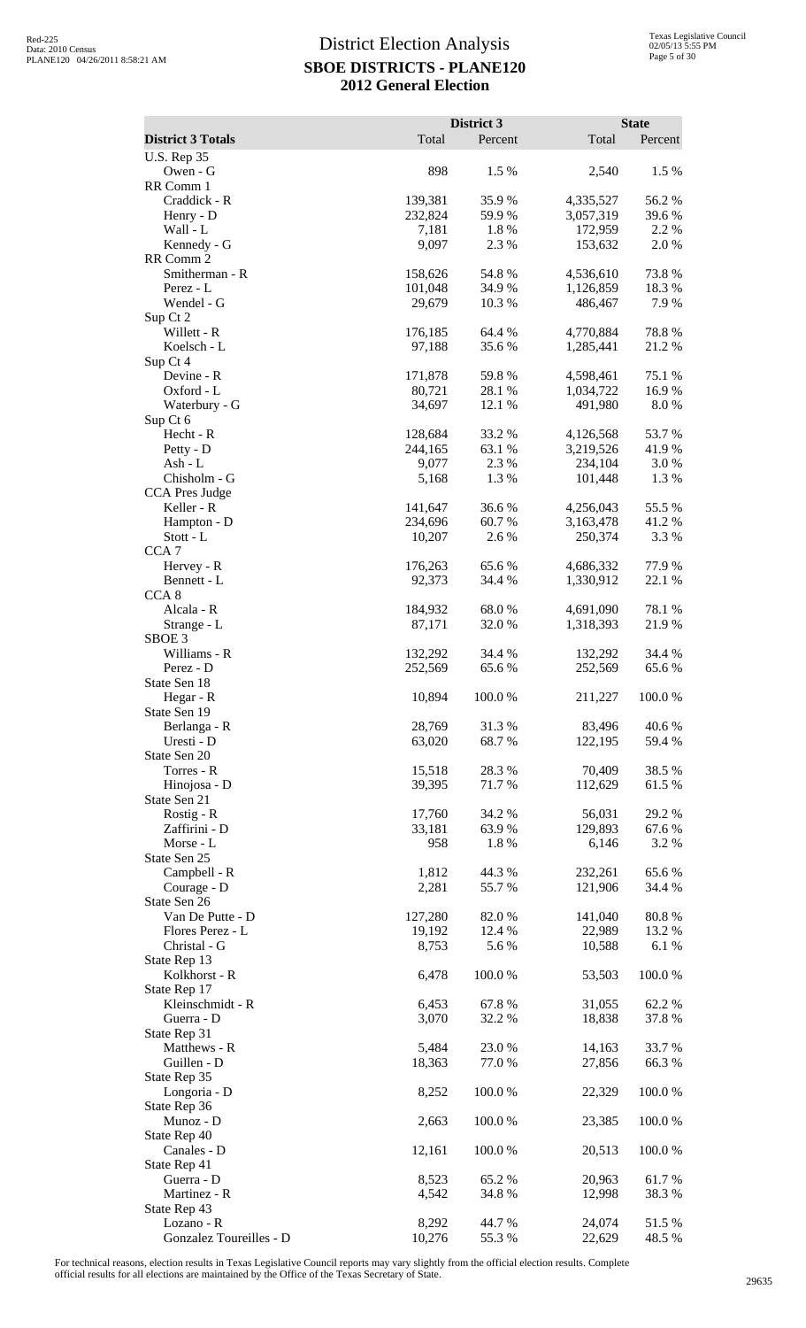|                                       |                   | District 3       |                      | <b>State</b>     |
|---------------------------------------|-------------------|------------------|----------------------|------------------|
| <b>District 3 Totals</b>              | Total             | Percent          | Total                | Percent          |
| <b>U.S. Rep 35</b>                    |                   |                  |                      |                  |
| Owen - G<br>RR Comm 1                 | 898               | 1.5 %            | 2,540                | 1.5 %            |
| Craddick - R                          | 139,381           | 35.9%            | 4,335,527            | 56.2%            |
| Henry - D                             | 232,824           | 59.9 %           | 3,057,319            | 39.6 %           |
| Wall - L                              | 7,181             | 1.8%             | 172,959              | 2.2 %            |
| Kennedy - G<br>RR Comm 2              | 9,097             | 2.3 %            | 153,632              | 2.0%             |
| Smitherman - R                        | 158,626           | 54.8%            | 4,536,610            | 73.8%            |
| Perez - L                             | 101,048           | 34.9%            | 1,126,859            | 18.3%            |
| Wendel - G                            | 29,679            | 10.3%            | 486,467              | 7.9%             |
| Sup Ct 2<br>Willett - R               | 176,185           | 64.4 %           | 4,770,884            | 78.8%            |
| Koelsch - L                           | 97,188            | 35.6%            | 1,285,441            | 21.2%            |
| Sup Ct 4                              |                   |                  |                      |                  |
| Devine - R                            | 171,878           | 59.8%            | 4,598,461            | 75.1 %           |
| Oxford - L<br>Waterbury - G           | 80,721<br>34,697  | 28.1 %<br>12.1 % | 1,034,722<br>491,980 | 16.9%<br>8.0%    |
| Sup Ct 6                              |                   |                  |                      |                  |
| Hecht - R                             | 128,684           | 33.2 %           | 4,126,568            | 53.7%            |
| Petty - D                             | 244,165           | 63.1 %           | 3,219,526            | 41.9%            |
| Ash - L<br>Chisholm - G               | 9,077<br>5,168    | 2.3 %<br>1.3%    | 234,104              | 3.0%<br>1.3%     |
| <b>CCA Pres Judge</b>                 |                   |                  | 101,448              |                  |
| Keller - R                            | 141,647           | 36.6%            | 4,256,043            | 55.5 %           |
| Hampton - D                           | 234,696           | 60.7%            | 3,163,478            | 41.2%            |
| Stott - L                             | 10,207            | 2.6%             | 250,374              | 3.3 %            |
| CCA <sub>7</sub><br>Hervey - R        | 176,263           | 65.6%            | 4,686,332            | 77.9%            |
| Bennett - L                           | 92,373            | 34.4 %           | 1,330,912            | 22.1 %           |
| CCA <sub>8</sub>                      |                   |                  |                      |                  |
| Alcala - R                            | 184,932           | 68.0%            | 4,691,090            | 78.1 %           |
| Strange - L<br>SBOE <sub>3</sub>      | 87,171            | 32.0 %           | 1,318,393            | 21.9%            |
| Williams - R                          | 132,292           | 34.4 %           | 132,292              | 34.4 %           |
| Perez - D                             | 252,569           | 65.6%            | 252,569              | 65.6%            |
| State Sen 18                          |                   |                  |                      |                  |
| Hegar - R<br>State Sen 19             | 10,894            | 100.0 %          | 211.227              | 100.0 %          |
| Berlanga - R                          | 28,769            | 31.3%            | 83,496               | 40.6%            |
| Uresti - D                            | 63,020            | 68.7%            | 122,195              | 59.4 %           |
| State Sen 20                          |                   |                  |                      |                  |
| Torres - R<br>Hinojosa - D            | 15,518<br>39,395  | 28.3%<br>71.7%   | 70,409<br>112,629    | 38.5 %<br>61.5%  |
| State Sen 21                          |                   |                  |                      |                  |
| Rostig - R                            | 17,760            | 34.2 %           | 56,031               | 29.2 %           |
| Zaffirini - D                         | 33,181            | 63.9%            | 129,893              | 67.6%            |
| Morse - L<br>State Sen 25             | 958               | 1.8%             | 6,146                | 3.2 %            |
| Campbell - R                          | 1,812             | 44.3 %           | 232,261              | 65.6 %           |
| Courage - D                           | 2,281             | 55.7%            | 121,906              | 34.4 %           |
| State Sen 26                          |                   |                  |                      |                  |
| Van De Putte - D<br>Flores Perez - L  | 127,280<br>19,192 | 82.0%<br>12.4 %  | 141,040<br>22,989    | 80.8%<br>13.2 %  |
| Christal - G                          | 8,753             | 5.6%             | 10,588               | 6.1%             |
| State Rep 13                          |                   |                  |                      |                  |
| Kolkhorst - R                         | 6,478             | 100.0%           | 53,503               | 100.0%           |
| State Rep 17<br>Kleinschmidt - R      | 6,453             | 67.8%            | 31,055               | 62.2%            |
| Guerra - D                            | 3,070             | 32.2 %           | 18,838               | 37.8%            |
| State Rep 31                          |                   |                  |                      |                  |
| Matthews - R                          | 5,484             | 23.0%            | 14,163               | 33.7 %           |
| Guillen - D                           | 18,363            | 77.0 %           | 27,856               | 66.3%            |
| State Rep 35<br>Longoria - D          | 8,252             | 100.0%           | 22,329               | 100.0%           |
| State Rep 36                          |                   |                  |                      |                  |
| Munoz - D                             | 2,663             | 100.0%           | 23,385               | 100.0%           |
| State Rep 40                          |                   |                  |                      |                  |
| Canales - D<br>State Rep 41           | 12,161            | 100.0%           | 20,513               | 100.0%           |
| Guerra - D                            | 8,523             | 65.2%            | 20,963               | 61.7%            |
| Martinez - R                          | 4,542             | 34.8%            | 12,998               | 38.3%            |
| State Rep 43                          |                   |                  |                      |                  |
| Lozano - R<br>Gonzalez Toureilles - D | 8,292<br>10,276   | 44.7%<br>55.3%   | 24,074<br>22,629     | 51.5 %<br>48.5 % |
|                                       |                   |                  |                      |                  |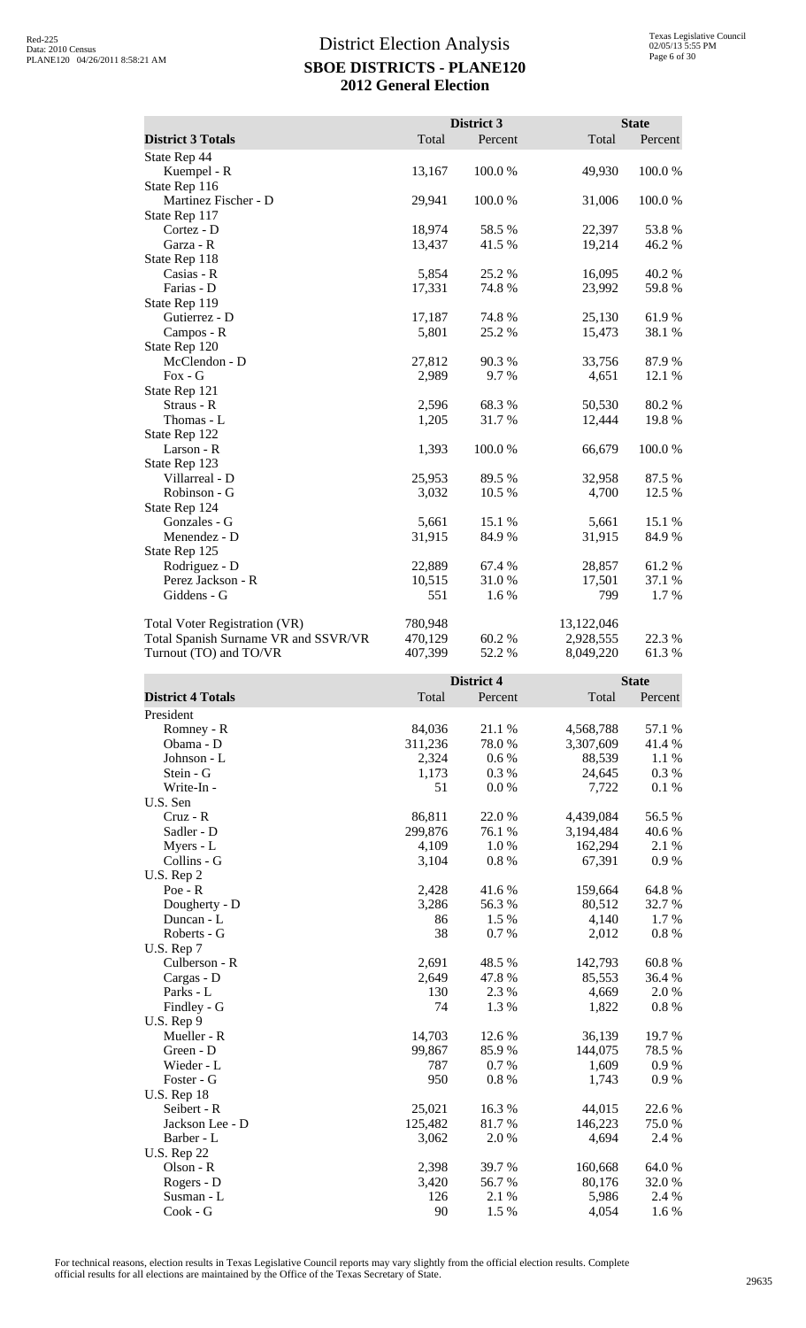|                                      |         | District 3 |            | <b>State</b> |
|--------------------------------------|---------|------------|------------|--------------|
| <b>District 3 Totals</b>             | Total   | Percent    | Total      | Percent      |
| State Rep 44                         |         |            |            |              |
| Kuempel - R                          | 13,167  | 100.0%     | 49,930     | 100.0%       |
| State Rep 116                        |         |            |            |              |
| Martinez Fischer - D                 | 29,941  | 100.0%     | 31,006     | 100.0%       |
| State Rep 117                        |         |            |            |              |
| Cortez - D                           | 18,974  | 58.5 %     | 22,397     | 53.8%        |
| Garza - R                            | 13,437  | 41.5 %     | 19,214     | 46.2 %       |
| State Rep 118                        |         |            |            |              |
| Casias - R                           | 5,854   | 25.2 %     | 16,095     | 40.2%        |
| Farias - D                           | 17,331  | 74.8%      | 23,992     | 59.8%        |
| State Rep 119                        |         |            |            |              |
| Gutierrez - D                        | 17,187  | 74.8%      | 25,130     | 61.9%        |
| Campos - R                           | 5,801   | 25.2 %     | 15,473     | 38.1 %       |
| State Rep 120                        |         |            |            |              |
| McClendon - D                        | 27,812  | 90.3%      | 33,756     | 87.9%        |
| $Fox - G$                            | 2,989   | 9.7%       | 4,651      | 12.1 %       |
| State Rep 121                        |         |            |            |              |
| Straus - R                           | 2,596   | 68.3%      | 50,530     | 80.2%        |
| Thomas - L                           | 1,205   | 31.7 %     | 12,444     | 19.8%        |
| State Rep 122                        |         |            |            |              |
| Larson - R                           | 1,393   | 100.0%     | 66,679     | 100.0%       |
| State Rep 123                        |         |            |            |              |
| Villarreal - D                       | 25,953  | 89.5 %     | 32,958     | 87.5 %       |
| Robinson - G                         | 3,032   | 10.5 %     | 4,700      | 12.5 %       |
| State Rep 124                        |         |            |            |              |
| Gonzales - G                         | 5,661   | 15.1 %     | 5,661      | 15.1 %       |
| Menendez - D                         | 31,915  | 84.9%      | 31,915     | 84.9%        |
| State Rep 125                        |         |            |            |              |
| Rodriguez - D                        | 22,889  | 67.4 %     | 28,857     | 61.2%        |
| Perez Jackson - R                    | 10,515  | 31.0%      | 17,501     | 37.1 %       |
| Giddens - G                          | 551     | 1.6 %      | 799        | 1.7%         |
| <b>Total Voter Registration (VR)</b> | 780,948 |            | 13,122,046 |              |
| Total Spanish Surname VR and SSVR/VR | 470,129 | 60.2 %     | 2,928,555  | 22.3 %       |
| Turnout (TO) and TO/VR               | 407,399 | 52.2 %     | 8,049,220  | 61.3%        |

|                          |         | <b>District 4</b> | <b>State</b> |         |
|--------------------------|---------|-------------------|--------------|---------|
| <b>District 4 Totals</b> | Total   | Percent           | Total        | Percent |
| President                |         |                   |              |         |
| Romney - R               | 84,036  | 21.1 %            | 4,568,788    | 57.1 %  |
| Obama - D                | 311,236 | 78.0%             | 3,307,609    | 41.4%   |
| Johnson - L              | 2,324   | $0.6\,\%$         | 88,539       | 1.1 %   |
| Stein - G                | 1,173   | 0.3 %             | 24,645       | 0.3%    |
| Write-In -               | 51      | 0.0 %             | 7,722        | 0.1 %   |
| U.S. Sen                 |         |                   |              |         |
| $Cruz - R$               | 86,811  | 22.0 %            | 4,439,084    | 56.5 %  |
| Sadler - D               | 299,876 | 76.1 %            | 3,194,484    | 40.6%   |
| Myers - L                | 4,109   | 1.0%              | 162,294      | 2.1 %   |
| Collins - G              | 3,104   | $0.8 \%$          | 67,391       | 0.9%    |
| U.S. Rep 2               |         |                   |              |         |
| $Poe - R$                | 2,428   | 41.6 %            | 159,664      | 64.8%   |
| Dougherty - D            | 3,286   | 56.3%             | 80,512       | 32.7%   |
| Duncan - L               | 86      | 1.5 %             | 4,140        | 1.7 %   |
| Roberts - G              | 38      | 0.7 %             | 2,012        | 0.8 %   |
| U.S. Rep 7               |         |                   |              |         |
| Culberson - R            | 2,691   | 48.5 %            | 142,793      | 60.8%   |
| Cargas - D               | 2,649   | 47.8%             | 85,553       | 36.4 %  |
| Parks - L                | 130     | 2.3 %             | 4,669        | 2.0%    |
| Findley - G              | 74      | 1.3%              | 1,822        | 0.8 %   |
| $U.S.$ Rep $9$           |         |                   |              |         |
| Mueller - R              | 14,703  | 12.6 %            | 36,139       | 19.7%   |
| Green - D                | 99,867  | 85.9%             | 144,075      | 78.5 %  |
| Wieder - L               | 787     | 0.7 %             | 1,609        | 0.9%    |
| Foster - G               | 950     | 0.8 %             | 1,743        | 0.9%    |
| <b>U.S. Rep 18</b>       |         |                   |              |         |
| Seibert - R              | 25,021  | 16.3%             | 44,015       | 22.6 %  |
| Jackson Lee - D          | 125,482 | 81.7%             | 146,223      | 75.0%   |
| Barber - L               | 3,062   | 2.0 %             | 4,694        | 2.4 %   |
| <b>U.S. Rep 22</b>       |         |                   |              |         |
| Olson - R                | 2,398   | 39.7%             | 160,668      | 64.0%   |
| Rogers - D               | 3,420   | 56.7 %            | 80,176       | 32.0%   |
| Susman - L               | 126     | 2.1 %             | 5,986        | 2.4 %   |
| $Cook - G$               | 90      | 1.5 %             | 4,054        | 1.6%    |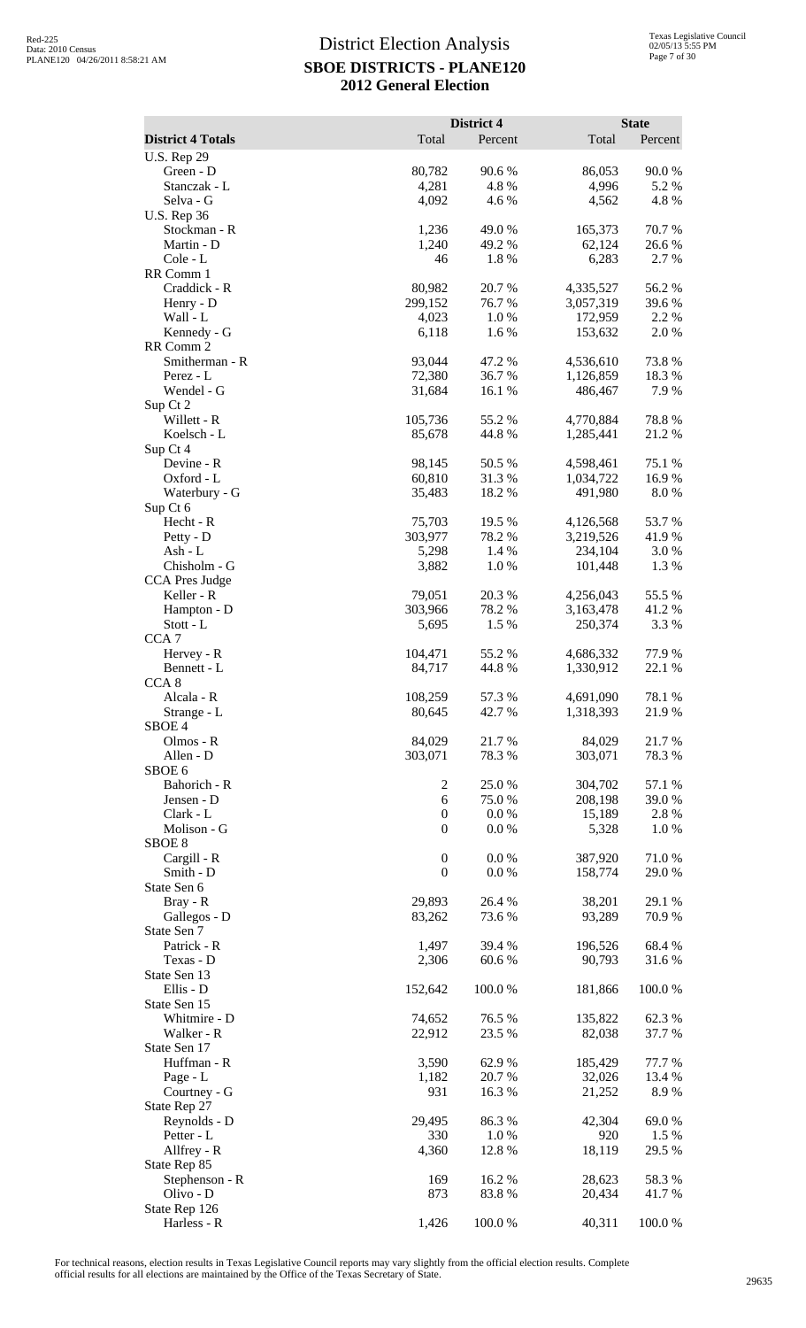|                                  |                                      | District 4       |                        | <b>State</b>     |
|----------------------------------|--------------------------------------|------------------|------------------------|------------------|
| <b>District 4 Totals</b>         | Total                                | Percent          | Total                  | Percent          |
| <b>U.S. Rep 29</b><br>Green - D  | 80,782                               | 90.6%            | 86,053                 | 90.0%            |
| Stanczak - L                     | 4,281                                | 4.8%             | 4,996                  | 5.2 %            |
| Selva - G                        | 4,092                                | 4.6 %            | 4,562                  | 4.8%             |
| <b>U.S. Rep 36</b>               |                                      |                  |                        |                  |
| Stockman - R<br>Martin - D       | 1,236<br>1,240                       | 49.0%<br>49.2%   | 165,373<br>62,124      | 70.7%<br>26.6%   |
| Cole - L                         | 46                                   | 1.8%             | 6,283                  | 2.7 %            |
| RR Comm 1                        |                                      |                  |                        |                  |
| Craddick - R                     | 80,982                               | 20.7%            | 4,335,527              | 56.2%            |
| Henry - D<br>Wall - L            | 299,152<br>4,023                     | 76.7 %<br>$1.0%$ | 3,057,319<br>172,959   | 39.6 %<br>2.2 %  |
| Kennedy - G                      | 6,118                                | 1.6%             | 153,632                | 2.0%             |
| RR Comm 2                        |                                      |                  |                        |                  |
| Smitherman - R                   | 93,044                               | 47.2 %           | 4,536,610              | 73.8%            |
| Perez - L                        | 72,380                               | 36.7%            | 1,126,859              | 18.3 %<br>7.9 %  |
| Wendel - G<br>Sup Ct 2           | 31,684                               | 16.1 %           | 486,467                |                  |
| Willett - R                      | 105,736                              | 55.2 %           | 4,770,884              | 78.8%            |
| Koelsch - L                      | 85,678                               | 44.8%            | 1,285,441              | 21.2%            |
| Sup Ct 4                         |                                      |                  |                        |                  |
| Devine - R<br>Oxford - L         | 98,145<br>60,810                     | 50.5 %<br>31.3%  | 4,598,461<br>1,034,722 | 75.1 %<br>16.9%  |
| Waterbury - G                    | 35,483                               | 18.2 %           | 491,980                | 8.0%             |
| Sup Ct 6                         |                                      |                  |                        |                  |
| Hecht - R                        | 75,703                               | 19.5 %           | 4,126,568              | 53.7%            |
| Petty - D                        | 303,977                              | 78.2 %           | 3,219,526              | 41.9%            |
| Ash - L<br>Chisholm - G          | 5,298<br>3,882                       | 1.4 %<br>1.0%    | 234,104<br>101,448     | 3.0 %<br>1.3 %   |
| <b>CCA Pres Judge</b>            |                                      |                  |                        |                  |
| Keller - R                       | 79,051                               | 20.3 %           | 4,256,043              | 55.5 %           |
| Hampton - D                      | 303,966                              | 78.2%            | 3,163,478              | 41.2 %           |
| Stott - L<br>CCA <sub>7</sub>    | 5,695                                | 1.5 %            | 250,374                | 3.3 %            |
| Hervey - R                       | 104,471                              | 55.2 %           | 4,686,332              | 77.9 %           |
| Bennett - L                      | 84,717                               | 44.8%            | 1,330,912              | 22.1 %           |
| CCA <sub>8</sub>                 |                                      |                  |                        |                  |
| Alcala - R                       | 108,259                              | 57.3 %           | 4,691,090              | 78.1 %           |
| Strange - L<br>SBOE <sub>4</sub> | 80,645                               | 42.7 %           | 1,318,393              | 21.9%            |
| Olmos - R                        | 84,029                               | 21.7%            | 84,029                 | 21.7 %           |
| Allen - D                        | 303,071                              | 78.3 %           | 303,071                | 78.3%            |
| SBOE <sub>6</sub>                |                                      |                  |                        |                  |
| Bahorich - R<br>Jensen - D       | $\overline{c}$<br>6                  | 25.0%<br>75.0%   | 304,702<br>208,198     | 57.1 %<br>39.0 % |
| Clark - L                        | $\boldsymbol{0}$                     | 0.0 %            | 15,189                 | 2.8%             |
| Molison - G                      | $\boldsymbol{0}$                     | 0.0 %            | 5,328                  | 1.0%             |
| SBOE <sub>8</sub>                |                                      |                  |                        |                  |
| Cargill - R<br>Smith - D         | $\boldsymbol{0}$<br>$\boldsymbol{0}$ | 0.0 %<br>0.0 %   | 387,920<br>158,774     | 71.0%<br>29.0 %  |
| State Sen 6                      |                                      |                  |                        |                  |
| Bray - R                         | 29,893                               | 26.4 %           | 38,201                 | 29.1 %           |
| Gallegos - D                     | 83,262                               | 73.6 %           | 93,289                 | 70.9 %           |
| State Sen 7<br>Patrick - R       |                                      |                  |                        |                  |
| Texas - D                        | 1,497<br>2,306                       | 39.4 %<br>60.6%  | 196,526<br>90,793      | 68.4 %<br>31.6%  |
| State Sen 13                     |                                      |                  |                        |                  |
| Ellis - D                        | 152,642                              | 100.0%           | 181,866                | 100.0%           |
| State Sen 15                     |                                      |                  |                        |                  |
| Whitmire - D<br>Walker - R       | 74,652<br>22,912                     | 76.5 %<br>23.5 % | 135,822<br>82,038      | 62.3%<br>37.7 %  |
| State Sen 17                     |                                      |                  |                        |                  |
| Huffman - R                      | 3,590                                | 62.9%            | 185,429                | 77.7 %           |
| Page - L                         | 1,182                                | 20.7 %           | 32,026                 | 13.4 %           |
| Courtney - G<br>State Rep 27     | 931                                  | 16.3 %           | 21,252                 | 8.9%             |
| Reynolds - D                     | 29,495                               | 86.3%            | 42,304                 | 69.0%            |
| Petter - L                       | 330                                  | 1.0%             | 920                    | 1.5 %            |
| Allfrey - R                      | 4,360                                | 12.8 %           | 18,119                 | 29.5 %           |
| State Rep 85                     |                                      | 16.2%            |                        |                  |
| Stephenson - R<br>Olivo - D      | 169<br>873                           | 83.8%            | 28,623<br>20,434       | 58.3%<br>41.7%   |
| State Rep 126                    |                                      |                  |                        |                  |
| Harless - R                      | 1,426                                | 100.0%           | 40,311                 | 100.0%           |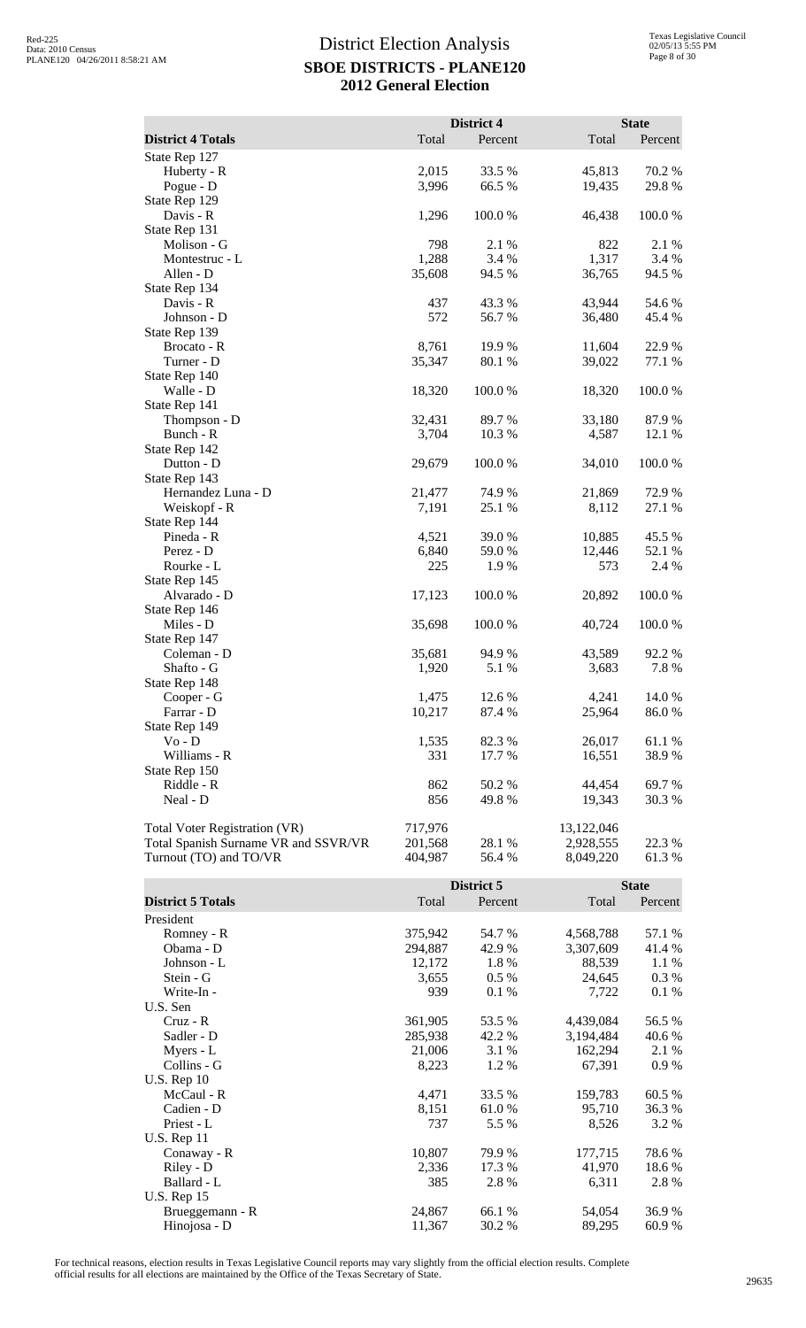|                                      |         | District 4 |            | <b>State</b> |
|--------------------------------------|---------|------------|------------|--------------|
| <b>District 4 Totals</b>             | Total   | Percent    | Total      | Percent      |
| State Rep 127                        |         |            |            |              |
| Huberty - R                          | 2,015   | 33.5 %     | 45,813     | 70.2 %       |
| Pogue - D                            | 3,996   | 66.5 %     | 19,435     | 29.8%        |
| State Rep 129                        |         |            |            |              |
| Davis - R                            | 1,296   | 100.0 %    | 46,438     | 100.0%       |
| State Rep 131                        |         |            |            |              |
| Molison - G                          | 798     | 2.1 %      | 822        | 2.1 %        |
| Montestruc - L                       | 1,288   | 3.4 %      | 1,317      | 3.4 %        |
| Allen - D                            | 35,608  | 94.5 %     | 36,765     | 94.5 %       |
| State Rep 134                        |         |            |            |              |
| Davis - R                            | 437     | 43.3 %     | 43,944     | 54.6 %       |
| Johnson - D                          | 572     | 56.7 %     | 36,480     | 45.4 %       |
| State Rep 139                        |         |            |            |              |
| Brocato - R                          | 8,761   | 19.9 %     | 11,604     | 22.9%        |
| Turner - D                           | 35,347  | 80.1 %     | 39,022     | 77.1 %       |
| State Rep 140                        |         |            |            |              |
| Walle - D                            | 18,320  | 100.0%     | 18,320     | 100.0%       |
| State Rep 141                        |         |            |            |              |
| Thompson - D                         | 32,431  | 89.7 %     | 33,180     | 87.9%        |
| Bunch - R                            | 3,704   | 10.3 %     | 4,587      | 12.1 %       |
| State Rep 142                        |         |            |            |              |
| Dutton - D                           | 29,679  | 100.0%     | 34,010     | 100.0%       |
| State Rep 143                        |         |            |            |              |
| Hernandez Luna - D                   | 21,477  | 74.9 %     | 21,869     | 72.9%        |
| Weiskopf - R                         | 7,191   | 25.1 %     | 8,112      | 27.1 %       |
| State Rep 144                        |         |            |            |              |
| Pineda - R                           | 4,521   | 39.0 %     | 10,885     | 45.5 %       |
| Perez - D                            | 6,840   | 59.0 %     | 12,446     | 52.1 %       |
| Rourke - L                           | 225     | 1.9 %      | 573        | 2.4 %        |
| State Rep 145                        |         |            |            |              |
| Alvarado - D                         | 17,123  | 100.0 %    | 20,892     | 100.0 %      |
| State Rep 146                        |         |            |            |              |
| Miles - D                            | 35,698  | 100.0%     | 40,724     | 100.0%       |
| State Rep 147                        |         |            |            |              |
| Coleman - D                          | 35,681  | 94.9 %     | 43,589     | 92.2%        |
| Shafto - G                           | 1,920   | 5.1 %      | 3,683      | 7.8 %        |
| State Rep 148                        |         |            |            |              |
| Cooper - G                           | 1,475   | 12.6 %     | 4,241      | 14.0 %       |
| Farrar - D                           | 10,217  | 87.4 %     | 25,964     | 86.0%        |
| State Rep 149                        |         |            |            |              |
| Vo - D                               | 1,535   | 82.3 %     | 26,017     | $61.1\ \%$   |
| Williams - R                         | 331     | 17.7 %     | 16,551     | 38.9%        |
| State Rep 150                        |         |            |            |              |
| Riddle - R                           | 862     | 50.2%      | 44,454     | 69.7 %       |
| Neal - D                             | 856     | 49.8%      | 19,343     | 30.3 %       |
| Total Voter Registration (VR)        | 717,976 |            | 13,122,046 |              |
| Total Spanish Surname VR and SSVR/VR | 201,568 | 28.1 %     | 2,928,555  | 22.3 %       |
| Turnout (TO) and TO/VR               | 404,987 | 56.4%      | 8,049,220  | 61.3%        |

|                          |         | District 5 |           | <b>State</b> |
|--------------------------|---------|------------|-----------|--------------|
| <b>District 5 Totals</b> | Total   | Percent    | Total     | Percent      |
| President                |         |            |           |              |
| Romney - R               | 375,942 | 54.7 %     | 4,568,788 | 57.1 %       |
| Obama - D                | 294,887 | 42.9 %     | 3,307,609 | 41.4 %       |
| Johnson - L              | 12,172  | 1.8%       | 88,539    | 1.1 %        |
| Stein - G                | 3,655   | $0.5\%$    | 24,645    | 0.3%         |
| Write-In -               | 939     | 0.1%       | 7,722     | 0.1%         |
| U.S. Sen                 |         |            |           |              |
| $Cruz - R$               | 361,905 | 53.5 %     | 4,439,084 | 56.5 %       |
| Sadler - D               | 285,938 | 42.2 %     | 3,194,484 | 40.6 %       |
| Myers - L                | 21,006  | 3.1 %      | 162,294   | 2.1 %        |
| Collins - G              | 8,223   | 1.2 %      | 67,391    | 0.9%         |
| <b>U.S. Rep 10</b>       |         |            |           |              |
| McCaul - R               | 4,471   | 33.5 %     | 159,783   | 60.5 %       |
| Cadien - D               | 8,151   | 61.0%      | 95,710    | 36.3 %       |
| Priest - L               | 737     | 5.5 %      | 8,526     | 3.2 %        |
| <b>U.S. Rep 11</b>       |         |            |           |              |
| Conaway - R              | 10,807  | 79.9 %     | 177,715   | 78.6%        |
| Riley - D                | 2,336   | 17.3 %     | 41,970    | 18.6%        |
| Ballard - L              | 385     | 2.8%       | 6,311     | 2.8%         |
| <b>U.S. Rep 15</b>       |         |            |           |              |
| Brueggemann - R          | 24,867  | 66.1 %     | 54,054    | 36.9%        |
| Hinojosa - D             | 11,367  | 30.2 %     | 89,295    | 60.9 %       |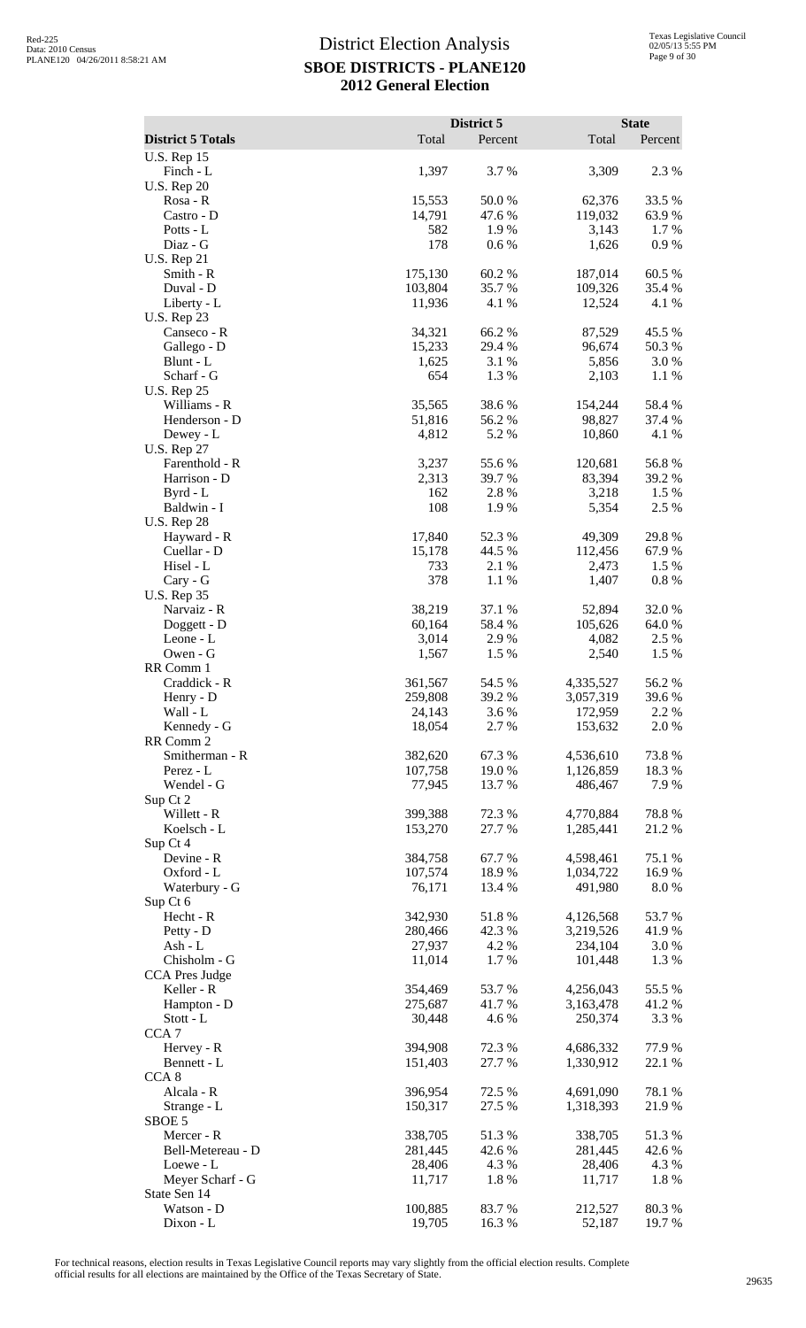|                                   |                    | District 5       |                        | <b>State</b>     |
|-----------------------------------|--------------------|------------------|------------------------|------------------|
| <b>District 5 Totals</b>          | Total              | Percent          | Total                  | Percent          |
| <b>U.S. Rep 15</b><br>Finch - L   | 1,397              | 3.7%             | 3,309                  | 2.3 %            |
| <b>U.S. Rep 20</b>                |                    |                  |                        |                  |
| Rosa - R                          | 15,553             | 50.0%            | 62,376                 | 33.5 %           |
| Castro - D                        | 14,791             | 47.6 %           | 119,032                | 63.9%            |
| Potts - L                         | 582                | 1.9%             | 3,143                  | 1.7 %            |
| Diaz - G<br><b>U.S. Rep 21</b>    | 178                | 0.6 %            | 1,626                  | 0.9%             |
| Smith - R                         | 175,130            | 60.2%            | 187,014                | 60.5 %           |
| Duval - D                         | 103,804            | 35.7%            | 109,326                | 35.4 %           |
| Liberty - L                       | 11,936             | 4.1 %            | 12,524                 | 4.1 %            |
| <b>U.S. Rep 23</b>                |                    |                  |                        |                  |
| Canseco - R<br>Gallego - D        | 34,321<br>15,233   | 66.2%<br>29.4 %  | 87,529<br>96,674       | 45.5 %<br>50.3 % |
| Blunt - L                         | 1,625              | 3.1 %            | 5,856                  | 3.0 %            |
| Scharf - G                        | 654                | 1.3%             | 2,103                  | 1.1 %            |
| <b>U.S. Rep 25</b>                |                    |                  |                        |                  |
| Williams - R                      | 35,565             | 38.6%            | 154,244                | 58.4%            |
| Henderson - D<br>Dewey - L        | 51,816<br>4,812    | 56.2%<br>5.2 %   | 98,827<br>10,860       | 37.4 %<br>4.1 %  |
| <b>U.S. Rep 27</b>                |                    |                  |                        |                  |
| Farenthold - R                    | 3,237              | 55.6%            | 120,681                | 56.8%            |
| Harrison - D                      | 2,313              | 39.7 %           | 83,394                 | 39.2 %           |
| Byrd - L                          | 162                | 2.8%             | 3,218                  | 1.5 %            |
| Baldwin - I<br><b>U.S. Rep 28</b> | 108                | 1.9 %            | 5,354                  | 2.5 %            |
| Hayward - R                       | 17,840             | 52.3 %           | 49,309                 | 29.8%            |
| Cuellar - D                       | 15,178             | 44.5 %           | 112,456                | 67.9 %           |
| Hisel - L                         | 733                | 2.1 %            | 2,473                  | 1.5 %            |
| Cary - G                          | 378                | 1.1 %            | 1,407                  | $0.8~\%$         |
| <b>U.S. Rep 35</b><br>Narvaiz - R | 38,219             | 37.1 %           | 52,894                 | 32.0%            |
| Doggett - D                       | 60,164             | 58.4%            | 105,626                | 64.0 %           |
| Leone - L                         | 3,014              | 2.9%             | 4,082                  | 2.5 %            |
| Owen - G                          | 1,567              | 1.5 %            | 2,540                  | 1.5 %            |
| RR Comm 1                         |                    |                  |                        |                  |
| Craddick - R<br>Henry - D         | 361,567<br>259,808 | 54.5 %<br>39.2 % | 4,335,527<br>3,057,319 | 56.2%<br>39.6%   |
| Wall - L                          | 24,143             | 3.6%             | 172,959                | 2.2 %            |
| Kennedy - G                       | 18,054             | 2.7 %            | 153,632                | 2.0 %            |
| RR Comm 2                         |                    |                  |                        |                  |
| Smitherman - R<br>Perez - L       | 382,620<br>107,758 | 67.3%<br>19.0%   | 4,536,610<br>1,126,859 | 73.8%            |
| Wendel - G                        | 77,945             | 13.7 %           | 486,467                | 18.3 %<br>7.9%   |
| Sup Ct 2                          |                    |                  |                        |                  |
| Willett - R                       | 399,388            | 72.3 %           | 4,770,884              | 78.8%            |
| Koelsch - L                       | 153,270            | 27.7 %           | 1,285,441              | 21.2%            |
| Sup Ct 4<br>Devine - R            | 384,758            | 67.7%            | 4,598,461              | 75.1 %           |
| Oxford - L                        | 107,574            | 18.9%            | 1,034,722              | 16.9%            |
| Waterbury - G                     | 76,171             | 13.4 %           | 491,980                | 8.0%             |
| Sup Ct 6                          |                    |                  |                        |                  |
| Hecht - R                         | 342,930            | 51.8%            | 4,126,568              | 53.7%            |
| Petty - D<br>Ash - L              | 280,466<br>27,937  | 42.3 %<br>4.2 %  | 3,219,526<br>234,104   | 41.9%<br>3.0 %   |
| Chisholm - G                      | 11,014             | 1.7 %            | 101,448                | 1.3 %            |
| <b>CCA Pres Judge</b>             |                    |                  |                        |                  |
| Keller - R                        | 354,469            | 53.7 %           | 4,256,043              | 55.5 %           |
| Hampton - D                       | 275,687            | 41.7%            | 3,163,478              | 41.2%            |
| Stott - L<br>CCA <sub>7</sub>     | 30,448             | 4.6%             | 250,374                | 3.3 %            |
| Hervey - R                        | 394,908            | 72.3 %           | 4,686,332              | 77.9 %           |
| Bennett - L                       | 151,403            | 27.7 %           | 1,330,912              | 22.1 %           |
| CCA <sub>8</sub>                  |                    |                  |                        |                  |
| Alcala - R                        | 396,954            | 72.5 %           | 4,691,090              | 78.1 %           |
| Strange - L                       | 150,317            | 27.5 %           | 1,318,393              | 21.9%            |
| SBOE 5<br>Mercer - R              | 338,705            | 51.3%            | 338,705                | 51.3%            |
| Bell-Metereau - D                 | 281,445            | 42.6 %           | 281,445                | 42.6 %           |
| Loewe - L                         | 28,406             | 4.3 %            | 28,406                 | 4.3 %            |
| Meyer Scharf - G                  | 11,717             | 1.8%             | 11,717                 | 1.8%             |
| State Sen 14                      |                    |                  |                        |                  |
| Watson - D<br>Dixon - L           | 100,885<br>19,705  | 83.7 %<br>16.3%  | 212,527<br>52,187      | 80.3%<br>19.7%   |
|                                   |                    |                  |                        |                  |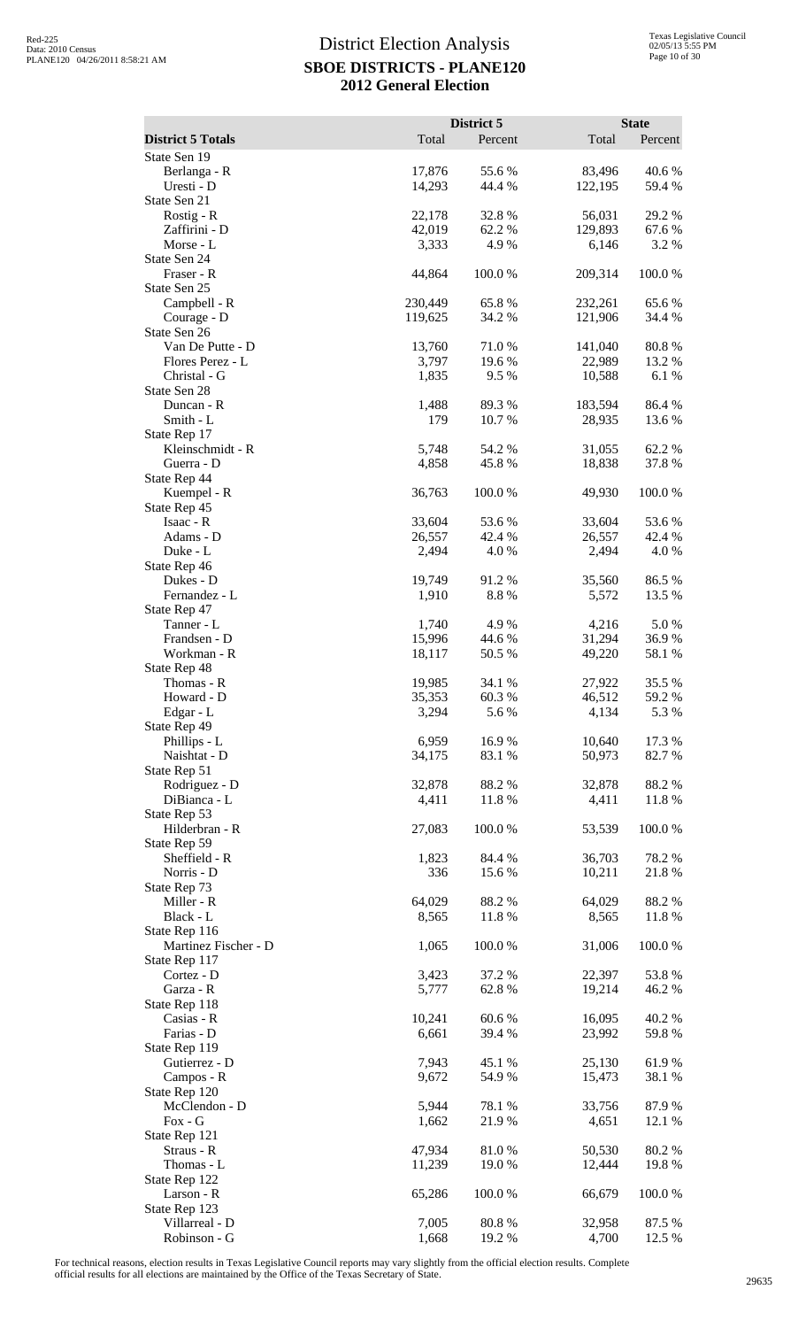|                                       |                  | District 5       |                   | <b>State</b>     |
|---------------------------------------|------------------|------------------|-------------------|------------------|
| <b>District 5 Totals</b>              | Total            | Percent          | Total             | Percent          |
| State Sen 19<br>Berlanga - R          | 17,876           | 55.6%            | 83,496            | 40.6%            |
| Uresti - D                            | 14,293           | 44.4 %           | 122,195           | 59.4 %           |
| State Sen 21                          |                  |                  |                   |                  |
| Rostig - $R$<br>Zaffirini - D         | 22,178<br>42,019 | 32.8%<br>62.2 %  | 56,031<br>129,893 | 29.2 %<br>67.6 % |
| Morse - L                             | 3,333            | 4.9%             | 6,146             | 3.2 %            |
| State Sen 24                          |                  |                  |                   |                  |
| Fraser - R<br>State Sen 25            | 44,864           | 100.0%           | 209,314           | 100.0%           |
| Campbell - R                          | 230,449          | 65.8%            | 232,261           | 65.6%            |
| Courage - D                           | 119,625          | 34.2 %           | 121,906           | 34.4 %           |
| State Sen 26<br>Van De Putte - D      | 13,760           |                  |                   | 80.8%            |
| Flores Perez - L                      | 3,797            | 71.0 %<br>19.6 % | 141,040<br>22,989 | 13.2 %           |
| Christal - G                          | 1,835            | 9.5 %            | 10,588            | 6.1%             |
| State Sen 28<br>Duncan - R            |                  |                  |                   |                  |
| Smith - L                             | 1,488<br>179     | 89.3%<br>10.7 %  | 183,594<br>28,935 | 86.4%<br>13.6 %  |
| State Rep 17                          |                  |                  |                   |                  |
| Kleinschmidt - R                      | 5,748            | 54.2 %           | 31,055            | 62.2%            |
| Guerra - D<br>State Rep 44            | 4,858            | 45.8%            | 18,838            | 37.8%            |
| Kuempel - R                           | 36,763           | 100.0%           | 49,930            | 100.0%           |
| State Rep 45                          |                  |                  |                   |                  |
| Isaac - R<br>Adams - D                | 33,604<br>26,557 | 53.6%<br>42.4 %  | 33,604<br>26,557  | 53.6%<br>42.4 %  |
| Duke - L                              | 2,494            | 4.0%             | 2,494             | 4.0%             |
| State Rep 46                          |                  |                  |                   |                  |
| Dukes - D<br>Fernandez - L            | 19,749<br>1,910  | 91.2%<br>8.8%    | 35,560<br>5,572   | 86.5 %<br>13.5 % |
| State Rep 47                          |                  |                  |                   |                  |
| Tanner - L                            | 1,740            | 4.9%             | 4,216             | 5.0%             |
| Frandsen - D<br>Workman - R           | 15,996<br>18,117 | 44.6 %           | 31,294<br>49,220  | 36.9%<br>58.1 %  |
| State Rep 48                          |                  | 50.5 %           |                   |                  |
| Thomas - R                            | 19,985           | 34.1 %           | 27,922            | 35.5 %           |
| Howard - D                            | 35,353           | 60.3%            | 46,512            | 59.2 %           |
| Edgar - L<br>State Rep 49             | 3,294            | 5.6 %            | 4,134             | 5.3 %            |
| Phillips - L                          | 6,959            | 16.9%            | 10,640            | 17.3 %           |
| Naishtat - D<br>State Rep 51          | 34,175           | 83.1 %           | 50,973            | 82.7%            |
| Rodriguez - D                         | 32,878           | 88.2%            | 32,878            | 88.2%            |
| DiBianca - L                          | 4,411            | 11.8%            | 4,411             | 11.8%            |
| State Rep 53                          |                  |                  |                   |                  |
| Hilderbran - R<br>State Rep 59        | 27,083           | 100.0%           | 53,539            | 100.0%           |
| Sheffield - R                         | 1,823            | 84.4 %           | 36,703            | 78.2%            |
| Norris - D                            | 336              | 15.6%            | 10,211            | 21.8%            |
| State Rep 73<br>Miller - R            | 64,029           | 88.2%            | 64,029            | 88.2%            |
| Black - L                             | 8,565            | 11.8%            | 8,565             | 11.8%            |
| State Rep 116                         |                  |                  |                   |                  |
| Martinez Fischer - D<br>State Rep 117 | 1,065            | 100.0%           | 31,006            | 100.0%           |
| Cortez - D                            | 3,423            | 37.2 %           | 22,397            | 53.8%            |
| Garza - R                             | 5,777            | 62.8%            | 19,214            | 46.2%            |
| State Rep 118<br>Casias - R           | 10,241           | 60.6 %           | 16,095            | 40.2 %           |
| Farias - D                            | 6,661            | 39.4 %           | 23,992            | 59.8 %           |
| State Rep 119                         |                  |                  |                   |                  |
| Gutierrez - D<br>Campos - R           | 7,943<br>9,672   | 45.1 %<br>54.9 % | 25,130<br>15,473  | 61.9%<br>38.1 %  |
| State Rep 120                         |                  |                  |                   |                  |
| McClendon - D                         | 5,944            | 78.1 %           | 33,756            | 87.9%            |
| $Fox - G$                             | 1,662            | 21.9 %           | 4,651             | 12.1 %           |
| State Rep 121<br>Straus - R           | 47,934           | 81.0%            | 50,530            | 80.2%            |
| Thomas - L                            | 11,239           | 19.0 %           | 12,444            | 19.8%            |
| State Rep 122                         |                  |                  |                   |                  |
| Larson - R<br>State Rep 123           | 65,286           | 100.0%           | 66,679            | 100.0%           |
| Villarreal - D                        | 7,005            | 80.8%            | 32,958            | 87.5 %           |
| Robinson - G                          | 1,668            | 19.2 %           | 4,700             | 12.5 %           |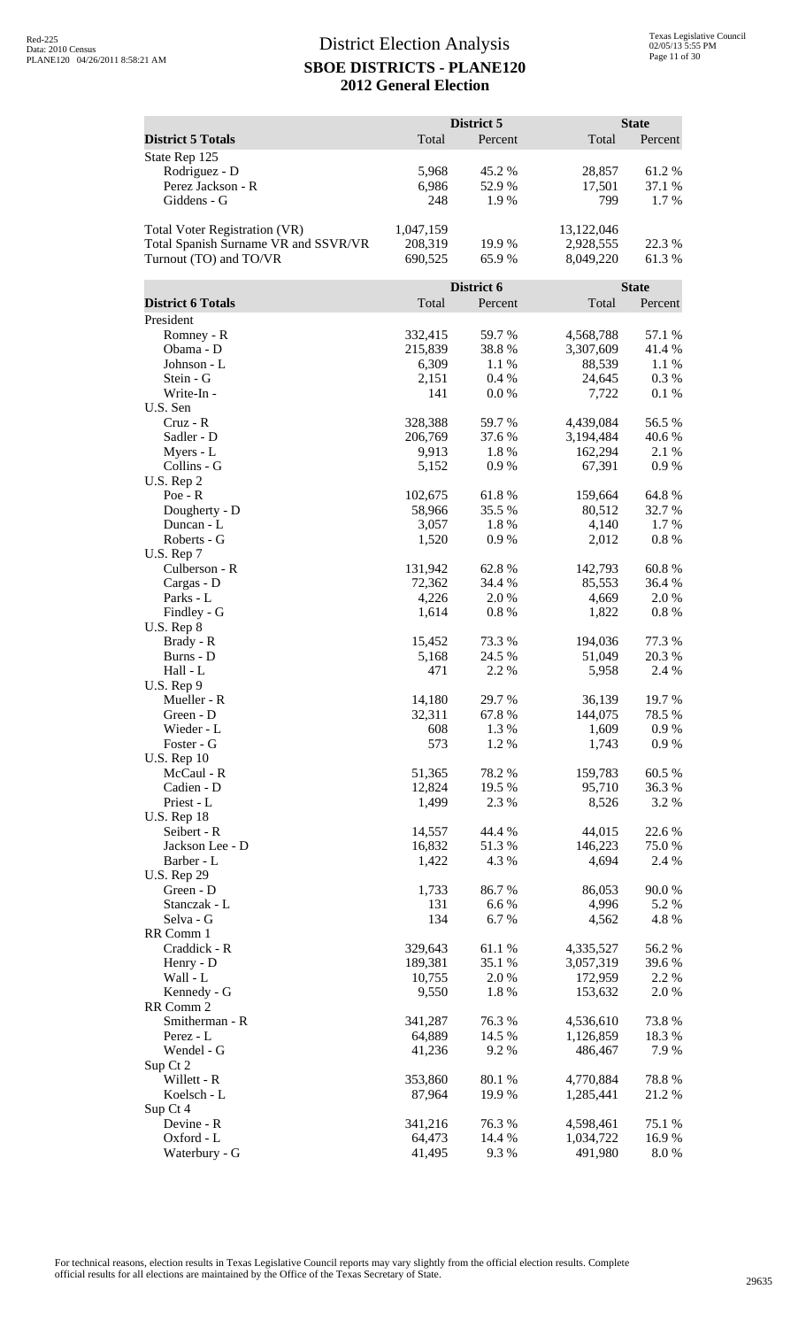| <b>District 5 Totals</b><br>Total<br>Total<br>Percent<br>Percent<br>State Rep 125<br>Rodriguez - D<br>5,968<br>45.2 %<br>28,857<br>61.2%<br>Perez Jackson - R<br>6,986<br>52.9%<br>37.1 %<br>17,501<br>1.7%<br>Giddens - G<br>248<br>1.9%<br>799<br>1,047,159<br>Total Voter Registration (VR)<br>13,122,046<br>Total Spanish Surname VR and SSVR/VR<br>208,319<br>2,928,555<br>22.3 %<br>19.9 %<br>Turnout (TO) and TO/VR<br>61.3%<br>690,525<br>65.9%<br>8,049,220<br>District 6<br><b>State</b><br><b>District 6 Totals</b><br>Total<br>Total<br>Percent<br>Percent<br>President<br>Romney - R<br>332,415<br>59.7%<br>4,568,788<br>57.1 %<br>215,839<br>Obama - D<br>38.8%<br>3,307,609<br>41.4 %<br>6,309<br>$1.1\ \%$<br>88,539<br>1.1 %<br>Johnson - L<br>2,151<br>0.4%<br>24,645<br>0.3 %<br>Stein - G<br>Write-In -<br>141<br>0.0 %<br>0.1%<br>7,722<br>U.S. Sen<br>Cruz - R<br>328,388<br>59.7%<br>4,439,084<br>56.5 %<br>206,769<br>Sadler - D<br>37.6 %<br>3,194,484<br>40.6 %<br>9,913<br>1.8%<br>162,294<br>2.1 %<br>Myers - L<br>Collins - G<br>0.9%<br>67,391<br>0.9 %<br>5,152<br>U.S. Rep 2<br>64.8%<br>102,675<br>61.8%<br>159,664<br>$Poe - R$<br>Dougherty - D<br>58,966<br>35.5 %<br>80,512<br>32.7 %<br>1.7%<br>Duncan - L<br>3,057<br>1.8%<br>4,140<br>1,520<br>Roberts - G<br>0.9%<br>$0.8~\%$<br>2,012<br>U.S. Rep 7<br>60.8%<br>Culberson - R<br>131,942<br>62.8%<br>142,793<br>72,362<br>34.4 %<br>85,553<br>Cargas - D<br>36.4 %<br>Parks - L<br>4,226<br>2.0%<br>4,669<br>2.0%<br>0.8%<br>0.8 %<br>Findley - G<br>1,614<br>1,822<br>U.S. Rep 8<br>77.3 %<br>Brady - R<br>15,452<br>73.3 %<br>194,036<br>20.3 %<br>Burns - D<br>5,168<br>24.5 %<br>51,049<br>471<br>2.2 %<br>2.4 %<br>Hall - L<br>5,958<br>$U.S.$ Rep $9$<br>36,139<br>19.7%<br>14,180<br>29.7%<br>Mueller - R<br>32,311<br>67.8%<br>144,075<br>78.5 %<br>Green - D<br>Wieder - L<br>608<br>1.3%<br>1,609<br>0.9%<br>573<br>Foster - G<br>1.2%<br>1,743<br>0.9 %<br><b>U.S. Rep 10</b><br>McCaul - R<br>51,365<br>78.2 %<br>159,783<br>60.5 %<br>Cadien - D<br>19.5 %<br>95,710<br>12,824<br>36.3 %<br>Priest - L<br>8,526<br>1,499<br>2.3 %<br>3.2 %<br>U.S. Rep 18<br>Seibert - R<br>14,557<br>44.4 %<br>44,015<br>22.6 %<br>Jackson Lee - D<br>16,832<br>51.3%<br>146,223<br>75.0 %<br>4.3 %<br>4,694<br>Barber - L<br>1,422<br>2.4 %<br><b>U.S. Rep 29</b><br>1,733<br>86.7%<br>86,053<br>90.0%<br>Green - D<br>131<br>6.6%<br>4,996<br>Stanczak - L<br>5.2 %<br>Selva - G<br>134<br>6.7%<br>4,562<br>4.8%<br>RR Comm 1<br>Craddick - R<br>329,643<br>61.1%<br>4,335,527<br>56.2 %<br>189,381<br>3,057,319<br>Henry - D<br>35.1 %<br>39.6 %<br>Wall - L<br>$2.0\ \%$<br>10,755<br>172,959<br>2.2 %<br>Kennedy - G<br>9,550<br>1.8%<br>153,632<br>2.0 %<br>RR Comm 2<br>Smitherman - R<br>341,287<br>76.3%<br>73.8%<br>4,536,610<br>64,889<br>14.5 %<br>1,126,859<br>Perez - L<br>18.3 %<br>Wendel - G<br>9.2%<br>7.9 %<br>41,236<br>486,467<br>Sup Ct 2<br>Willett - R<br>353,860<br>80.1 %<br>4,770,884<br>78.8%<br>21.2%<br>Koelsch - L<br>87,964<br>19.9 %<br>1,285,441<br>Sup Ct 4<br>341,216<br>76.3%<br>75.1 %<br>Devine - R<br>4,598,461 |  | District 5 | <b>State</b> |
|-------------------------------------------------------------------------------------------------------------------------------------------------------------------------------------------------------------------------------------------------------------------------------------------------------------------------------------------------------------------------------------------------------------------------------------------------------------------------------------------------------------------------------------------------------------------------------------------------------------------------------------------------------------------------------------------------------------------------------------------------------------------------------------------------------------------------------------------------------------------------------------------------------------------------------------------------------------------------------------------------------------------------------------------------------------------------------------------------------------------------------------------------------------------------------------------------------------------------------------------------------------------------------------------------------------------------------------------------------------------------------------------------------------------------------------------------------------------------------------------------------------------------------------------------------------------------------------------------------------------------------------------------------------------------------------------------------------------------------------------------------------------------------------------------------------------------------------------------------------------------------------------------------------------------------------------------------------------------------------------------------------------------------------------------------------------------------------------------------------------------------------------------------------------------------------------------------------------------------------------------------------------------------------------------------------------------------------------------------------------------------------------------------------------------------------------------------------------------------------------------------------------------------------------------------------------------------------------------------------------------------------------------------------------------------------------------------------------------------------------------------------------------------------------------------------------------------------------------------------------------------------------------------------------------------------------------------------------------------------------------------------------------------------------------------------------------------------------------------------------------------------------------|--|------------|--------------|
|                                                                                                                                                                                                                                                                                                                                                                                                                                                                                                                                                                                                                                                                                                                                                                                                                                                                                                                                                                                                                                                                                                                                                                                                                                                                                                                                                                                                                                                                                                                                                                                                                                                                                                                                                                                                                                                                                                                                                                                                                                                                                                                                                                                                                                                                                                                                                                                                                                                                                                                                                                                                                                                                                                                                                                                                                                                                                                                                                                                                                                                                                                                                                 |  |            |              |
|                                                                                                                                                                                                                                                                                                                                                                                                                                                                                                                                                                                                                                                                                                                                                                                                                                                                                                                                                                                                                                                                                                                                                                                                                                                                                                                                                                                                                                                                                                                                                                                                                                                                                                                                                                                                                                                                                                                                                                                                                                                                                                                                                                                                                                                                                                                                                                                                                                                                                                                                                                                                                                                                                                                                                                                                                                                                                                                                                                                                                                                                                                                                                 |  |            |              |
|                                                                                                                                                                                                                                                                                                                                                                                                                                                                                                                                                                                                                                                                                                                                                                                                                                                                                                                                                                                                                                                                                                                                                                                                                                                                                                                                                                                                                                                                                                                                                                                                                                                                                                                                                                                                                                                                                                                                                                                                                                                                                                                                                                                                                                                                                                                                                                                                                                                                                                                                                                                                                                                                                                                                                                                                                                                                                                                                                                                                                                                                                                                                                 |  |            |              |
|                                                                                                                                                                                                                                                                                                                                                                                                                                                                                                                                                                                                                                                                                                                                                                                                                                                                                                                                                                                                                                                                                                                                                                                                                                                                                                                                                                                                                                                                                                                                                                                                                                                                                                                                                                                                                                                                                                                                                                                                                                                                                                                                                                                                                                                                                                                                                                                                                                                                                                                                                                                                                                                                                                                                                                                                                                                                                                                                                                                                                                                                                                                                                 |  |            |              |
|                                                                                                                                                                                                                                                                                                                                                                                                                                                                                                                                                                                                                                                                                                                                                                                                                                                                                                                                                                                                                                                                                                                                                                                                                                                                                                                                                                                                                                                                                                                                                                                                                                                                                                                                                                                                                                                                                                                                                                                                                                                                                                                                                                                                                                                                                                                                                                                                                                                                                                                                                                                                                                                                                                                                                                                                                                                                                                                                                                                                                                                                                                                                                 |  |            |              |
|                                                                                                                                                                                                                                                                                                                                                                                                                                                                                                                                                                                                                                                                                                                                                                                                                                                                                                                                                                                                                                                                                                                                                                                                                                                                                                                                                                                                                                                                                                                                                                                                                                                                                                                                                                                                                                                                                                                                                                                                                                                                                                                                                                                                                                                                                                                                                                                                                                                                                                                                                                                                                                                                                                                                                                                                                                                                                                                                                                                                                                                                                                                                                 |  |            |              |
|                                                                                                                                                                                                                                                                                                                                                                                                                                                                                                                                                                                                                                                                                                                                                                                                                                                                                                                                                                                                                                                                                                                                                                                                                                                                                                                                                                                                                                                                                                                                                                                                                                                                                                                                                                                                                                                                                                                                                                                                                                                                                                                                                                                                                                                                                                                                                                                                                                                                                                                                                                                                                                                                                                                                                                                                                                                                                                                                                                                                                                                                                                                                                 |  |            |              |
|                                                                                                                                                                                                                                                                                                                                                                                                                                                                                                                                                                                                                                                                                                                                                                                                                                                                                                                                                                                                                                                                                                                                                                                                                                                                                                                                                                                                                                                                                                                                                                                                                                                                                                                                                                                                                                                                                                                                                                                                                                                                                                                                                                                                                                                                                                                                                                                                                                                                                                                                                                                                                                                                                                                                                                                                                                                                                                                                                                                                                                                                                                                                                 |  |            |              |
|                                                                                                                                                                                                                                                                                                                                                                                                                                                                                                                                                                                                                                                                                                                                                                                                                                                                                                                                                                                                                                                                                                                                                                                                                                                                                                                                                                                                                                                                                                                                                                                                                                                                                                                                                                                                                                                                                                                                                                                                                                                                                                                                                                                                                                                                                                                                                                                                                                                                                                                                                                                                                                                                                                                                                                                                                                                                                                                                                                                                                                                                                                                                                 |  |            |              |
|                                                                                                                                                                                                                                                                                                                                                                                                                                                                                                                                                                                                                                                                                                                                                                                                                                                                                                                                                                                                                                                                                                                                                                                                                                                                                                                                                                                                                                                                                                                                                                                                                                                                                                                                                                                                                                                                                                                                                                                                                                                                                                                                                                                                                                                                                                                                                                                                                                                                                                                                                                                                                                                                                                                                                                                                                                                                                                                                                                                                                                                                                                                                                 |  |            |              |
|                                                                                                                                                                                                                                                                                                                                                                                                                                                                                                                                                                                                                                                                                                                                                                                                                                                                                                                                                                                                                                                                                                                                                                                                                                                                                                                                                                                                                                                                                                                                                                                                                                                                                                                                                                                                                                                                                                                                                                                                                                                                                                                                                                                                                                                                                                                                                                                                                                                                                                                                                                                                                                                                                                                                                                                                                                                                                                                                                                                                                                                                                                                                                 |  |            |              |
|                                                                                                                                                                                                                                                                                                                                                                                                                                                                                                                                                                                                                                                                                                                                                                                                                                                                                                                                                                                                                                                                                                                                                                                                                                                                                                                                                                                                                                                                                                                                                                                                                                                                                                                                                                                                                                                                                                                                                                                                                                                                                                                                                                                                                                                                                                                                                                                                                                                                                                                                                                                                                                                                                                                                                                                                                                                                                                                                                                                                                                                                                                                                                 |  |            |              |
|                                                                                                                                                                                                                                                                                                                                                                                                                                                                                                                                                                                                                                                                                                                                                                                                                                                                                                                                                                                                                                                                                                                                                                                                                                                                                                                                                                                                                                                                                                                                                                                                                                                                                                                                                                                                                                                                                                                                                                                                                                                                                                                                                                                                                                                                                                                                                                                                                                                                                                                                                                                                                                                                                                                                                                                                                                                                                                                                                                                                                                                                                                                                                 |  |            |              |
|                                                                                                                                                                                                                                                                                                                                                                                                                                                                                                                                                                                                                                                                                                                                                                                                                                                                                                                                                                                                                                                                                                                                                                                                                                                                                                                                                                                                                                                                                                                                                                                                                                                                                                                                                                                                                                                                                                                                                                                                                                                                                                                                                                                                                                                                                                                                                                                                                                                                                                                                                                                                                                                                                                                                                                                                                                                                                                                                                                                                                                                                                                                                                 |  |            |              |
|                                                                                                                                                                                                                                                                                                                                                                                                                                                                                                                                                                                                                                                                                                                                                                                                                                                                                                                                                                                                                                                                                                                                                                                                                                                                                                                                                                                                                                                                                                                                                                                                                                                                                                                                                                                                                                                                                                                                                                                                                                                                                                                                                                                                                                                                                                                                                                                                                                                                                                                                                                                                                                                                                                                                                                                                                                                                                                                                                                                                                                                                                                                                                 |  |            |              |
|                                                                                                                                                                                                                                                                                                                                                                                                                                                                                                                                                                                                                                                                                                                                                                                                                                                                                                                                                                                                                                                                                                                                                                                                                                                                                                                                                                                                                                                                                                                                                                                                                                                                                                                                                                                                                                                                                                                                                                                                                                                                                                                                                                                                                                                                                                                                                                                                                                                                                                                                                                                                                                                                                                                                                                                                                                                                                                                                                                                                                                                                                                                                                 |  |            |              |
|                                                                                                                                                                                                                                                                                                                                                                                                                                                                                                                                                                                                                                                                                                                                                                                                                                                                                                                                                                                                                                                                                                                                                                                                                                                                                                                                                                                                                                                                                                                                                                                                                                                                                                                                                                                                                                                                                                                                                                                                                                                                                                                                                                                                                                                                                                                                                                                                                                                                                                                                                                                                                                                                                                                                                                                                                                                                                                                                                                                                                                                                                                                                                 |  |            |              |
|                                                                                                                                                                                                                                                                                                                                                                                                                                                                                                                                                                                                                                                                                                                                                                                                                                                                                                                                                                                                                                                                                                                                                                                                                                                                                                                                                                                                                                                                                                                                                                                                                                                                                                                                                                                                                                                                                                                                                                                                                                                                                                                                                                                                                                                                                                                                                                                                                                                                                                                                                                                                                                                                                                                                                                                                                                                                                                                                                                                                                                                                                                                                                 |  |            |              |
|                                                                                                                                                                                                                                                                                                                                                                                                                                                                                                                                                                                                                                                                                                                                                                                                                                                                                                                                                                                                                                                                                                                                                                                                                                                                                                                                                                                                                                                                                                                                                                                                                                                                                                                                                                                                                                                                                                                                                                                                                                                                                                                                                                                                                                                                                                                                                                                                                                                                                                                                                                                                                                                                                                                                                                                                                                                                                                                                                                                                                                                                                                                                                 |  |            |              |
|                                                                                                                                                                                                                                                                                                                                                                                                                                                                                                                                                                                                                                                                                                                                                                                                                                                                                                                                                                                                                                                                                                                                                                                                                                                                                                                                                                                                                                                                                                                                                                                                                                                                                                                                                                                                                                                                                                                                                                                                                                                                                                                                                                                                                                                                                                                                                                                                                                                                                                                                                                                                                                                                                                                                                                                                                                                                                                                                                                                                                                                                                                                                                 |  |            |              |
|                                                                                                                                                                                                                                                                                                                                                                                                                                                                                                                                                                                                                                                                                                                                                                                                                                                                                                                                                                                                                                                                                                                                                                                                                                                                                                                                                                                                                                                                                                                                                                                                                                                                                                                                                                                                                                                                                                                                                                                                                                                                                                                                                                                                                                                                                                                                                                                                                                                                                                                                                                                                                                                                                                                                                                                                                                                                                                                                                                                                                                                                                                                                                 |  |            |              |
|                                                                                                                                                                                                                                                                                                                                                                                                                                                                                                                                                                                                                                                                                                                                                                                                                                                                                                                                                                                                                                                                                                                                                                                                                                                                                                                                                                                                                                                                                                                                                                                                                                                                                                                                                                                                                                                                                                                                                                                                                                                                                                                                                                                                                                                                                                                                                                                                                                                                                                                                                                                                                                                                                                                                                                                                                                                                                                                                                                                                                                                                                                                                                 |  |            |              |
|                                                                                                                                                                                                                                                                                                                                                                                                                                                                                                                                                                                                                                                                                                                                                                                                                                                                                                                                                                                                                                                                                                                                                                                                                                                                                                                                                                                                                                                                                                                                                                                                                                                                                                                                                                                                                                                                                                                                                                                                                                                                                                                                                                                                                                                                                                                                                                                                                                                                                                                                                                                                                                                                                                                                                                                                                                                                                                                                                                                                                                                                                                                                                 |  |            |              |
|                                                                                                                                                                                                                                                                                                                                                                                                                                                                                                                                                                                                                                                                                                                                                                                                                                                                                                                                                                                                                                                                                                                                                                                                                                                                                                                                                                                                                                                                                                                                                                                                                                                                                                                                                                                                                                                                                                                                                                                                                                                                                                                                                                                                                                                                                                                                                                                                                                                                                                                                                                                                                                                                                                                                                                                                                                                                                                                                                                                                                                                                                                                                                 |  |            |              |
|                                                                                                                                                                                                                                                                                                                                                                                                                                                                                                                                                                                                                                                                                                                                                                                                                                                                                                                                                                                                                                                                                                                                                                                                                                                                                                                                                                                                                                                                                                                                                                                                                                                                                                                                                                                                                                                                                                                                                                                                                                                                                                                                                                                                                                                                                                                                                                                                                                                                                                                                                                                                                                                                                                                                                                                                                                                                                                                                                                                                                                                                                                                                                 |  |            |              |
|                                                                                                                                                                                                                                                                                                                                                                                                                                                                                                                                                                                                                                                                                                                                                                                                                                                                                                                                                                                                                                                                                                                                                                                                                                                                                                                                                                                                                                                                                                                                                                                                                                                                                                                                                                                                                                                                                                                                                                                                                                                                                                                                                                                                                                                                                                                                                                                                                                                                                                                                                                                                                                                                                                                                                                                                                                                                                                                                                                                                                                                                                                                                                 |  |            |              |
|                                                                                                                                                                                                                                                                                                                                                                                                                                                                                                                                                                                                                                                                                                                                                                                                                                                                                                                                                                                                                                                                                                                                                                                                                                                                                                                                                                                                                                                                                                                                                                                                                                                                                                                                                                                                                                                                                                                                                                                                                                                                                                                                                                                                                                                                                                                                                                                                                                                                                                                                                                                                                                                                                                                                                                                                                                                                                                                                                                                                                                                                                                                                                 |  |            |              |
|                                                                                                                                                                                                                                                                                                                                                                                                                                                                                                                                                                                                                                                                                                                                                                                                                                                                                                                                                                                                                                                                                                                                                                                                                                                                                                                                                                                                                                                                                                                                                                                                                                                                                                                                                                                                                                                                                                                                                                                                                                                                                                                                                                                                                                                                                                                                                                                                                                                                                                                                                                                                                                                                                                                                                                                                                                                                                                                                                                                                                                                                                                                                                 |  |            |              |
|                                                                                                                                                                                                                                                                                                                                                                                                                                                                                                                                                                                                                                                                                                                                                                                                                                                                                                                                                                                                                                                                                                                                                                                                                                                                                                                                                                                                                                                                                                                                                                                                                                                                                                                                                                                                                                                                                                                                                                                                                                                                                                                                                                                                                                                                                                                                                                                                                                                                                                                                                                                                                                                                                                                                                                                                                                                                                                                                                                                                                                                                                                                                                 |  |            |              |
|                                                                                                                                                                                                                                                                                                                                                                                                                                                                                                                                                                                                                                                                                                                                                                                                                                                                                                                                                                                                                                                                                                                                                                                                                                                                                                                                                                                                                                                                                                                                                                                                                                                                                                                                                                                                                                                                                                                                                                                                                                                                                                                                                                                                                                                                                                                                                                                                                                                                                                                                                                                                                                                                                                                                                                                                                                                                                                                                                                                                                                                                                                                                                 |  |            |              |
|                                                                                                                                                                                                                                                                                                                                                                                                                                                                                                                                                                                                                                                                                                                                                                                                                                                                                                                                                                                                                                                                                                                                                                                                                                                                                                                                                                                                                                                                                                                                                                                                                                                                                                                                                                                                                                                                                                                                                                                                                                                                                                                                                                                                                                                                                                                                                                                                                                                                                                                                                                                                                                                                                                                                                                                                                                                                                                                                                                                                                                                                                                                                                 |  |            |              |
|                                                                                                                                                                                                                                                                                                                                                                                                                                                                                                                                                                                                                                                                                                                                                                                                                                                                                                                                                                                                                                                                                                                                                                                                                                                                                                                                                                                                                                                                                                                                                                                                                                                                                                                                                                                                                                                                                                                                                                                                                                                                                                                                                                                                                                                                                                                                                                                                                                                                                                                                                                                                                                                                                                                                                                                                                                                                                                                                                                                                                                                                                                                                                 |  |            |              |
|                                                                                                                                                                                                                                                                                                                                                                                                                                                                                                                                                                                                                                                                                                                                                                                                                                                                                                                                                                                                                                                                                                                                                                                                                                                                                                                                                                                                                                                                                                                                                                                                                                                                                                                                                                                                                                                                                                                                                                                                                                                                                                                                                                                                                                                                                                                                                                                                                                                                                                                                                                                                                                                                                                                                                                                                                                                                                                                                                                                                                                                                                                                                                 |  |            |              |
|                                                                                                                                                                                                                                                                                                                                                                                                                                                                                                                                                                                                                                                                                                                                                                                                                                                                                                                                                                                                                                                                                                                                                                                                                                                                                                                                                                                                                                                                                                                                                                                                                                                                                                                                                                                                                                                                                                                                                                                                                                                                                                                                                                                                                                                                                                                                                                                                                                                                                                                                                                                                                                                                                                                                                                                                                                                                                                                                                                                                                                                                                                                                                 |  |            |              |
|                                                                                                                                                                                                                                                                                                                                                                                                                                                                                                                                                                                                                                                                                                                                                                                                                                                                                                                                                                                                                                                                                                                                                                                                                                                                                                                                                                                                                                                                                                                                                                                                                                                                                                                                                                                                                                                                                                                                                                                                                                                                                                                                                                                                                                                                                                                                                                                                                                                                                                                                                                                                                                                                                                                                                                                                                                                                                                                                                                                                                                                                                                                                                 |  |            |              |
|                                                                                                                                                                                                                                                                                                                                                                                                                                                                                                                                                                                                                                                                                                                                                                                                                                                                                                                                                                                                                                                                                                                                                                                                                                                                                                                                                                                                                                                                                                                                                                                                                                                                                                                                                                                                                                                                                                                                                                                                                                                                                                                                                                                                                                                                                                                                                                                                                                                                                                                                                                                                                                                                                                                                                                                                                                                                                                                                                                                                                                                                                                                                                 |  |            |              |
|                                                                                                                                                                                                                                                                                                                                                                                                                                                                                                                                                                                                                                                                                                                                                                                                                                                                                                                                                                                                                                                                                                                                                                                                                                                                                                                                                                                                                                                                                                                                                                                                                                                                                                                                                                                                                                                                                                                                                                                                                                                                                                                                                                                                                                                                                                                                                                                                                                                                                                                                                                                                                                                                                                                                                                                                                                                                                                                                                                                                                                                                                                                                                 |  |            |              |
|                                                                                                                                                                                                                                                                                                                                                                                                                                                                                                                                                                                                                                                                                                                                                                                                                                                                                                                                                                                                                                                                                                                                                                                                                                                                                                                                                                                                                                                                                                                                                                                                                                                                                                                                                                                                                                                                                                                                                                                                                                                                                                                                                                                                                                                                                                                                                                                                                                                                                                                                                                                                                                                                                                                                                                                                                                                                                                                                                                                                                                                                                                                                                 |  |            |              |
|                                                                                                                                                                                                                                                                                                                                                                                                                                                                                                                                                                                                                                                                                                                                                                                                                                                                                                                                                                                                                                                                                                                                                                                                                                                                                                                                                                                                                                                                                                                                                                                                                                                                                                                                                                                                                                                                                                                                                                                                                                                                                                                                                                                                                                                                                                                                                                                                                                                                                                                                                                                                                                                                                                                                                                                                                                                                                                                                                                                                                                                                                                                                                 |  |            |              |
|                                                                                                                                                                                                                                                                                                                                                                                                                                                                                                                                                                                                                                                                                                                                                                                                                                                                                                                                                                                                                                                                                                                                                                                                                                                                                                                                                                                                                                                                                                                                                                                                                                                                                                                                                                                                                                                                                                                                                                                                                                                                                                                                                                                                                                                                                                                                                                                                                                                                                                                                                                                                                                                                                                                                                                                                                                                                                                                                                                                                                                                                                                                                                 |  |            |              |
|                                                                                                                                                                                                                                                                                                                                                                                                                                                                                                                                                                                                                                                                                                                                                                                                                                                                                                                                                                                                                                                                                                                                                                                                                                                                                                                                                                                                                                                                                                                                                                                                                                                                                                                                                                                                                                                                                                                                                                                                                                                                                                                                                                                                                                                                                                                                                                                                                                                                                                                                                                                                                                                                                                                                                                                                                                                                                                                                                                                                                                                                                                                                                 |  |            |              |
|                                                                                                                                                                                                                                                                                                                                                                                                                                                                                                                                                                                                                                                                                                                                                                                                                                                                                                                                                                                                                                                                                                                                                                                                                                                                                                                                                                                                                                                                                                                                                                                                                                                                                                                                                                                                                                                                                                                                                                                                                                                                                                                                                                                                                                                                                                                                                                                                                                                                                                                                                                                                                                                                                                                                                                                                                                                                                                                                                                                                                                                                                                                                                 |  |            |              |
|                                                                                                                                                                                                                                                                                                                                                                                                                                                                                                                                                                                                                                                                                                                                                                                                                                                                                                                                                                                                                                                                                                                                                                                                                                                                                                                                                                                                                                                                                                                                                                                                                                                                                                                                                                                                                                                                                                                                                                                                                                                                                                                                                                                                                                                                                                                                                                                                                                                                                                                                                                                                                                                                                                                                                                                                                                                                                                                                                                                                                                                                                                                                                 |  |            |              |
|                                                                                                                                                                                                                                                                                                                                                                                                                                                                                                                                                                                                                                                                                                                                                                                                                                                                                                                                                                                                                                                                                                                                                                                                                                                                                                                                                                                                                                                                                                                                                                                                                                                                                                                                                                                                                                                                                                                                                                                                                                                                                                                                                                                                                                                                                                                                                                                                                                                                                                                                                                                                                                                                                                                                                                                                                                                                                                                                                                                                                                                                                                                                                 |  |            |              |
|                                                                                                                                                                                                                                                                                                                                                                                                                                                                                                                                                                                                                                                                                                                                                                                                                                                                                                                                                                                                                                                                                                                                                                                                                                                                                                                                                                                                                                                                                                                                                                                                                                                                                                                                                                                                                                                                                                                                                                                                                                                                                                                                                                                                                                                                                                                                                                                                                                                                                                                                                                                                                                                                                                                                                                                                                                                                                                                                                                                                                                                                                                                                                 |  |            |              |
|                                                                                                                                                                                                                                                                                                                                                                                                                                                                                                                                                                                                                                                                                                                                                                                                                                                                                                                                                                                                                                                                                                                                                                                                                                                                                                                                                                                                                                                                                                                                                                                                                                                                                                                                                                                                                                                                                                                                                                                                                                                                                                                                                                                                                                                                                                                                                                                                                                                                                                                                                                                                                                                                                                                                                                                                                                                                                                                                                                                                                                                                                                                                                 |  |            |              |
|                                                                                                                                                                                                                                                                                                                                                                                                                                                                                                                                                                                                                                                                                                                                                                                                                                                                                                                                                                                                                                                                                                                                                                                                                                                                                                                                                                                                                                                                                                                                                                                                                                                                                                                                                                                                                                                                                                                                                                                                                                                                                                                                                                                                                                                                                                                                                                                                                                                                                                                                                                                                                                                                                                                                                                                                                                                                                                                                                                                                                                                                                                                                                 |  |            |              |
|                                                                                                                                                                                                                                                                                                                                                                                                                                                                                                                                                                                                                                                                                                                                                                                                                                                                                                                                                                                                                                                                                                                                                                                                                                                                                                                                                                                                                                                                                                                                                                                                                                                                                                                                                                                                                                                                                                                                                                                                                                                                                                                                                                                                                                                                                                                                                                                                                                                                                                                                                                                                                                                                                                                                                                                                                                                                                                                                                                                                                                                                                                                                                 |  |            |              |
|                                                                                                                                                                                                                                                                                                                                                                                                                                                                                                                                                                                                                                                                                                                                                                                                                                                                                                                                                                                                                                                                                                                                                                                                                                                                                                                                                                                                                                                                                                                                                                                                                                                                                                                                                                                                                                                                                                                                                                                                                                                                                                                                                                                                                                                                                                                                                                                                                                                                                                                                                                                                                                                                                                                                                                                                                                                                                                                                                                                                                                                                                                                                                 |  |            |              |
|                                                                                                                                                                                                                                                                                                                                                                                                                                                                                                                                                                                                                                                                                                                                                                                                                                                                                                                                                                                                                                                                                                                                                                                                                                                                                                                                                                                                                                                                                                                                                                                                                                                                                                                                                                                                                                                                                                                                                                                                                                                                                                                                                                                                                                                                                                                                                                                                                                                                                                                                                                                                                                                                                                                                                                                                                                                                                                                                                                                                                                                                                                                                                 |  |            |              |
|                                                                                                                                                                                                                                                                                                                                                                                                                                                                                                                                                                                                                                                                                                                                                                                                                                                                                                                                                                                                                                                                                                                                                                                                                                                                                                                                                                                                                                                                                                                                                                                                                                                                                                                                                                                                                                                                                                                                                                                                                                                                                                                                                                                                                                                                                                                                                                                                                                                                                                                                                                                                                                                                                                                                                                                                                                                                                                                                                                                                                                                                                                                                                 |  |            |              |
|                                                                                                                                                                                                                                                                                                                                                                                                                                                                                                                                                                                                                                                                                                                                                                                                                                                                                                                                                                                                                                                                                                                                                                                                                                                                                                                                                                                                                                                                                                                                                                                                                                                                                                                                                                                                                                                                                                                                                                                                                                                                                                                                                                                                                                                                                                                                                                                                                                                                                                                                                                                                                                                                                                                                                                                                                                                                                                                                                                                                                                                                                                                                                 |  |            |              |
|                                                                                                                                                                                                                                                                                                                                                                                                                                                                                                                                                                                                                                                                                                                                                                                                                                                                                                                                                                                                                                                                                                                                                                                                                                                                                                                                                                                                                                                                                                                                                                                                                                                                                                                                                                                                                                                                                                                                                                                                                                                                                                                                                                                                                                                                                                                                                                                                                                                                                                                                                                                                                                                                                                                                                                                                                                                                                                                                                                                                                                                                                                                                                 |  |            |              |
|                                                                                                                                                                                                                                                                                                                                                                                                                                                                                                                                                                                                                                                                                                                                                                                                                                                                                                                                                                                                                                                                                                                                                                                                                                                                                                                                                                                                                                                                                                                                                                                                                                                                                                                                                                                                                                                                                                                                                                                                                                                                                                                                                                                                                                                                                                                                                                                                                                                                                                                                                                                                                                                                                                                                                                                                                                                                                                                                                                                                                                                                                                                                                 |  |            |              |
|                                                                                                                                                                                                                                                                                                                                                                                                                                                                                                                                                                                                                                                                                                                                                                                                                                                                                                                                                                                                                                                                                                                                                                                                                                                                                                                                                                                                                                                                                                                                                                                                                                                                                                                                                                                                                                                                                                                                                                                                                                                                                                                                                                                                                                                                                                                                                                                                                                                                                                                                                                                                                                                                                                                                                                                                                                                                                                                                                                                                                                                                                                                                                 |  |            |              |
|                                                                                                                                                                                                                                                                                                                                                                                                                                                                                                                                                                                                                                                                                                                                                                                                                                                                                                                                                                                                                                                                                                                                                                                                                                                                                                                                                                                                                                                                                                                                                                                                                                                                                                                                                                                                                                                                                                                                                                                                                                                                                                                                                                                                                                                                                                                                                                                                                                                                                                                                                                                                                                                                                                                                                                                                                                                                                                                                                                                                                                                                                                                                                 |  |            |              |
| Oxford - L<br>16.9%<br>64,473<br>14.4 %<br>1,034,722<br>Waterbury - G<br>41,495<br>9.3%<br>8.0%<br>491,980                                                                                                                                                                                                                                                                                                                                                                                                                                                                                                                                                                                                                                                                                                                                                                                                                                                                                                                                                                                                                                                                                                                                                                                                                                                                                                                                                                                                                                                                                                                                                                                                                                                                                                                                                                                                                                                                                                                                                                                                                                                                                                                                                                                                                                                                                                                                                                                                                                                                                                                                                                                                                                                                                                                                                                                                                                                                                                                                                                                                                                      |  |            |              |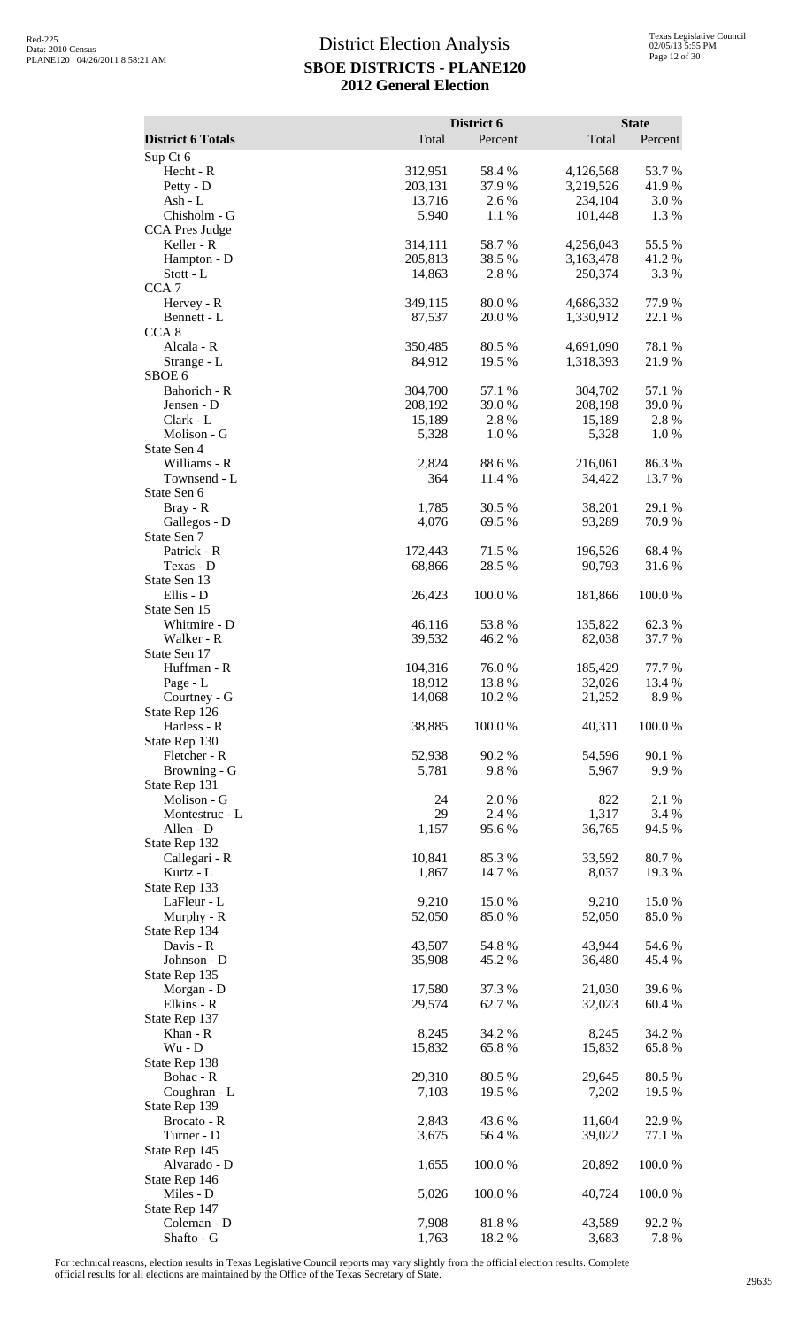|                                       |                   | District 6       |                        | <b>State</b>     |
|---------------------------------------|-------------------|------------------|------------------------|------------------|
| <b>District 6 Totals</b>              | Total             | Percent          | Total                  | Percent          |
| Sup Ct 6<br>Hecht - R                 | 312,951           | 58.4%            | 4,126,568              | 53.7%            |
| Petty - D                             | 203,131           | 37.9%            | 3,219,526              | 41.9%            |
| $Ash - L$                             | 13,716            | 2.6%             | 234,104                | 3.0%             |
| Chisholm - G<br><b>CCA Pres Judge</b> | 5,940             | 1.1 %            | 101,448                | 1.3%             |
| Keller - R                            | 314,111           | 58.7%            | 4,256,043              | 55.5 %           |
| Hampton - D                           | 205,813           | 38.5 %           | 3,163,478              | 41.2%            |
| Stott - L<br>CCA <sub>7</sub>         | 14,863            | 2.8%             | 250,374                | 3.3 %            |
| Hervey - R                            | 349,115           | 80.0%            | 4,686,332              | 77.9 %           |
| Bennett - L                           | 87,537            | 20.0%            | 1,330,912              | 22.1 %           |
| CCA <sub>8</sub>                      |                   |                  |                        |                  |
| Alcala - R<br>Strange - L             | 350,485<br>84,912 | 80.5 %<br>19.5 % | 4,691,090<br>1,318,393 | 78.1 %<br>21.9%  |
| SBOE <sub>6</sub>                     |                   |                  |                        |                  |
| Bahorich - R                          | 304,700           | 57.1 %           | 304,702                | 57.1 %           |
| Jensen - D<br>Clark - L               | 208,192<br>15,189 | 39.0%<br>2.8 %   | 208,198<br>15,189      | 39.0%<br>2.8 %   |
| Molison - G                           | 5,328             | 1.0%             | 5,328                  | 1.0%             |
| State Sen 4                           |                   |                  |                        |                  |
| Williams - R                          | 2,824             | 88.6%            | 216,061                | 86.3%            |
| Townsend - L<br>State Sen 6           | 364               | 11.4 %           | 34,422                 | 13.7 %           |
| Bray - R                              | 1,785             | 30.5 %           | 38,201                 | 29.1 %           |
| Gallegos - D                          | 4,076             | 69.5 %           | 93,289                 | 70.9%            |
| State Sen 7<br>Patrick - R            | 172,443           | 71.5 %           | 196,526                | 68.4%            |
| Texas - D                             | 68,866            | 28.5 %           | 90,793                 | 31.6%            |
| State Sen 13                          |                   |                  |                        |                  |
| Ellis - D                             | 26,423            | 100.0%           | 181,866                | 100.0%           |
| State Sen 15<br>Whitmire - D          | 46,116            | 53.8%            | 135,822                | 62.3%            |
| Walker - R                            | 39,532            | 46.2 %           | 82,038                 | 37.7 %           |
| State Sen 17                          |                   |                  |                        |                  |
| Huffman - R<br>Page - L               | 104,316<br>18,912 | 76.0%<br>13.8 %  | 185,429<br>32,026      | 77.7 %<br>13.4 % |
| Courtney - G                          | 14,068            | 10.2 %           | 21,252                 | 8.9%             |
| State Rep 126                         |                   |                  |                        |                  |
| Harless - R<br>State Rep 130          | 38,885            | 100.0%           | 40,311                 | 100.0%           |
| Fletcher - R                          | 52,938            | 90.2%            | 54,596                 | 90.1 %           |
| Browning - G                          | 5,781             | 9.8%             | 5,967                  | 9.9%             |
| State Rep 131                         |                   |                  |                        |                  |
| Molison - G<br>Montestruc - L         | 24<br>29          | 2.0%<br>2.4 %    | 822<br>1,317           | 2.1 %<br>3.4 %   |
| Allen - D                             | 1,157             | 95.6%            | 36,765                 | 94.5 %           |
| State Rep 132                         |                   |                  |                        |                  |
| Callegari - R<br>Kurtz - L            | 10,841<br>1,867   | 85.3%<br>14.7 %  | 33,592<br>8,037        | 80.7%<br>19.3 %  |
| State Rep 133                         |                   |                  |                        |                  |
| LaFleur - L                           | 9,210             | 15.0%            | 9,210                  | 15.0%            |
| Murphy - R                            | 52,050            | 85.0%            | 52,050                 | 85.0%            |
| State Rep 134<br>Davis - R            | 43,507            | 54.8%            | 43,944                 | 54.6 %           |
| Johnson - D                           | 35,908            | 45.2%            | 36,480                 | 45.4 %           |
| State Rep 135                         |                   |                  |                        |                  |
| Morgan - D<br>Elkins - R              | 17,580<br>29,574  | 37.3 %<br>62.7 % | 21,030<br>32,023       | 39.6%<br>60.4 %  |
| State Rep 137                         |                   |                  |                        |                  |
| Khan - R                              | 8,245             | 34.2 %           | 8,245                  | 34.2 %           |
| $Wu - D$                              | 15,832            | 65.8%            | 15,832                 | 65.8%            |
| State Rep 138<br>Bohac - R            | 29,310            | 80.5 %           | 29,645                 | 80.5 %           |
| Coughran - L                          | 7,103             | 19.5 %           | 7,202                  | 19.5 %           |
| State Rep 139                         |                   |                  |                        |                  |
| Brocato - R<br>Turner - D             | 2,843<br>3,675    | 43.6 %<br>56.4 % | 11,604<br>39,022       | 22.9%<br>77.1 %  |
| State Rep 145                         |                   |                  |                        |                  |
| Alvarado - D                          | 1,655             | 100.0%           | 20,892                 | 100.0%           |
| State Rep 146                         |                   |                  |                        |                  |
| Miles - D<br>State Rep 147            | 5,026             | 100.0%           | 40,724                 | 100.0%           |
| Coleman - D                           | 7,908             | 81.8%            | 43,589                 | 92.2%            |
| Shafto - G                            | 1,763             | 18.2%            | 3,683                  | 7.8%             |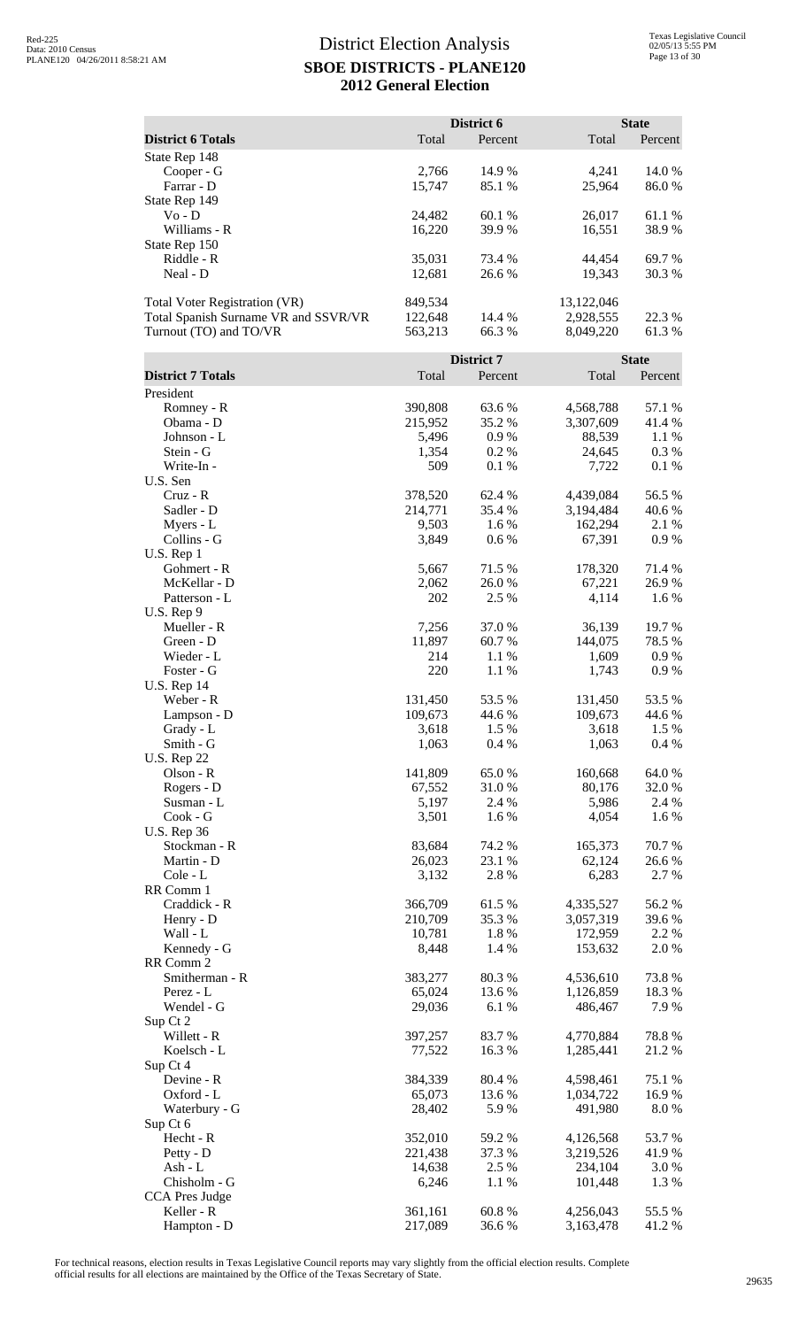|                                                                                                        |                               | District 6       |                                      | <b>State</b>    |
|--------------------------------------------------------------------------------------------------------|-------------------------------|------------------|--------------------------------------|-----------------|
| <b>District 6 Totals</b>                                                                               | Total                         | Percent          | Total                                | Percent         |
| State Rep 148<br>Cooper - G<br>Farrar - D<br>State Rep 149                                             | 2,766<br>15,747               | 14.9%<br>85.1 %  | 4,241<br>25,964                      | 14.0%<br>86.0%  |
| $Vo - D$<br>Williams - R<br>State Rep 150                                                              | 24,482<br>16,220              | 60.1%<br>39.9%   | 26,017<br>16,551                     | 61.1 %<br>38.9% |
| Riddle - R<br>Neal - D                                                                                 | 35,031<br>12,681              | 73.4 %<br>26.6%  | 44,454<br>19,343                     | 69.7%<br>30.3 % |
| <b>Total Voter Registration (VR)</b><br>Total Spanish Surname VR and SSVR/VR<br>Turnout (TO) and TO/VR | 849,534<br>122,648<br>563,213 | 14.4 %<br>66.3 % | 13,122,046<br>2,928,555<br>8,049,220 | 22.3 %<br>61.3% |
|                                                                                                        |                               | District 7       |                                      | <b>State</b>    |
| <b>District 7 Totals</b>                                                                               | Total                         | Percent          | Total                                | Percent         |
| President<br>Romney - R                                                                                | 390,808                       | 63.6%            | 4,568,788                            | 57.1 %          |
| Obama - D                                                                                              | 215,952                       | 35.2 %           | 3,307,609                            | 41.4 %          |
| Johnson - L                                                                                            | 5,496                         | 0.9%             | 88,539                               | 1.1 %           |
| Stein - G                                                                                              | 1,354                         | 0.2 %            | 24,645                               | 0.3 %           |
| Write-In-                                                                                              | 509                           | 0.1%             | 7,722                                | 0.1 %           |
| U.S. Sen<br>$Cruz - R$                                                                                 | 378,520                       | 62.4 %           | 4,439,084                            | 56.5 %          |
| Sadler - D                                                                                             | 214,771                       | 35.4 %           | 3,194,484                            | 40.6 %          |
| Myers - L                                                                                              | 9,503                         | 1.6 %            | 162,294                              | 2.1 %           |
| Collins - G                                                                                            | 3,849                         | 0.6%             | 67,391                               | 0.9 %           |
| U.S. Rep 1                                                                                             |                               |                  |                                      |                 |
| Gohmert - R                                                                                            | 5,667                         | 71.5 %           | 178,320                              | 71.4 %          |
| McKellar - D<br>Patterson - L                                                                          | 2,062<br>202                  | 26.0 %<br>2.5 %  | 67,221<br>4,114                      | 26.9 %<br>1.6%  |
| U.S. Rep 9                                                                                             |                               |                  |                                      |                 |
| Mueller - R                                                                                            | 7,256                         | 37.0%            | 36,139                               | 19.7%           |
| Green - D                                                                                              | 11,897                        | 60.7 %           | 144,075                              | 78.5 %          |
| Wieder - L                                                                                             | 214                           | 1.1 %            | 1,609                                | 0.9 %           |
| Foster - G<br><b>U.S. Rep 14</b>                                                                       | 220                           | 1.1 %            | 1,743                                | 0.9%            |
| Weber - R                                                                                              | 131,450                       | 53.5 %           | 131,450                              | 53.5 %          |
| Lampson - D                                                                                            | 109,673                       | 44.6 %           | 109,673                              | 44.6 %          |
| Grady - L                                                                                              | 3,618                         | 1.5 %            | 3,618                                | 1.5 %           |
| Smith - G                                                                                              | 1,063                         | 0.4%             | 1,063                                | 0.4 %           |
| <b>U.S. Rep 22</b><br>Olson - R                                                                        | 141,809                       | 65.0%            | 160,668                              | 64.0%           |
| Rogers - D                                                                                             | 67,552                        | 31.0%            | 80,176                               | 32.0 %          |
| Susman - L                                                                                             | 5,197                         | 2.4 %            | 5,986                                | 2.4 %           |
| Cook - G                                                                                               | 3,501                         | 1.6%             | 4,054                                | 1.6 %           |
| <b>U.S. Rep 36</b>                                                                                     |                               |                  |                                      |                 |
| Stockman - R                                                                                           | 83,684                        | 74.2 %           | 165,373                              | 70.7%           |
| Martin - D                                                                                             | 26,023                        | 23.1 %           | 62,124                               | 26.6%           |
| Cole - L<br>RR Comm 1                                                                                  | 3,132                         | 2.8 %            | 6,283                                | 2.7 %           |
| Craddick - R                                                                                           | 366,709                       | 61.5%            | 4,335,527                            | 56.2%           |
| Henry - D                                                                                              | 210,709                       | 35.3 %           | 3,057,319                            | 39.6%           |
| Wall - L                                                                                               | 10,781                        | 1.8%             | 172,959                              | 2.2 %           |
| Kennedy - G                                                                                            | 8,448                         | 1.4 %            | 153,632                              | 2.0%            |
| RR Comm 2                                                                                              |                               |                  |                                      |                 |
| Smitherman - R                                                                                         | 383,277                       | 80.3%            | 4,536,610                            | 73.8%           |
| Perez - L<br>Wendel - G                                                                                | 65,024<br>29,036              | 13.6 %<br>6.1%   | 1,126,859<br>486,467                 | 18.3 %<br>7.9%  |
| Sup Ct 2                                                                                               |                               |                  |                                      |                 |
| Willett - R                                                                                            | 397,257                       | 83.7%            | 4,770,884                            | 78.8%           |
| Koelsch - L                                                                                            | 77,522                        | 16.3%            | 1,285,441                            | 21.2%           |
| Sup Ct 4<br>Devine - R                                                                                 | 384,339                       | 80.4%            | 4,598,461                            | 75.1 %          |
| Oxford - L                                                                                             | 65,073                        | 13.6 %           | 1,034,722                            | 16.9%           |
| Waterbury - G                                                                                          | 28,402                        | 5.9%             | 491,980                              | 8.0%            |
| Sup Ct 6                                                                                               |                               |                  |                                      |                 |
| Hecht - R                                                                                              | 352,010                       | 59.2%            | 4,126,568                            | 53.7%           |
| Petty - D                                                                                              | 221,438                       | 37.3 %           | 3,219,526                            | 41.9%           |
| Ash - L                                                                                                | 14,638                        | 2.5 %            | 234,104                              | 3.0 %           |
| Chisholm - G<br>CCA Pres Judge                                                                         | 6,246                         | 1.1 %            | 101,448                              | 1.3 %           |
| Keller - R                                                                                             | 361,161                       | 60.8%            | 4,256,043                            | 55.5 %          |
| Hampton - D                                                                                            | 217,089                       | 36.6%            | 3,163,478                            | 41.2%           |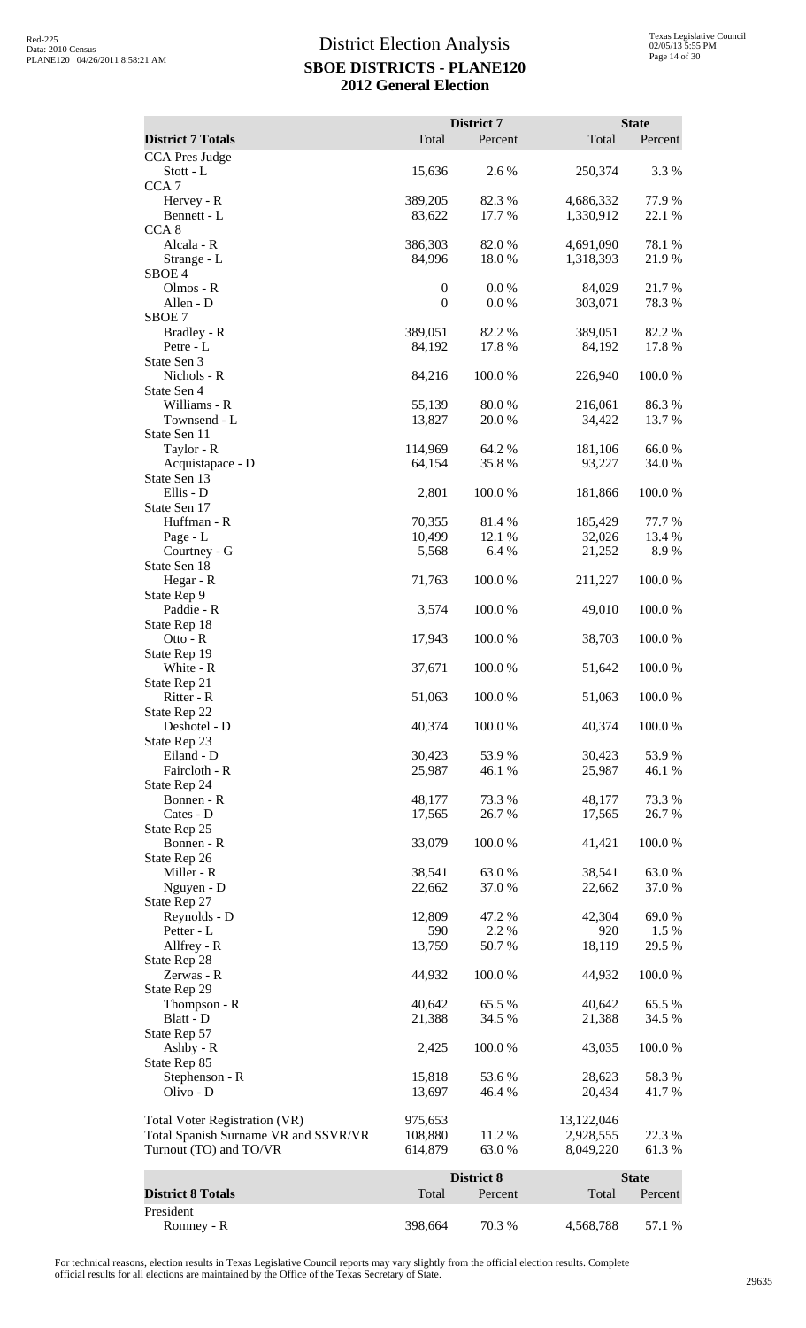| Total<br>Total<br>Percent<br>Percent<br>CCA Pres Judge<br>2.6%<br>3.3 %<br>Stott - L<br>15,636<br>250,374<br>CCA <sub>7</sub><br>Hervey - R<br>389,205<br>82.3 %<br>4,686,332<br>77.9 %<br>17.7 %<br>Bennett - L<br>83,622<br>1,330,912<br>22.1 %<br>CCA <sub>8</sub><br>Alcala - R<br>78.1 %<br>386,303<br>82.0 %<br>4,691,090<br>84,996<br>18.0%<br>1,318,393<br>21.9 %<br>Strange - L<br>SBOE <sub>4</sub><br>Olmos - R<br>$\boldsymbol{0}$<br>0.0 %<br>21.7%<br>84,029<br>$\boldsymbol{0}$<br>Allen - D<br>0.0 %<br>303,071<br>78.3 %<br>SBOE <sub>7</sub><br>Bradley - R<br>82.2 %<br>389,051<br>82.2 %<br>389,051<br>Petre - L<br>17.8%<br>17.8 %<br>84,192<br>84,192<br>State Sen 3<br>Nichols - R<br>100.0%<br>100.0%<br>84,216<br>226,940<br>State Sen 4<br>Williams - R<br>55,139<br>80.0%<br>86.3%<br>216,061<br>Townsend - L<br>13,827<br>20.0 %<br>34,422<br>13.7 %<br>State Sen 11<br>Taylor - R<br>114,969<br>64.2 %<br>181,106<br>66.0%<br>Acquistapace - D<br>64,154<br>35.8%<br>93,227<br>34.0 %<br>State Sen 13<br>Ellis - D<br>2,801<br>100.0 %<br>181,866<br>100.0 %<br>State Sen 17<br>Huffman - R<br>70,355<br>81.4%<br>77.7 %<br>185,429<br>10,499<br>32,026<br>Page - L<br>12.1 %<br>13.4 %<br>8.9%<br>Courtney - G<br>5,568<br>6.4 %<br>21,252<br>State Sen 18<br>Hegar - R<br>100.0%<br>100.0%<br>71,763<br>211,227<br>State Rep 9<br>Paddie - R<br>3,574<br>100.0%<br>49,010<br>100.0%<br>State Rep 18<br>17,943<br>100.0%<br>38,703<br>100.0%<br>Otto - $R$<br>State Rep 19<br>White - R<br>37,671<br>100.0 %<br>51,642<br>100.0 %<br>State Rep 21<br>Ritter - R<br>51,063<br>100.0%<br>51,063<br>100.0%<br>State Rep 22<br>Deshotel - D<br>40,374<br>100.0%<br>100.0%<br>40,374<br>State Rep 23<br>Eiland - D<br>30,423<br>53.9%<br>30,423<br>53.9%<br>Faircloth - R<br>25,987<br>25,987<br>46.1 %<br>46.1 %<br>State Rep 24<br>Bonnen - R<br>73.3 %<br>73.3 %<br>48,177<br>48,177<br>Cates - D<br>17,565<br>26.7%<br>17,565<br>26.7%<br>State Rep 25<br>Bonnen - R<br>100.0%<br>100.0%<br>33,079<br>41,421<br>State Rep 26<br>Miller - R<br>38,541<br>38,541<br>63.0 %<br>63.0%<br>Nguyen - D<br>37.0%<br>37.0%<br>22,662<br>22,662<br>State Rep 27<br>Reynolds - D<br>69.0%<br>12,809<br>47.2 %<br>42,304<br>590<br>2.2 %<br>1.5 %<br>Petter - L<br>920<br>Allfrey - R<br>13,759<br>50.7%<br>29.5 %<br>18,119<br>State Rep 28<br>Zerwas - R<br>44,932<br>100.0%<br>44,932<br>100.0%<br>State Rep 29<br>Thompson - R<br>65.5 %<br>65.5 %<br>40,642<br>40,642<br>Blatt - D<br>21,388<br>34.5 %<br>21,388<br>34.5 %<br>State Rep 57<br>Ashby - R<br>100.0%<br>100.0%<br>2,425<br>43,035<br>State Rep 85<br>Stephenson - R<br>15,818<br>53.6%<br>28,623<br>58.3%<br>Olivo - D<br>46.4 %<br>13,697<br>20,434<br>41.7 %<br>975,653<br>13,122,046<br><b>Total Voter Registration (VR)</b><br>Total Spanish Surname VR and SSVR/VR<br>11.2 %<br>22.3 %<br>108,880<br>2,928,555<br>Turnout (TO) and TO/VR<br>63.0%<br>614,879<br>8,049,220<br>61.3%<br>District 8<br><b>State</b><br><b>District 8 Totals</b><br>Total<br>Percent<br>Total<br>Percent<br>President |                          |         | District 7 |           | <b>State</b> |
|-------------------------------------------------------------------------------------------------------------------------------------------------------------------------------------------------------------------------------------------------------------------------------------------------------------------------------------------------------------------------------------------------------------------------------------------------------------------------------------------------------------------------------------------------------------------------------------------------------------------------------------------------------------------------------------------------------------------------------------------------------------------------------------------------------------------------------------------------------------------------------------------------------------------------------------------------------------------------------------------------------------------------------------------------------------------------------------------------------------------------------------------------------------------------------------------------------------------------------------------------------------------------------------------------------------------------------------------------------------------------------------------------------------------------------------------------------------------------------------------------------------------------------------------------------------------------------------------------------------------------------------------------------------------------------------------------------------------------------------------------------------------------------------------------------------------------------------------------------------------------------------------------------------------------------------------------------------------------------------------------------------------------------------------------------------------------------------------------------------------------------------------------------------------------------------------------------------------------------------------------------------------------------------------------------------------------------------------------------------------------------------------------------------------------------------------------------------------------------------------------------------------------------------------------------------------------------------------------------------------------------------------------------------------------------------------------------------------------------------------------------------------------------------------------------------------------------------------------------------------------------------------------------------------------------------------------------------------------------------------------------------------------------------------------------------------------------------------|--------------------------|---------|------------|-----------|--------------|
|                                                                                                                                                                                                                                                                                                                                                                                                                                                                                                                                                                                                                                                                                                                                                                                                                                                                                                                                                                                                                                                                                                                                                                                                                                                                                                                                                                                                                                                                                                                                                                                                                                                                                                                                                                                                                                                                                                                                                                                                                                                                                                                                                                                                                                                                                                                                                                                                                                                                                                                                                                                                                                                                                                                                                                                                                                                                                                                                                                                                                                                                                           | <b>District 7 Totals</b> |         |            |           |              |
|                                                                                                                                                                                                                                                                                                                                                                                                                                                                                                                                                                                                                                                                                                                                                                                                                                                                                                                                                                                                                                                                                                                                                                                                                                                                                                                                                                                                                                                                                                                                                                                                                                                                                                                                                                                                                                                                                                                                                                                                                                                                                                                                                                                                                                                                                                                                                                                                                                                                                                                                                                                                                                                                                                                                                                                                                                                                                                                                                                                                                                                                                           |                          |         |            |           |              |
|                                                                                                                                                                                                                                                                                                                                                                                                                                                                                                                                                                                                                                                                                                                                                                                                                                                                                                                                                                                                                                                                                                                                                                                                                                                                                                                                                                                                                                                                                                                                                                                                                                                                                                                                                                                                                                                                                                                                                                                                                                                                                                                                                                                                                                                                                                                                                                                                                                                                                                                                                                                                                                                                                                                                                                                                                                                                                                                                                                                                                                                                                           |                          |         |            |           |              |
|                                                                                                                                                                                                                                                                                                                                                                                                                                                                                                                                                                                                                                                                                                                                                                                                                                                                                                                                                                                                                                                                                                                                                                                                                                                                                                                                                                                                                                                                                                                                                                                                                                                                                                                                                                                                                                                                                                                                                                                                                                                                                                                                                                                                                                                                                                                                                                                                                                                                                                                                                                                                                                                                                                                                                                                                                                                                                                                                                                                                                                                                                           |                          |         |            |           |              |
|                                                                                                                                                                                                                                                                                                                                                                                                                                                                                                                                                                                                                                                                                                                                                                                                                                                                                                                                                                                                                                                                                                                                                                                                                                                                                                                                                                                                                                                                                                                                                                                                                                                                                                                                                                                                                                                                                                                                                                                                                                                                                                                                                                                                                                                                                                                                                                                                                                                                                                                                                                                                                                                                                                                                                                                                                                                                                                                                                                                                                                                                                           |                          |         |            |           |              |
|                                                                                                                                                                                                                                                                                                                                                                                                                                                                                                                                                                                                                                                                                                                                                                                                                                                                                                                                                                                                                                                                                                                                                                                                                                                                                                                                                                                                                                                                                                                                                                                                                                                                                                                                                                                                                                                                                                                                                                                                                                                                                                                                                                                                                                                                                                                                                                                                                                                                                                                                                                                                                                                                                                                                                                                                                                                                                                                                                                                                                                                                                           |                          |         |            |           |              |
|                                                                                                                                                                                                                                                                                                                                                                                                                                                                                                                                                                                                                                                                                                                                                                                                                                                                                                                                                                                                                                                                                                                                                                                                                                                                                                                                                                                                                                                                                                                                                                                                                                                                                                                                                                                                                                                                                                                                                                                                                                                                                                                                                                                                                                                                                                                                                                                                                                                                                                                                                                                                                                                                                                                                                                                                                                                                                                                                                                                                                                                                                           |                          |         |            |           |              |
|                                                                                                                                                                                                                                                                                                                                                                                                                                                                                                                                                                                                                                                                                                                                                                                                                                                                                                                                                                                                                                                                                                                                                                                                                                                                                                                                                                                                                                                                                                                                                                                                                                                                                                                                                                                                                                                                                                                                                                                                                                                                                                                                                                                                                                                                                                                                                                                                                                                                                                                                                                                                                                                                                                                                                                                                                                                                                                                                                                                                                                                                                           |                          |         |            |           |              |
|                                                                                                                                                                                                                                                                                                                                                                                                                                                                                                                                                                                                                                                                                                                                                                                                                                                                                                                                                                                                                                                                                                                                                                                                                                                                                                                                                                                                                                                                                                                                                                                                                                                                                                                                                                                                                                                                                                                                                                                                                                                                                                                                                                                                                                                                                                                                                                                                                                                                                                                                                                                                                                                                                                                                                                                                                                                                                                                                                                                                                                                                                           |                          |         |            |           |              |
|                                                                                                                                                                                                                                                                                                                                                                                                                                                                                                                                                                                                                                                                                                                                                                                                                                                                                                                                                                                                                                                                                                                                                                                                                                                                                                                                                                                                                                                                                                                                                                                                                                                                                                                                                                                                                                                                                                                                                                                                                                                                                                                                                                                                                                                                                                                                                                                                                                                                                                                                                                                                                                                                                                                                                                                                                                                                                                                                                                                                                                                                                           |                          |         |            |           |              |
|                                                                                                                                                                                                                                                                                                                                                                                                                                                                                                                                                                                                                                                                                                                                                                                                                                                                                                                                                                                                                                                                                                                                                                                                                                                                                                                                                                                                                                                                                                                                                                                                                                                                                                                                                                                                                                                                                                                                                                                                                                                                                                                                                                                                                                                                                                                                                                                                                                                                                                                                                                                                                                                                                                                                                                                                                                                                                                                                                                                                                                                                                           |                          |         |            |           |              |
|                                                                                                                                                                                                                                                                                                                                                                                                                                                                                                                                                                                                                                                                                                                                                                                                                                                                                                                                                                                                                                                                                                                                                                                                                                                                                                                                                                                                                                                                                                                                                                                                                                                                                                                                                                                                                                                                                                                                                                                                                                                                                                                                                                                                                                                                                                                                                                                                                                                                                                                                                                                                                                                                                                                                                                                                                                                                                                                                                                                                                                                                                           |                          |         |            |           |              |
|                                                                                                                                                                                                                                                                                                                                                                                                                                                                                                                                                                                                                                                                                                                                                                                                                                                                                                                                                                                                                                                                                                                                                                                                                                                                                                                                                                                                                                                                                                                                                                                                                                                                                                                                                                                                                                                                                                                                                                                                                                                                                                                                                                                                                                                                                                                                                                                                                                                                                                                                                                                                                                                                                                                                                                                                                                                                                                                                                                                                                                                                                           |                          |         |            |           |              |
|                                                                                                                                                                                                                                                                                                                                                                                                                                                                                                                                                                                                                                                                                                                                                                                                                                                                                                                                                                                                                                                                                                                                                                                                                                                                                                                                                                                                                                                                                                                                                                                                                                                                                                                                                                                                                                                                                                                                                                                                                                                                                                                                                                                                                                                                                                                                                                                                                                                                                                                                                                                                                                                                                                                                                                                                                                                                                                                                                                                                                                                                                           |                          |         |            |           |              |
|                                                                                                                                                                                                                                                                                                                                                                                                                                                                                                                                                                                                                                                                                                                                                                                                                                                                                                                                                                                                                                                                                                                                                                                                                                                                                                                                                                                                                                                                                                                                                                                                                                                                                                                                                                                                                                                                                                                                                                                                                                                                                                                                                                                                                                                                                                                                                                                                                                                                                                                                                                                                                                                                                                                                                                                                                                                                                                                                                                                                                                                                                           |                          |         |            |           |              |
|                                                                                                                                                                                                                                                                                                                                                                                                                                                                                                                                                                                                                                                                                                                                                                                                                                                                                                                                                                                                                                                                                                                                                                                                                                                                                                                                                                                                                                                                                                                                                                                                                                                                                                                                                                                                                                                                                                                                                                                                                                                                                                                                                                                                                                                                                                                                                                                                                                                                                                                                                                                                                                                                                                                                                                                                                                                                                                                                                                                                                                                                                           |                          |         |            |           |              |
|                                                                                                                                                                                                                                                                                                                                                                                                                                                                                                                                                                                                                                                                                                                                                                                                                                                                                                                                                                                                                                                                                                                                                                                                                                                                                                                                                                                                                                                                                                                                                                                                                                                                                                                                                                                                                                                                                                                                                                                                                                                                                                                                                                                                                                                                                                                                                                                                                                                                                                                                                                                                                                                                                                                                                                                                                                                                                                                                                                                                                                                                                           |                          |         |            |           |              |
|                                                                                                                                                                                                                                                                                                                                                                                                                                                                                                                                                                                                                                                                                                                                                                                                                                                                                                                                                                                                                                                                                                                                                                                                                                                                                                                                                                                                                                                                                                                                                                                                                                                                                                                                                                                                                                                                                                                                                                                                                                                                                                                                                                                                                                                                                                                                                                                                                                                                                                                                                                                                                                                                                                                                                                                                                                                                                                                                                                                                                                                                                           |                          |         |            |           |              |
|                                                                                                                                                                                                                                                                                                                                                                                                                                                                                                                                                                                                                                                                                                                                                                                                                                                                                                                                                                                                                                                                                                                                                                                                                                                                                                                                                                                                                                                                                                                                                                                                                                                                                                                                                                                                                                                                                                                                                                                                                                                                                                                                                                                                                                                                                                                                                                                                                                                                                                                                                                                                                                                                                                                                                                                                                                                                                                                                                                                                                                                                                           |                          |         |            |           |              |
|                                                                                                                                                                                                                                                                                                                                                                                                                                                                                                                                                                                                                                                                                                                                                                                                                                                                                                                                                                                                                                                                                                                                                                                                                                                                                                                                                                                                                                                                                                                                                                                                                                                                                                                                                                                                                                                                                                                                                                                                                                                                                                                                                                                                                                                                                                                                                                                                                                                                                                                                                                                                                                                                                                                                                                                                                                                                                                                                                                                                                                                                                           |                          |         |            |           |              |
|                                                                                                                                                                                                                                                                                                                                                                                                                                                                                                                                                                                                                                                                                                                                                                                                                                                                                                                                                                                                                                                                                                                                                                                                                                                                                                                                                                                                                                                                                                                                                                                                                                                                                                                                                                                                                                                                                                                                                                                                                                                                                                                                                                                                                                                                                                                                                                                                                                                                                                                                                                                                                                                                                                                                                                                                                                                                                                                                                                                                                                                                                           |                          |         |            |           |              |
|                                                                                                                                                                                                                                                                                                                                                                                                                                                                                                                                                                                                                                                                                                                                                                                                                                                                                                                                                                                                                                                                                                                                                                                                                                                                                                                                                                                                                                                                                                                                                                                                                                                                                                                                                                                                                                                                                                                                                                                                                                                                                                                                                                                                                                                                                                                                                                                                                                                                                                                                                                                                                                                                                                                                                                                                                                                                                                                                                                                                                                                                                           |                          |         |            |           |              |
|                                                                                                                                                                                                                                                                                                                                                                                                                                                                                                                                                                                                                                                                                                                                                                                                                                                                                                                                                                                                                                                                                                                                                                                                                                                                                                                                                                                                                                                                                                                                                                                                                                                                                                                                                                                                                                                                                                                                                                                                                                                                                                                                                                                                                                                                                                                                                                                                                                                                                                                                                                                                                                                                                                                                                                                                                                                                                                                                                                                                                                                                                           |                          |         |            |           |              |
|                                                                                                                                                                                                                                                                                                                                                                                                                                                                                                                                                                                                                                                                                                                                                                                                                                                                                                                                                                                                                                                                                                                                                                                                                                                                                                                                                                                                                                                                                                                                                                                                                                                                                                                                                                                                                                                                                                                                                                                                                                                                                                                                                                                                                                                                                                                                                                                                                                                                                                                                                                                                                                                                                                                                                                                                                                                                                                                                                                                                                                                                                           |                          |         |            |           |              |
|                                                                                                                                                                                                                                                                                                                                                                                                                                                                                                                                                                                                                                                                                                                                                                                                                                                                                                                                                                                                                                                                                                                                                                                                                                                                                                                                                                                                                                                                                                                                                                                                                                                                                                                                                                                                                                                                                                                                                                                                                                                                                                                                                                                                                                                                                                                                                                                                                                                                                                                                                                                                                                                                                                                                                                                                                                                                                                                                                                                                                                                                                           |                          |         |            |           |              |
|                                                                                                                                                                                                                                                                                                                                                                                                                                                                                                                                                                                                                                                                                                                                                                                                                                                                                                                                                                                                                                                                                                                                                                                                                                                                                                                                                                                                                                                                                                                                                                                                                                                                                                                                                                                                                                                                                                                                                                                                                                                                                                                                                                                                                                                                                                                                                                                                                                                                                                                                                                                                                                                                                                                                                                                                                                                                                                                                                                                                                                                                                           |                          |         |            |           |              |
|                                                                                                                                                                                                                                                                                                                                                                                                                                                                                                                                                                                                                                                                                                                                                                                                                                                                                                                                                                                                                                                                                                                                                                                                                                                                                                                                                                                                                                                                                                                                                                                                                                                                                                                                                                                                                                                                                                                                                                                                                                                                                                                                                                                                                                                                                                                                                                                                                                                                                                                                                                                                                                                                                                                                                                                                                                                                                                                                                                                                                                                                                           |                          |         |            |           |              |
|                                                                                                                                                                                                                                                                                                                                                                                                                                                                                                                                                                                                                                                                                                                                                                                                                                                                                                                                                                                                                                                                                                                                                                                                                                                                                                                                                                                                                                                                                                                                                                                                                                                                                                                                                                                                                                                                                                                                                                                                                                                                                                                                                                                                                                                                                                                                                                                                                                                                                                                                                                                                                                                                                                                                                                                                                                                                                                                                                                                                                                                                                           |                          |         |            |           |              |
|                                                                                                                                                                                                                                                                                                                                                                                                                                                                                                                                                                                                                                                                                                                                                                                                                                                                                                                                                                                                                                                                                                                                                                                                                                                                                                                                                                                                                                                                                                                                                                                                                                                                                                                                                                                                                                                                                                                                                                                                                                                                                                                                                                                                                                                                                                                                                                                                                                                                                                                                                                                                                                                                                                                                                                                                                                                                                                                                                                                                                                                                                           |                          |         |            |           |              |
|                                                                                                                                                                                                                                                                                                                                                                                                                                                                                                                                                                                                                                                                                                                                                                                                                                                                                                                                                                                                                                                                                                                                                                                                                                                                                                                                                                                                                                                                                                                                                                                                                                                                                                                                                                                                                                                                                                                                                                                                                                                                                                                                                                                                                                                                                                                                                                                                                                                                                                                                                                                                                                                                                                                                                                                                                                                                                                                                                                                                                                                                                           |                          |         |            |           |              |
|                                                                                                                                                                                                                                                                                                                                                                                                                                                                                                                                                                                                                                                                                                                                                                                                                                                                                                                                                                                                                                                                                                                                                                                                                                                                                                                                                                                                                                                                                                                                                                                                                                                                                                                                                                                                                                                                                                                                                                                                                                                                                                                                                                                                                                                                                                                                                                                                                                                                                                                                                                                                                                                                                                                                                                                                                                                                                                                                                                                                                                                                                           |                          |         |            |           |              |
|                                                                                                                                                                                                                                                                                                                                                                                                                                                                                                                                                                                                                                                                                                                                                                                                                                                                                                                                                                                                                                                                                                                                                                                                                                                                                                                                                                                                                                                                                                                                                                                                                                                                                                                                                                                                                                                                                                                                                                                                                                                                                                                                                                                                                                                                                                                                                                                                                                                                                                                                                                                                                                                                                                                                                                                                                                                                                                                                                                                                                                                                                           |                          |         |            |           |              |
|                                                                                                                                                                                                                                                                                                                                                                                                                                                                                                                                                                                                                                                                                                                                                                                                                                                                                                                                                                                                                                                                                                                                                                                                                                                                                                                                                                                                                                                                                                                                                                                                                                                                                                                                                                                                                                                                                                                                                                                                                                                                                                                                                                                                                                                                                                                                                                                                                                                                                                                                                                                                                                                                                                                                                                                                                                                                                                                                                                                                                                                                                           |                          |         |            |           |              |
|                                                                                                                                                                                                                                                                                                                                                                                                                                                                                                                                                                                                                                                                                                                                                                                                                                                                                                                                                                                                                                                                                                                                                                                                                                                                                                                                                                                                                                                                                                                                                                                                                                                                                                                                                                                                                                                                                                                                                                                                                                                                                                                                                                                                                                                                                                                                                                                                                                                                                                                                                                                                                                                                                                                                                                                                                                                                                                                                                                                                                                                                                           |                          |         |            |           |              |
|                                                                                                                                                                                                                                                                                                                                                                                                                                                                                                                                                                                                                                                                                                                                                                                                                                                                                                                                                                                                                                                                                                                                                                                                                                                                                                                                                                                                                                                                                                                                                                                                                                                                                                                                                                                                                                                                                                                                                                                                                                                                                                                                                                                                                                                                                                                                                                                                                                                                                                                                                                                                                                                                                                                                                                                                                                                                                                                                                                                                                                                                                           |                          |         |            |           |              |
|                                                                                                                                                                                                                                                                                                                                                                                                                                                                                                                                                                                                                                                                                                                                                                                                                                                                                                                                                                                                                                                                                                                                                                                                                                                                                                                                                                                                                                                                                                                                                                                                                                                                                                                                                                                                                                                                                                                                                                                                                                                                                                                                                                                                                                                                                                                                                                                                                                                                                                                                                                                                                                                                                                                                                                                                                                                                                                                                                                                                                                                                                           |                          |         |            |           |              |
|                                                                                                                                                                                                                                                                                                                                                                                                                                                                                                                                                                                                                                                                                                                                                                                                                                                                                                                                                                                                                                                                                                                                                                                                                                                                                                                                                                                                                                                                                                                                                                                                                                                                                                                                                                                                                                                                                                                                                                                                                                                                                                                                                                                                                                                                                                                                                                                                                                                                                                                                                                                                                                                                                                                                                                                                                                                                                                                                                                                                                                                                                           |                          |         |            |           |              |
|                                                                                                                                                                                                                                                                                                                                                                                                                                                                                                                                                                                                                                                                                                                                                                                                                                                                                                                                                                                                                                                                                                                                                                                                                                                                                                                                                                                                                                                                                                                                                                                                                                                                                                                                                                                                                                                                                                                                                                                                                                                                                                                                                                                                                                                                                                                                                                                                                                                                                                                                                                                                                                                                                                                                                                                                                                                                                                                                                                                                                                                                                           |                          |         |            |           |              |
|                                                                                                                                                                                                                                                                                                                                                                                                                                                                                                                                                                                                                                                                                                                                                                                                                                                                                                                                                                                                                                                                                                                                                                                                                                                                                                                                                                                                                                                                                                                                                                                                                                                                                                                                                                                                                                                                                                                                                                                                                                                                                                                                                                                                                                                                                                                                                                                                                                                                                                                                                                                                                                                                                                                                                                                                                                                                                                                                                                                                                                                                                           |                          |         |            |           |              |
|                                                                                                                                                                                                                                                                                                                                                                                                                                                                                                                                                                                                                                                                                                                                                                                                                                                                                                                                                                                                                                                                                                                                                                                                                                                                                                                                                                                                                                                                                                                                                                                                                                                                                                                                                                                                                                                                                                                                                                                                                                                                                                                                                                                                                                                                                                                                                                                                                                                                                                                                                                                                                                                                                                                                                                                                                                                                                                                                                                                                                                                                                           |                          |         |            |           |              |
|                                                                                                                                                                                                                                                                                                                                                                                                                                                                                                                                                                                                                                                                                                                                                                                                                                                                                                                                                                                                                                                                                                                                                                                                                                                                                                                                                                                                                                                                                                                                                                                                                                                                                                                                                                                                                                                                                                                                                                                                                                                                                                                                                                                                                                                                                                                                                                                                                                                                                                                                                                                                                                                                                                                                                                                                                                                                                                                                                                                                                                                                                           |                          |         |            |           |              |
|                                                                                                                                                                                                                                                                                                                                                                                                                                                                                                                                                                                                                                                                                                                                                                                                                                                                                                                                                                                                                                                                                                                                                                                                                                                                                                                                                                                                                                                                                                                                                                                                                                                                                                                                                                                                                                                                                                                                                                                                                                                                                                                                                                                                                                                                                                                                                                                                                                                                                                                                                                                                                                                                                                                                                                                                                                                                                                                                                                                                                                                                                           |                          |         |            |           |              |
|                                                                                                                                                                                                                                                                                                                                                                                                                                                                                                                                                                                                                                                                                                                                                                                                                                                                                                                                                                                                                                                                                                                                                                                                                                                                                                                                                                                                                                                                                                                                                                                                                                                                                                                                                                                                                                                                                                                                                                                                                                                                                                                                                                                                                                                                                                                                                                                                                                                                                                                                                                                                                                                                                                                                                                                                                                                                                                                                                                                                                                                                                           |                          |         |            |           |              |
|                                                                                                                                                                                                                                                                                                                                                                                                                                                                                                                                                                                                                                                                                                                                                                                                                                                                                                                                                                                                                                                                                                                                                                                                                                                                                                                                                                                                                                                                                                                                                                                                                                                                                                                                                                                                                                                                                                                                                                                                                                                                                                                                                                                                                                                                                                                                                                                                                                                                                                                                                                                                                                                                                                                                                                                                                                                                                                                                                                                                                                                                                           |                          |         |            |           |              |
|                                                                                                                                                                                                                                                                                                                                                                                                                                                                                                                                                                                                                                                                                                                                                                                                                                                                                                                                                                                                                                                                                                                                                                                                                                                                                                                                                                                                                                                                                                                                                                                                                                                                                                                                                                                                                                                                                                                                                                                                                                                                                                                                                                                                                                                                                                                                                                                                                                                                                                                                                                                                                                                                                                                                                                                                                                                                                                                                                                                                                                                                                           |                          |         |            |           |              |
|                                                                                                                                                                                                                                                                                                                                                                                                                                                                                                                                                                                                                                                                                                                                                                                                                                                                                                                                                                                                                                                                                                                                                                                                                                                                                                                                                                                                                                                                                                                                                                                                                                                                                                                                                                                                                                                                                                                                                                                                                                                                                                                                                                                                                                                                                                                                                                                                                                                                                                                                                                                                                                                                                                                                                                                                                                                                                                                                                                                                                                                                                           |                          |         |            |           |              |
|                                                                                                                                                                                                                                                                                                                                                                                                                                                                                                                                                                                                                                                                                                                                                                                                                                                                                                                                                                                                                                                                                                                                                                                                                                                                                                                                                                                                                                                                                                                                                                                                                                                                                                                                                                                                                                                                                                                                                                                                                                                                                                                                                                                                                                                                                                                                                                                                                                                                                                                                                                                                                                                                                                                                                                                                                                                                                                                                                                                                                                                                                           |                          |         |            |           |              |
|                                                                                                                                                                                                                                                                                                                                                                                                                                                                                                                                                                                                                                                                                                                                                                                                                                                                                                                                                                                                                                                                                                                                                                                                                                                                                                                                                                                                                                                                                                                                                                                                                                                                                                                                                                                                                                                                                                                                                                                                                                                                                                                                                                                                                                                                                                                                                                                                                                                                                                                                                                                                                                                                                                                                                                                                                                                                                                                                                                                                                                                                                           |                          |         |            |           |              |
|                                                                                                                                                                                                                                                                                                                                                                                                                                                                                                                                                                                                                                                                                                                                                                                                                                                                                                                                                                                                                                                                                                                                                                                                                                                                                                                                                                                                                                                                                                                                                                                                                                                                                                                                                                                                                                                                                                                                                                                                                                                                                                                                                                                                                                                                                                                                                                                                                                                                                                                                                                                                                                                                                                                                                                                                                                                                                                                                                                                                                                                                                           |                          |         |            |           |              |
|                                                                                                                                                                                                                                                                                                                                                                                                                                                                                                                                                                                                                                                                                                                                                                                                                                                                                                                                                                                                                                                                                                                                                                                                                                                                                                                                                                                                                                                                                                                                                                                                                                                                                                                                                                                                                                                                                                                                                                                                                                                                                                                                                                                                                                                                                                                                                                                                                                                                                                                                                                                                                                                                                                                                                                                                                                                                                                                                                                                                                                                                                           |                          |         |            |           |              |
|                                                                                                                                                                                                                                                                                                                                                                                                                                                                                                                                                                                                                                                                                                                                                                                                                                                                                                                                                                                                                                                                                                                                                                                                                                                                                                                                                                                                                                                                                                                                                                                                                                                                                                                                                                                                                                                                                                                                                                                                                                                                                                                                                                                                                                                                                                                                                                                                                                                                                                                                                                                                                                                                                                                                                                                                                                                                                                                                                                                                                                                                                           |                          |         |            |           |              |
|                                                                                                                                                                                                                                                                                                                                                                                                                                                                                                                                                                                                                                                                                                                                                                                                                                                                                                                                                                                                                                                                                                                                                                                                                                                                                                                                                                                                                                                                                                                                                                                                                                                                                                                                                                                                                                                                                                                                                                                                                                                                                                                                                                                                                                                                                                                                                                                                                                                                                                                                                                                                                                                                                                                                                                                                                                                                                                                                                                                                                                                                                           |                          |         |            |           |              |
|                                                                                                                                                                                                                                                                                                                                                                                                                                                                                                                                                                                                                                                                                                                                                                                                                                                                                                                                                                                                                                                                                                                                                                                                                                                                                                                                                                                                                                                                                                                                                                                                                                                                                                                                                                                                                                                                                                                                                                                                                                                                                                                                                                                                                                                                                                                                                                                                                                                                                                                                                                                                                                                                                                                                                                                                                                                                                                                                                                                                                                                                                           |                          |         |            |           |              |
|                                                                                                                                                                                                                                                                                                                                                                                                                                                                                                                                                                                                                                                                                                                                                                                                                                                                                                                                                                                                                                                                                                                                                                                                                                                                                                                                                                                                                                                                                                                                                                                                                                                                                                                                                                                                                                                                                                                                                                                                                                                                                                                                                                                                                                                                                                                                                                                                                                                                                                                                                                                                                                                                                                                                                                                                                                                                                                                                                                                                                                                                                           | Romney - R               | 398,664 | 70.3%      | 4,568,788 | 57.1 %       |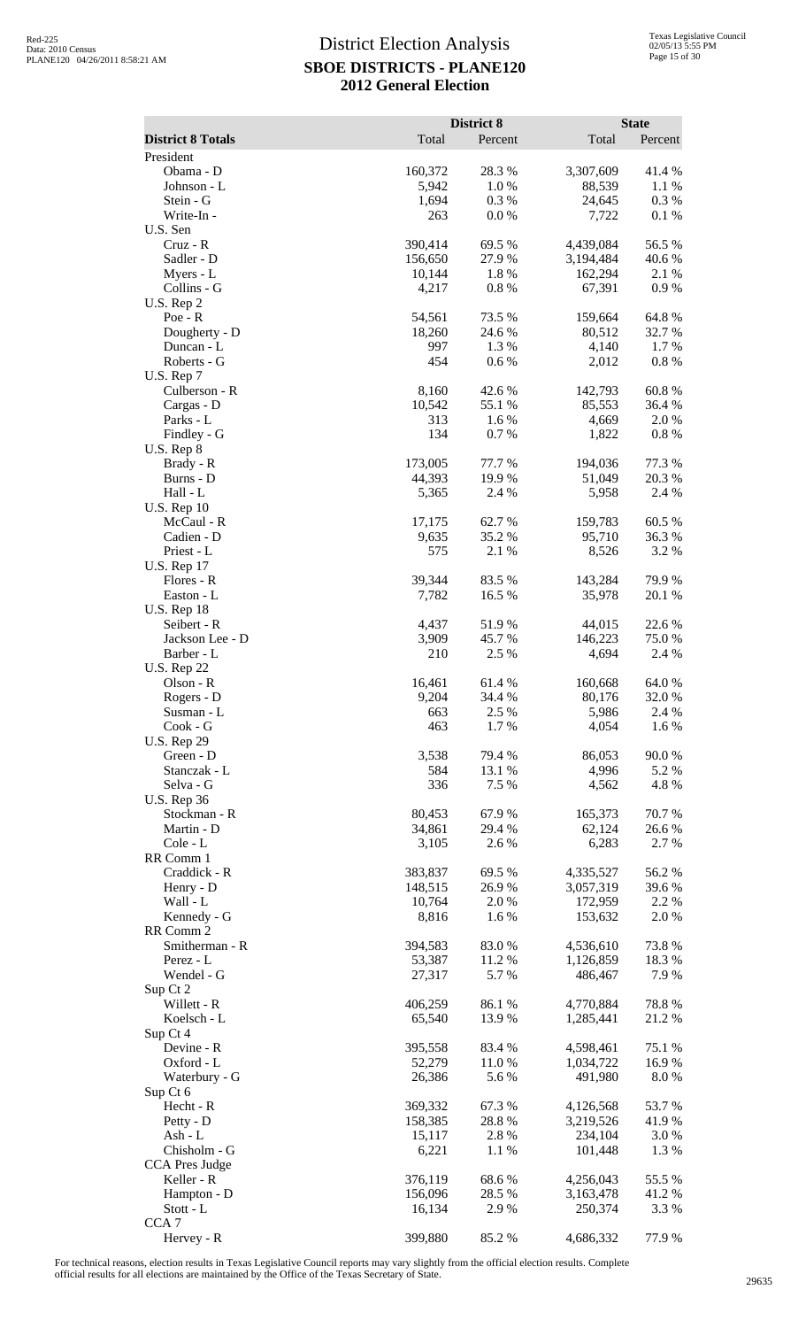|                                       |                   | District 8       |                        | <b>State</b>     |
|---------------------------------------|-------------------|------------------|------------------------|------------------|
| <b>District 8 Totals</b><br>President | Total             | Percent          | Total                  | Percent          |
| Obama - D                             | 160,372           | 28.3%            | 3,307,609              | 41.4%            |
| Johnson - L                           | 5,942             | 1.0%             | 88,539                 | 1.1 %            |
| Stein - G                             | 1,694             | 0.3%             | 24,645                 | 0.3%             |
| Write-In-                             | 263               | 0.0 %            | 7,722                  | 0.1 %            |
| U.S. Sen<br>Cruz - R                  | 390,414           | 69.5 %           | 4,439,084              | 56.5 %           |
| Sadler - D                            | 156,650           | 27.9%            | 3,194,484              | 40.6 %           |
| Myers - L                             | 10,144            | 1.8%             | 162,294                | 2.1 %            |
| Collins - G                           | 4,217             | 0.8%             | 67,391                 | 0.9%             |
| U.S. Rep 2<br>$Poe - R$               | 54,561            | 73.5 %           | 159,664                | 64.8%            |
| Dougherty - D                         | 18,260            | 24.6 %           | 80,512                 | 32.7 %           |
| Duncan - L                            | 997               | 1.3 %            | 4,140                  | 1.7 %            |
| Roberts - G                           | 454               | 0.6%             | 2,012                  | $0.8~\%$         |
| U.S. Rep 7<br>Culberson - R           | 8,160             | 42.6 %           | 142,793                | 60.8%            |
| Cargas - D                            | 10,542            | 55.1 %           | 85,553                 | 36.4 %           |
| Parks - L                             | 313               | 1.6%             | 4,669                  | 2.0%             |
| Findley - G                           | 134               | 0.7 %            | 1,822                  | $0.8~\%$         |
| $U.S.$ Rep $8$<br>Brady - R           | 173,005           | 77.7 %           | 194,036                | 77.3 %           |
| Burns - D                             | 44,393            | 19.9 %           | 51,049                 | 20.3 %           |
| Hall - L                              | 5,365             | 2.4 %            | 5,958                  | 2.4 %            |
| <b>U.S. Rep 10</b>                    |                   |                  |                        |                  |
| McCaul - R<br>Cadien - D              | 17,175<br>9,635   | 62.7%<br>35.2 %  | 159,783<br>95,710      | 60.5 %<br>36.3%  |
| Priest - L                            | 575               | 2.1 %            | 8,526                  | 3.2 %            |
| <b>U.S. Rep 17</b>                    |                   |                  |                        |                  |
| Flores - R                            | 39,344            | 83.5 %           | 143,284                | 79.9%            |
| Easton - L                            | 7,782             | 16.5 %           | 35,978                 | 20.1 %           |
| <b>U.S. Rep 18</b><br>Seibert - R     | 4,437             | 51.9%            | 44,015                 | 22.6 %           |
| Jackson Lee - D                       | 3,909             | 45.7%            | 146,223                | 75.0%            |
| Barber - L                            | 210               | 2.5 %            | 4,694                  | 2.4 %            |
| <b>U.S. Rep 22</b>                    |                   |                  |                        |                  |
| Olson - R<br>Rogers - D               | 16,461<br>9,204   | 61.4 %<br>34.4 % | 160,668<br>80,176      | 64.0%<br>32.0%   |
| Susman - L                            | 663               | 2.5 %            | 5,986                  | 2.4 %            |
| $Cook - G$                            | 463               | 1.7%             | 4,054                  | 1.6 %            |
| <b>U.S. Rep 29</b>                    |                   |                  |                        |                  |
| Green - D<br>Stanczak - L             | 3,538<br>584      | 79.4 %<br>13.1 % | 86,053<br>4,996        | 90.0%<br>5.2 %   |
| Selva - G                             | 336               | 7.5 %            | 4,562                  | 4.8%             |
| <b>U.S. Rep 36</b>                    |                   |                  |                        |                  |
| Stockman - R<br>Martin - D            | 80,453<br>34,861  | 67.9%<br>29.4 %  | 165,373                | 70.7%            |
| Cole - L                              | 3,105             | 2.6 %            | 62,124<br>6,283        | 26.6%<br>2.7 %   |
| RR Comm 1                             |                   |                  |                        |                  |
| Craddick - R                          | 383,837           | 69.5 %           | 4,335,527              | 56.2%            |
| Henry - D<br>Wall - L                 | 148,515           | 26.9%            | 3,057,319              | 39.6%            |
| Kennedy - G                           | 10,764<br>8,816   | 2.0%<br>1.6%     | 172,959<br>153,632     | 2.2 %<br>2.0 %   |
| RR Comm 2                             |                   |                  |                        |                  |
| Smitherman - R                        | 394,583           | 83.0%            | 4,536,610              | 73.8%            |
| Perez - L                             | 53,387            | 11.2 %           | 1,126,859              | 18.3 %           |
| Wendel - G<br>Sup Ct 2                | 27,317            | 5.7%             | 486,467                | 7.9 %            |
| Willett - R                           | 406,259           | 86.1%            | 4,770,884              | 78.8%            |
| Koelsch - L                           | 65,540            | 13.9%            | 1,285,441              | 21.2%            |
| Sup Ct 4                              |                   |                  |                        |                  |
| Devine - R<br>Oxford - L              | 395,558<br>52,279 | 83.4 %<br>11.0 % | 4,598,461<br>1,034,722 | 75.1 %<br>16.9 % |
| Waterbury - G                         | 26,386            | 5.6%             | 491,980                | 8.0%             |
| Sup Ct 6                              |                   |                  |                        |                  |
| Hecht - R                             | 369,332           | 67.3%            | 4,126,568              | 53.7%            |
| Petty - D                             | 158,385           | 28.8%            | 3,219,526              | 41.9%            |
| $Ash - L$<br>Chisholm - G             | 15,117<br>6,221   | 2.8%<br>1.1 %    | 234,104<br>101,448     | 3.0%<br>1.3%     |
| <b>CCA Pres Judge</b>                 |                   |                  |                        |                  |
| Keller - R                            | 376,119           | 68.6%            | 4,256,043              | 55.5 %           |
| Hampton - D                           | 156,096           | 28.5 %           | 3,163,478              | 41.2%            |
| Stott - L<br>CCA <sub>7</sub>         | 16,134            | 2.9 %            | 250,374                | 3.3 %            |
| Hervey - R                            | 399,880           | 85.2%            | 4,686,332              | 77.9 %           |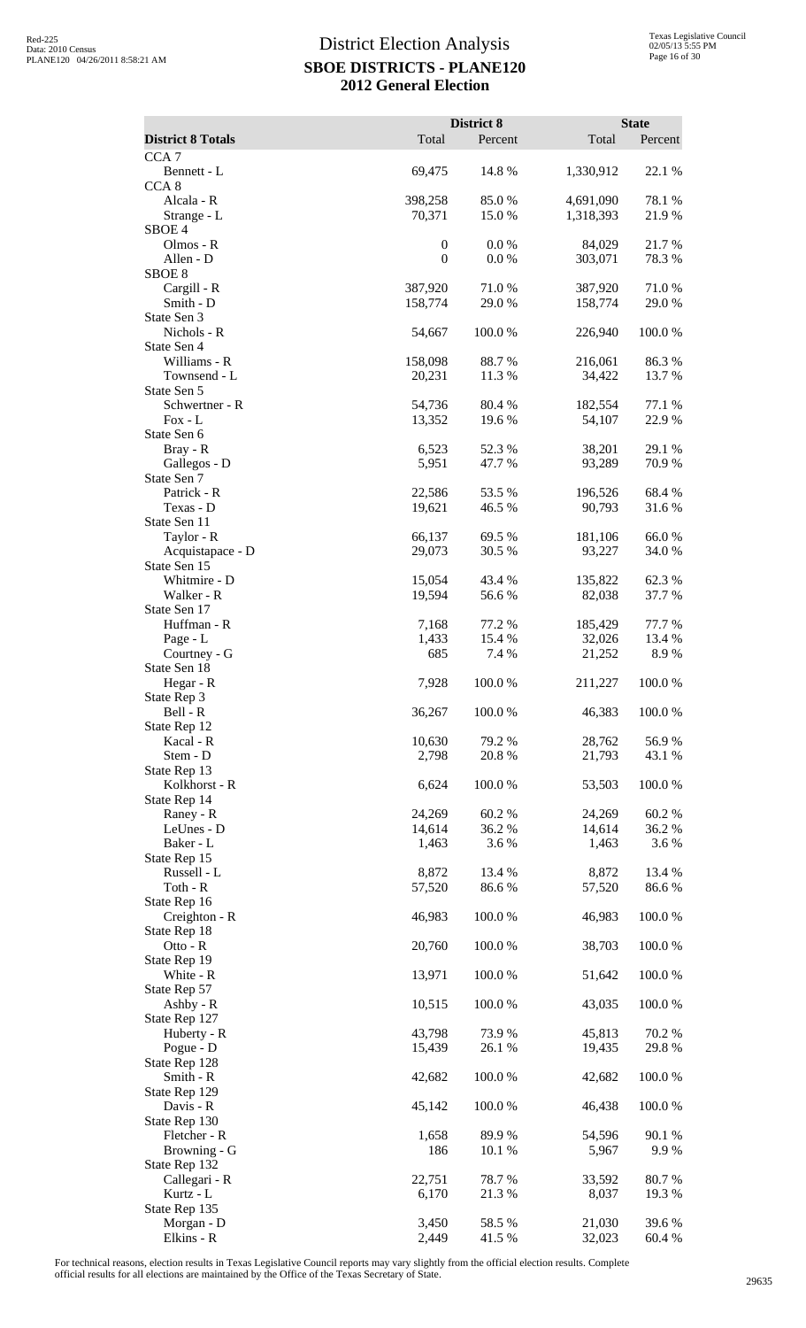|                                  |                  | District 8       |                   | <b>State</b>     |
|----------------------------------|------------------|------------------|-------------------|------------------|
| <b>District 8 Totals</b>         | Total            | Percent          | Total             | Percent          |
| CCA <sub>7</sub><br>Bennett - L  | 69,475           | 14.8 %           | 1,330,912         | 22.1 %           |
| CCA <sub>8</sub>                 |                  |                  |                   |                  |
| Alcala - R                       | 398,258          | 85.0%            | 4,691,090         | 78.1 %           |
| Strange - L<br>SBOE <sub>4</sub> | 70,371           | 15.0%            | 1,318,393         | 21.9%            |
| Olmos - R                        | $\boldsymbol{0}$ | 0.0 %            | 84,029            | 21.7%            |
| Allen - D                        | $\boldsymbol{0}$ | 0.0 %            | 303,071           | 78.3 %           |
| SBOE <sub>8</sub><br>Cargill - R | 387,920          | 71.0%            | 387,920           | 71.0%            |
| Smith - D                        | 158,774          | 29.0%            | 158,774           | 29.0%            |
| State Sen 3                      |                  |                  |                   |                  |
| Nichols - R                      | 54,667           | 100.0%           | 226,940           | 100.0%           |
| State Sen 4<br>Williams - R      | 158,098          | 88.7%            | 216,061           | 86.3%            |
| Townsend - L                     | 20,231           | 11.3 %           | 34,422            | 13.7 %           |
| State Sen 5                      |                  |                  |                   |                  |
| Schwertner - R<br>$Fox - L$      | 54,736<br>13,352 | 80.4%<br>19.6%   | 182,554<br>54,107 | 77.1 %<br>22.9%  |
| State Sen 6                      |                  |                  |                   |                  |
| Bray - R                         | 6,523            | 52.3 %           | 38,201            | 29.1 %           |
| Gallegos - D                     | 5,951            | 47.7 %           | 93,289            | 70.9%            |
| State Sen 7<br>Patrick - R       | 22,586           | 53.5 %           | 196,526           | 68.4%            |
| Texas - D                        | 19,621           | 46.5 %           | 90,793            | 31.6%            |
| State Sen 11                     |                  |                  |                   |                  |
| Taylor - R                       | 66,137           | 69.5 %           | 181,106           | 66.0%            |
| Acquistapace - D<br>State Sen 15 | 29,073           | 30.5 %           | 93,227            | 34.0%            |
| Whitmire - D                     | 15,054           | 43.4 %           | 135,822           | 62.3%            |
| Walker - R                       | 19,594           | 56.6%            | 82,038            | 37.7 %           |
| State Sen 17                     |                  |                  |                   |                  |
| Huffman - R<br>Page - L          | 7,168<br>1,433   | 77.2 %<br>15.4 % | 185,429<br>32,026 | 77.7 %<br>13.4 % |
| Courtney - G                     | 685              | 7.4 %            | 21,252            | 8.9%             |
| State Sen 18                     |                  |                  |                   |                  |
| Hegar - R<br>State Rep 3         | 7,928            | 100.0 %          | 211,227           | 100.0 %          |
| Bell - R                         | 36,267           | 100.0%           | 46,383            | $100.0~\%$       |
| State Rep 12                     |                  |                  |                   |                  |
| Kacal - R                        | 10,630           | 79.2 %           | 28,762            | 56.9%            |
| Stem - D<br>State Rep 13         | 2,798            | 20.8%            | 21,793            | 43.1 %           |
| Kolkhorst - R                    | 6,624            | 100.0%           | 53,503            | 100.0%           |
| State Rep 14                     |                  |                  |                   |                  |
| Raney - R                        | 24,269           | 60.2%<br>36.2%   | 24,269            | 60.2%            |
| LeUnes - D<br>Baker - L          | 14,614<br>1,463  | 3.6%             | 14,614<br>1,463   | 36.2%<br>3.6%    |
| State Rep 15                     |                  |                  |                   |                  |
| Russell - L                      | 8,872            | 13.4 %           | 8,872             | 13.4 %           |
| Toth - $R$<br>State Rep 16       | 57,520           | 86.6%            | 57,520            | 86.6%            |
| Creighton - R                    | 46,983           | 100.0%           | 46,983            | 100.0%           |
| State Rep 18                     |                  |                  |                   |                  |
| Otto - R                         | 20,760           | 100.0%           | 38,703            | 100.0%           |
| State Rep 19<br>White - R        | 13,971           | 100.0%           | 51,642            | 100.0%           |
| State Rep 57                     |                  |                  |                   |                  |
| Ashby - R                        | 10,515           | 100.0%           | 43,035            | 100.0%           |
| State Rep 127<br>Huberty - R     | 43,798           | 73.9%            | 45,813            | 70.2 %           |
| Pogue - D                        | 15,439           | 26.1 %           | 19,435            | 29.8%            |
| State Rep 128                    |                  |                  |                   |                  |
| Smith - R                        | 42,682           | 100.0%           | 42,682            | 100.0%           |
| State Rep 129<br>Davis - R       | 45,142           | 100.0%           | 46,438            | 100.0%           |
| State Rep 130                    |                  |                  |                   |                  |
| Fletcher - R                     | 1,658            | 89.9%            | 54,596            | 90.1 %           |
| Browning - G                     | 186              | 10.1 %           | 5,967             | 9.9%             |
| State Rep 132<br>Callegari - R   | 22,751           | 78.7%            | 33,592            | 80.7%            |
| Kurtz - L                        | 6,170            | 21.3%            | 8,037             | 19.3 %           |
| State Rep 135                    |                  |                  |                   |                  |
| Morgan - D                       | 3,450            | 58.5 %           | 21,030            | 39.6%            |
| Elkins - R                       | 2,449            | 41.5 %           | 32,023            | 60.4%            |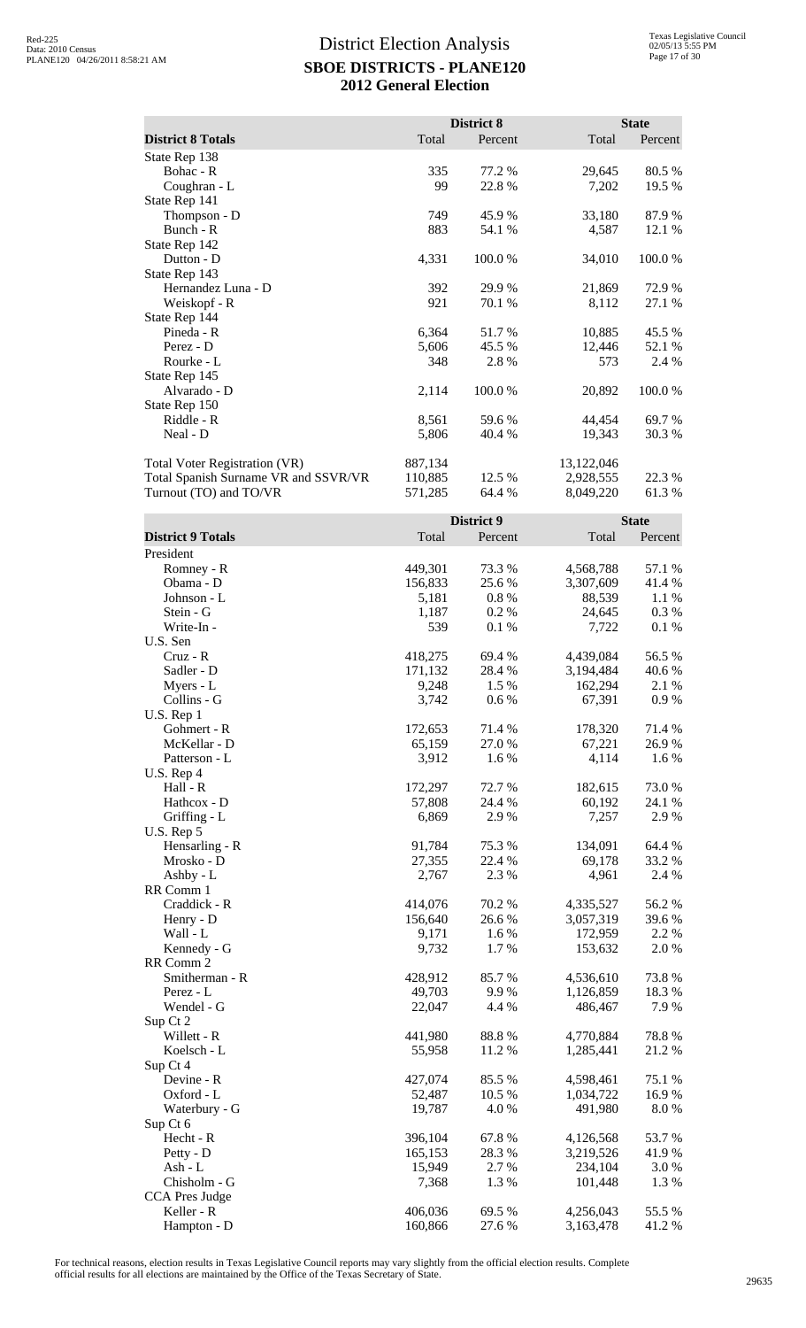|                                      |         | District 8 |            | <b>State</b> |
|--------------------------------------|---------|------------|------------|--------------|
| <b>District 8 Totals</b>             | Total   | Percent    | Total      | Percent      |
| State Rep 138                        |         |            |            |              |
| Bohac - R                            | 335     | 77.2 %     | 29,645     | 80.5 %       |
| Coughran - L                         | 99      | 22.8%      | 7,202      | 19.5 %       |
| State Rep 141                        |         |            |            |              |
| Thompson - D                         | 749     | 45.9 %     | 33,180     | 87.9%        |
| Bunch - R                            | 883     | 54.1 %     | 4,587      | 12.1 %       |
| State Rep 142                        |         |            |            |              |
| Dutton - D                           | 4,331   | 100.0 %    | 34,010     | 100.0 %      |
| State Rep 143                        |         |            |            |              |
| Hernandez Luna - D                   | 392     | 29.9 %     | 21,869     | 72.9 %       |
| Weiskopf - R                         | 921     | 70.1 %     | 8,112      | 27.1 %       |
| State Rep 144                        |         |            |            |              |
| Pineda - R                           | 6,364   | 51.7 %     | 10,885     | 45.5 %       |
| Perez - D                            | 5,606   | 45.5 %     | 12,446     | 52.1 %       |
| Rourke - L                           | 348     | 2.8 %      | 573        | 2.4 %        |
| State Rep 145                        |         |            |            |              |
| Alvarado - D                         | 2,114   | 100.0%     | 20,892     | 100.0%       |
| State Rep 150                        |         |            |            |              |
| Riddle - R                           | 8,561   | 59.6 %     | 44,454     | 69.7 %       |
| Neal - D                             | 5,806   | 40.4 %     | 19,343     | 30.3%        |
| <b>Total Voter Registration (VR)</b> | 887,134 |            | 13,122,046 |              |
| Total Spanish Surname VR and SSVR/VR | 110,885 | 12.5 %     | 2,928,555  | 22.3 %       |
| Turnout (TO) and TO/VR               | 571,285 | 64.4 %     | 8,049,220  | 61.3%        |

|                          |         | District 9 |           | <b>State</b> |
|--------------------------|---------|------------|-----------|--------------|
| <b>District 9 Totals</b> | Total   | Percent    | Total     | Percent      |
| President                |         |            |           |              |
| Romney - R               | 449,301 | 73.3 %     | 4,568,788 | 57.1 %       |
| Obama - D                | 156,833 | 25.6 %     | 3,307,609 | 41.4%        |
| Johnson - L              | 5,181   | $0.8 \%$   | 88,539    | 1.1 %        |
| Stein - G                | 1,187   | 0.2%       | 24,645    | 0.3%         |
| Write-In -               | 539     | 0.1 %      | 7,722     | 0.1 %        |
| U.S. Sen                 |         |            |           |              |
| $Cruz - R$               | 418,275 | 69.4 %     | 4,439,084 | 56.5 %       |
| Sadler - D               | 171,132 | 28.4 %     | 3,194,484 | 40.6%        |
| Myers - L                | 9,248   | 1.5 %      | 162,294   | 2.1 %        |
| Collins - G              | 3,742   | 0.6 %      | 67,391    | 0.9%         |
| U.S. Rep 1               |         |            |           |              |
| Gohmert - R              | 172,653 | 71.4 %     | 178,320   | 71.4 %       |
| McKellar - D             | 65,159  | 27.0%      | 67,221    | 26.9%        |
| Patterson - L            | 3,912   | 1.6%       | 4,114     | 1.6%         |
| U.S. Rep 4               |         |            |           |              |
| Hall - R                 | 172,297 | 72.7 %     | 182,615   | 73.0%        |
| Hathcox - D              | 57,808  | 24.4 %     | 60,192    | 24.1 %       |
| Griffing - L             | 6,869   | 2.9%       | 7,257     | 2.9%         |
| U.S. Rep 5               |         |            |           |              |
| Hensarling - R           | 91,784  | 75.3 %     | 134,091   | 64.4 %       |
| Mrosko - D               | 27,355  | 22.4 %     | 69,178    | 33.2 %       |
| Ashby - L                | 2,767   | 2.3 %      | 4,961     | 2.4 %        |
| RR Comm 1                |         |            |           |              |
| Craddick - R             | 414,076 | 70.2 %     | 4,335,527 | 56.2%        |
| Henry - D                | 156,640 | 26.6%      | 3,057,319 | 39.6%        |
| Wall - L                 | 9,171   | 1.6%       | 172,959   | 2.2 %        |
| Kennedy - G              | 9,732   | 1.7%       | 153,632   | 2.0%         |
| RR Comm 2                |         |            |           |              |
| Smitherman - R           | 428,912 | 85.7%      | 4,536,610 | 73.8%        |
| Perez - L                | 49,703  | 9.9%       | 1,126,859 | 18.3 %       |
| Wendel - G               | 22,047  | 4.4 %      | 486,467   | 7.9%         |
| Sup Ct 2                 |         |            |           |              |
| Willett - R              | 441,980 | 88.8%      | 4,770,884 | 78.8%        |
| Koelsch - L              | 55,958  | 11.2 %     | 1,285,441 | 21.2%        |
| Sup Ct 4                 |         |            |           |              |
| Devine - R               | 427,074 | 85.5 %     | 4,598,461 | 75.1 %       |
| Oxford - L               | 52,487  | 10.5 %     | 1,034,722 | 16.9%        |
| Waterbury - G            | 19,787  | 4.0%       | 491,980   | $8.0\ \%$    |
| Sup Ct 6                 |         |            |           |              |
| Hecht - R                | 396,104 | 67.8%      | 4,126,568 | 53.7%        |
| Petty - D                | 165,153 | 28.3%      | 3,219,526 | 41.9%        |
| Ash - $L$                | 15,949  | 2.7 %      | 234,104   | 3.0%         |
| Chisholm - G             | 7,368   | 1.3%       | 101,448   | 1.3%         |
| CCA Pres Judge           |         |            |           |              |
| Keller - R               | 406,036 | 69.5 %     | 4,256,043 | 55.5 %       |
| Hampton - D              | 160,866 | 27.6 %     | 3,163,478 | 41.2%        |
|                          |         |            |           |              |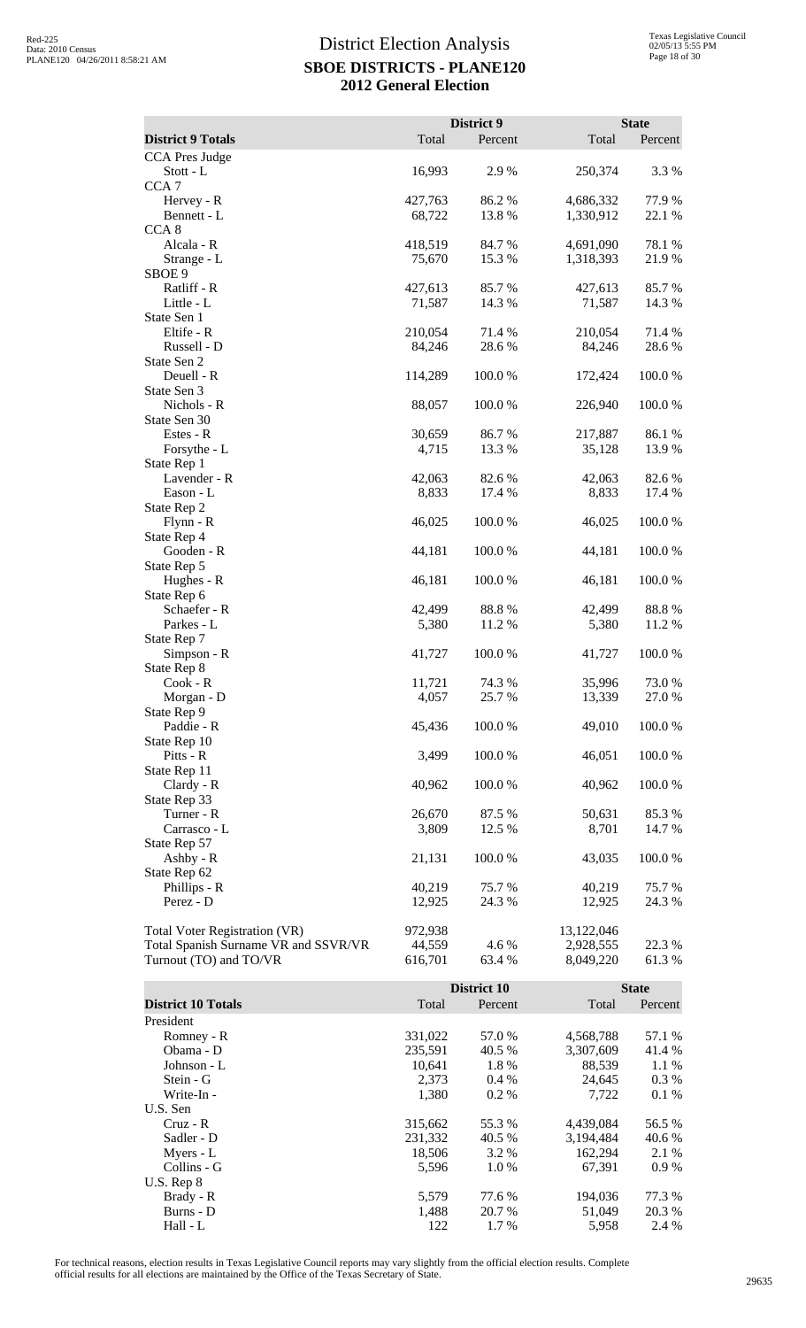|                                      |                    | District 9      |                        | <b>State</b>     |
|--------------------------------------|--------------------|-----------------|------------------------|------------------|
| <b>District 9 Totals</b>             | Total              | Percent         | Total                  | Percent          |
| CCA Pres Judge                       |                    |                 |                        |                  |
| Stott - L                            | 16,993             | 2.9%            | 250,374                | 3.3 %            |
| CCA <sub>7</sub>                     |                    |                 |                        |                  |
| Hervey - R                           | 427,763            | 86.2%           | 4,686,332              | 77.9 %           |
| Bennett - L                          | 68,722             | 13.8 %          | 1,330,912              | 22.1 %           |
| CCA <sub>8</sub><br>Alcala - R       | 418,519            | 84.7%           | 4,691,090              | 78.1 %           |
| Strange - L                          | 75,670             | 15.3 %          | 1,318,393              | 21.9%            |
| SBOE 9                               |                    |                 |                        |                  |
| Ratliff - R                          | 427,613            | 85.7 %          | 427,613                | 85.7%            |
| Little - L                           | 71,587             | 14.3 %          | 71,587                 | 14.3 %           |
| State Sen 1                          |                    |                 |                        |                  |
| Eltife - R                           | 210,054            | 71.4 %          | 210,054                | 71.4 %           |
| Russell - D<br>State Sen 2           | 84,246             | 28.6 %          | 84,246                 | 28.6%            |
| Deuell - R                           | 114,289            | 100.0%          | 172,424                | 100.0%           |
| State Sen 3                          |                    |                 |                        |                  |
| Nichols - R                          | 88,057             | 100.0%          | 226,940                | 100.0%           |
| State Sen 30                         |                    |                 |                        |                  |
| Estes - R                            | 30,659             | 86.7%           | 217,887                | 86.1%            |
| Forsythe - L                         | 4,715              | 13.3 %          | 35,128                 | 13.9 %           |
| State Rep 1<br>Lavender - R          | 42,063             | 82.6%           | 42,063                 | 82.6%            |
| Eason - L                            | 8,833              | 17.4 %          | 8,833                  | 17.4 %           |
| State Rep 2                          |                    |                 |                        |                  |
| Flynn - R                            | 46,025             | 100.0%          | 46,025                 | 100.0%           |
| State Rep 4                          |                    |                 |                        |                  |
| Gooden - R                           | 44,181             | 100.0%          | 44,181                 | 100.0%           |
| State Rep 5                          |                    | 100.0%          |                        | 100.0%           |
| Hughes - R<br>State Rep 6            | 46,181             |                 | 46,181                 |                  |
| Schaefer - R                         | 42,499             | 88.8%           | 42,499                 | 88.8%            |
| Parkes - L                           | 5,380              | 11.2 %          | 5,380                  | 11.2 %           |
| State Rep 7                          |                    |                 |                        |                  |
| Simpson - R                          | 41,727             | 100.0%          | 41,727                 | 100.0%           |
| State Rep 8                          |                    |                 |                        |                  |
| $Cook - R$                           | 11,721<br>4,057    | 74.3 %<br>25.7% | 35,996<br>13,339       | 73.0%<br>27.0 %  |
| Morgan - D<br>State Rep 9            |                    |                 |                        |                  |
| Paddie - R                           | 45,436             | 100.0%          | 49,010                 | 100.0%           |
| State Rep 10                         |                    |                 |                        |                  |
| Pitts - R                            | 3,499              | 100.0%          | 46,051                 | 100.0%           |
| State Rep 11                         |                    |                 |                        |                  |
| Clardy - R                           | 40,962             | 100.0%          | 40,962                 | 100.0%           |
| State Rep 33<br>Turner - R           | 26,670             | 87.5 %          | 50,631                 | 85.3%            |
| Carrasco - L                         | 3,809              | 12.5 %          | 8,701                  | 14.7 %           |
| State Rep 57                         |                    |                 |                        |                  |
| Ashby - R                            | 21,131             | 100.0%          | 43,035                 | 100.0%           |
| State Rep 62                         |                    |                 |                        |                  |
| Phillips - R                         | 40,219             | 75.7 %          | 40,219                 | 75.7 %           |
| Perez - D                            | 12,925             | 24.3 %          | 12,925                 | 24.3 %           |
| <b>Total Voter Registration (VR)</b> | 972,938            |                 | 13,122,046             |                  |
| Total Spanish Surname VR and SSVR/VR | 44,559             | 4.6 %           | 2,928,555              | 22.3 %           |
| Turnout (TO) and TO/VR               | 616,701            | 63.4 %          | 8,049,220              | 61.3%            |
|                                      |                    |                 |                        |                  |
|                                      |                    | District 10     |                        | <b>State</b>     |
| <b>District 10 Totals</b>            | Total              | Percent         | Total                  | Percent          |
| President                            |                    |                 |                        |                  |
| Romney - R<br>Obama - D              | 331,022<br>235,591 | 57.0%<br>40.5 % | 4,568,788<br>3,307,609 | 57.1 %<br>41.4 % |
| Johnson - L                          | 10,641             | 1.8%            | 88,539                 | 1.1 %            |
| Stein - G                            | 2,373              | 0.4 %           | 24,645                 | 0.3 %            |
| Write-In -                           | 1,380              | 0.2%            | 7,722                  | 0.1 %            |

Cruz - R<br>
Sadler - D<br>
Sadler - D<br>
Samme 231,332<br>  $315,662$ <br>  $55.3 %$ <br>  $4,439,084$ <br>  $56.5 %$ <br>  $3,194,484$ <br>  $40.6 %$ Sadler - D 231,332 40.5 % 3,194,484 40.6 % Myers - L 18,506 3.2 % 162,294 2.1 % Collins - G 5,596 1.0 % 67,391 0.9 %

Brady - R 5,579 77.6 % 194,036 77.3 % Burns - D 1,488 20.7 % 51,049 20.3 % Hall - L 122 1.7 % 5,958 2.4 %

U.S. Sen

U.S. Rep 8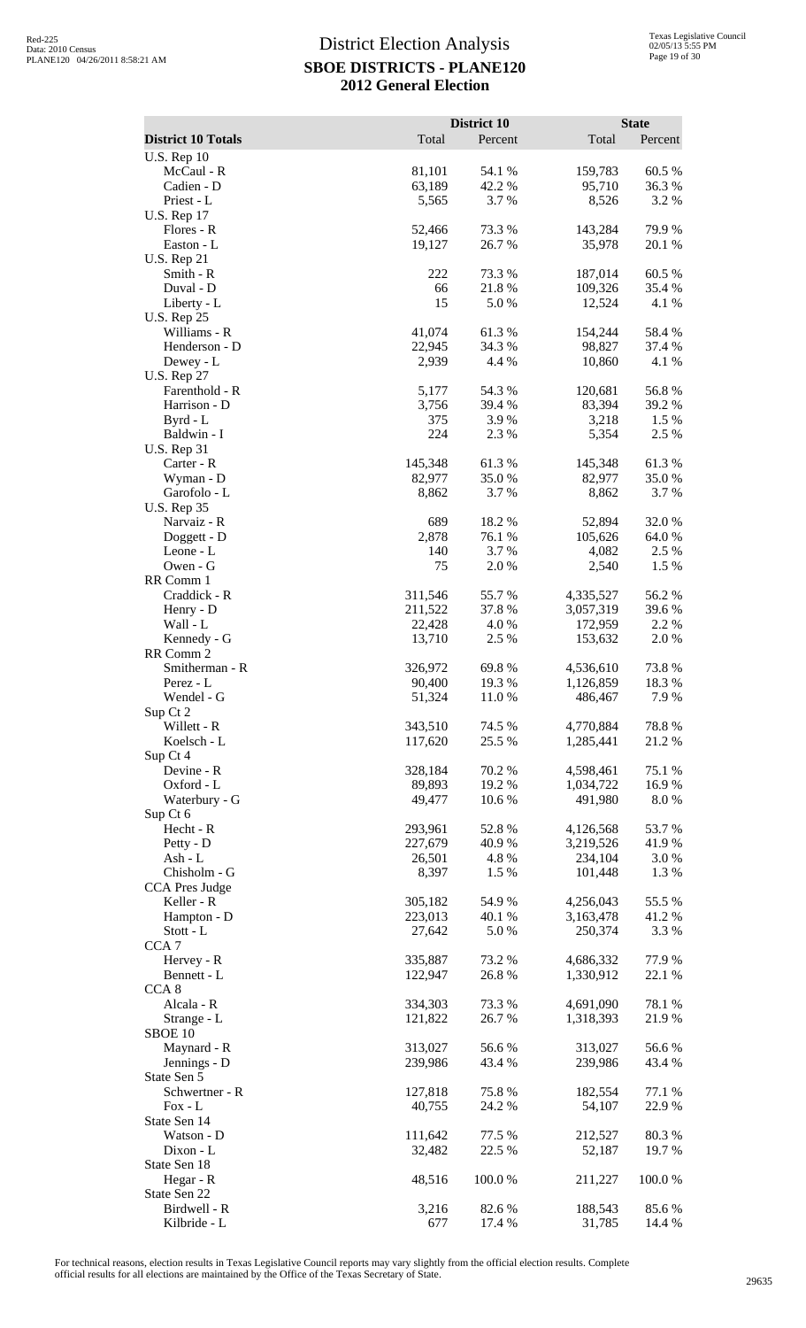|                                     |                    | <b>District 10</b> |                        | <b>State</b>    |
|-------------------------------------|--------------------|--------------------|------------------------|-----------------|
| <b>District 10 Totals</b>           | Total              | Percent            | Total                  | Percent         |
| <b>U.S. Rep 10</b><br>McCaul - R    | 81,101             | 54.1 %             | 159,783                | 60.5%           |
| Cadien - D                          | 63,189             | 42.2 %             | 95,710                 | 36.3%           |
| Priest - L                          | 5,565              | 3.7 %              | 8,526                  | 3.2 %           |
| <b>U.S. Rep 17</b><br>Flores - R    | 52,466             | 73.3 %             | 143,284                | 79.9%           |
| Easton - L                          | 19,127             | 26.7%              | 35,978                 | 20.1 %          |
| <b>U.S. Rep 21</b>                  |                    |                    |                        |                 |
| Smith - R                           | 222                | 73.3 %             | 187,014                | 60.5 %          |
| Duval - D<br>Liberty - L            | 66<br>15           | 21.8%<br>5.0%      | 109,326<br>12,524      | 35.4 %<br>4.1 % |
| <b>U.S. Rep 25</b>                  |                    |                    |                        |                 |
| Williams - R                        | 41,074             | 61.3%              | 154,244                | 58.4%           |
| Henderson - D<br>Dewey - L          | 22,945<br>2,939    | 34.3 %<br>4.4 %    | 98,827<br>10,860       | 37.4 %<br>4.1 % |
| <b>U.S. Rep 27</b>                  |                    |                    |                        |                 |
| Farenthold - R                      | 5,177              | 54.3 %             | 120,681                | 56.8%           |
| Harrison - D                        | 3,756              | 39.4 %             | 83,394                 | 39.2 %          |
| Byrd - L<br>Baldwin - I             | 375<br>224         | 3.9%<br>2.3 %      | 3,218<br>5,354         | 1.5 %<br>2.5 %  |
| <b>U.S. Rep 31</b>                  |                    |                    |                        |                 |
| Carter - R                          | 145,348            | 61.3%              | 145,348                | 61.3%           |
| Wyman - D                           | 82,977             | 35.0%              | 82,977                 | 35.0%           |
| Garofolo - L<br><b>U.S. Rep 35</b>  | 8,862              | 3.7 %              | 8,862                  | 3.7%            |
| Narvaiz - R                         | 689                | 18.2%              | 52,894                 | 32.0%           |
| Doggett - D                         | 2,878              | 76.1 %             | 105,626                | 64.0%           |
| Leone - L<br>Owen - G               | 140<br>75          | 3.7 %<br>2.0%      | 4,082<br>2,540         | 2.5 %<br>1.5 %  |
| RR Comm 1                           |                    |                    |                        |                 |
| Craddick - R                        | 311,546            | 55.7%              | 4,335,527              | 56.2%           |
| Henry - D                           | 211,522            | 37.8 %             | 3,057,319              | 39.6%           |
| Wall - L<br>Kennedy - G             | 22,428<br>13,710   | 4.0%<br>2.5 %      | 172,959<br>153,632     | 2.2 %<br>2.0%   |
| RR Comm 2                           |                    |                    |                        |                 |
| Smitherman - R                      | 326,972            | 69.8%              | 4,536,610              | 73.8%           |
| Perez - L<br>Wendel - G             | 90,400             | 19.3 %<br>11.0%    | 1,126,859              | 18.3 %          |
| Sup Ct 2                            | 51,324             |                    | 486,467                | 7.9 %           |
| Willett - R                         | 343,510            | 74.5 %             | 4,770,884              | 78.8%           |
| Koelsch - L                         | 117,620            | 25.5 %             | 1,285,441              | 21.2%           |
| Sup Ct 4<br>Devine - R              | 328,184            | 70.2%              | 4,598,461              | 75.1 %          |
| Oxford - L                          | 89,893             | 19.2 %             | 1,034,722              | 16.9%           |
| Waterbury - G                       | 49,477             | 10.6%              | 491,980                | 8.0%            |
| Sup Ct 6<br>Hecht - R               | 293,961            | 52.8%              | 4,126,568              | 53.7%           |
| Petty - D                           | 227,679            | 40.9%              | 3,219,526              | 41.9%           |
| Ash - L                             | 26,501             | 4.8%               | 234,104                | 3.0%            |
| Chisholm - G                        | 8,397              | 1.5 %              | 101,448                | 1.3%            |
| <b>CCA Pres Judge</b><br>Keller - R | 305,182            | 54.9%              | 4,256,043              | 55.5 %          |
| Hampton - D                         | 223,013            | 40.1 %             | 3,163,478              | 41.2%           |
| Stott - L                           | 27,642             | 5.0%               | 250,374                | 3.3 %           |
| CCA <sub>7</sub>                    |                    |                    |                        |                 |
| Hervey - R<br>Bennett - L           | 335,887<br>122,947 | 73.2 %<br>26.8%    | 4,686,332<br>1,330,912 | 77.9%<br>22.1 % |
| CCA <sub>8</sub>                    |                    |                    |                        |                 |
| Alcala - R                          | 334,303            | 73.3 %             | 4,691,090              | 78.1 %          |
| Strange - L<br>SBOE 10              | 121,822            | 26.7%              | 1,318,393              | 21.9%           |
| Maynard - R                         | 313,027            | 56.6%              | 313,027                | 56.6%           |
| Jennings - D                        | 239,986            | 43.4 %             | 239,986                | 43.4 %          |
| State Sen 5                         |                    |                    |                        |                 |
| Schwertner - R<br>$Fox - L$         | 127,818<br>40,755  | 75.8%<br>24.2 %    | 182,554<br>54,107      | 77.1 %<br>22.9% |
| State Sen 14                        |                    |                    |                        |                 |
| Watson - D                          | 111,642            | 77.5 %             | 212,527                | 80.3%           |
| $Dixon - L$                         | 32,482             | 22.5 %             | 52,187                 | 19.7%           |
| State Sen 18<br>Hegar - R           | 48,516             | 100.0%             | 211,227                | 100.0%          |
| State Sen 22                        |                    |                    |                        |                 |
| Birdwell - R                        | 3,216              | 82.6 %             | 188,543                | 85.6%           |
| Kilbride - L                        | 677                | 17.4 %             | 31,785                 | 14.4 %          |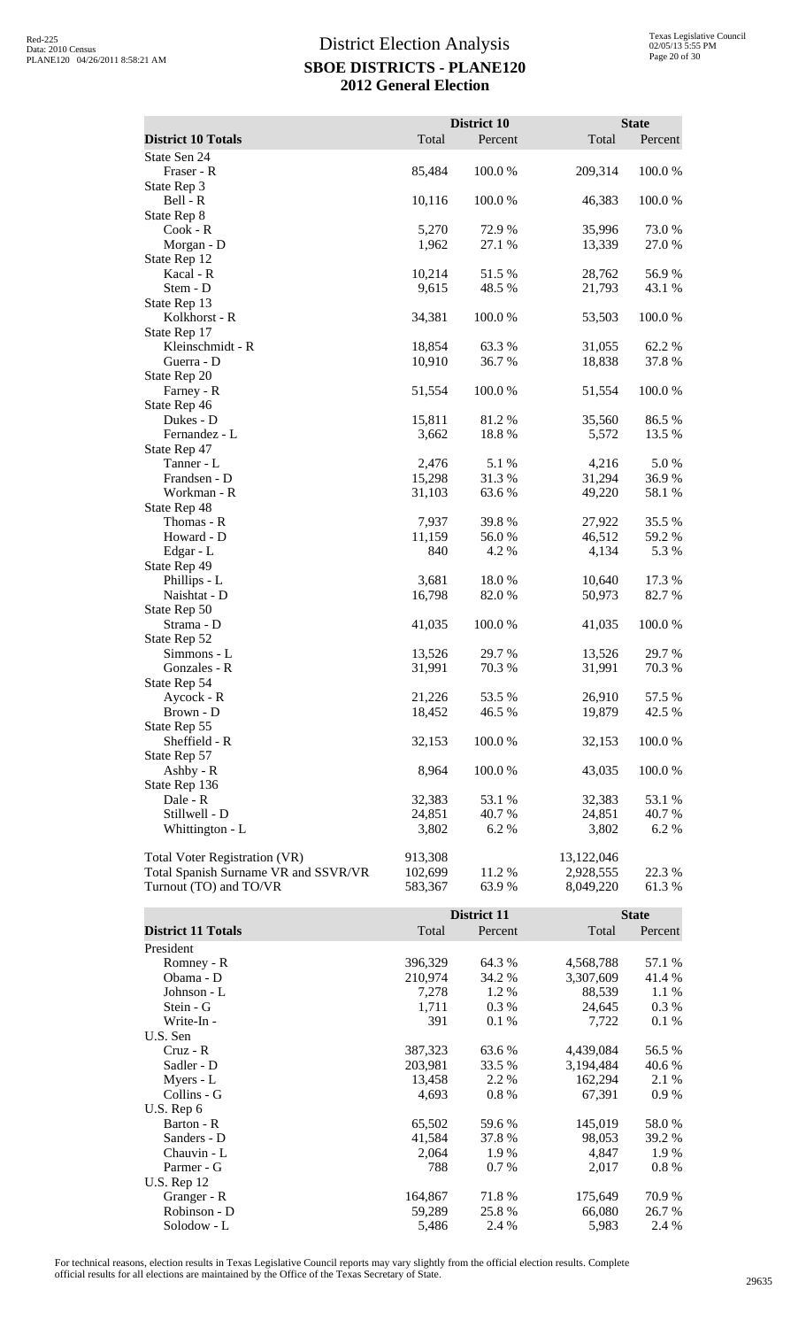|                                      |         | District 10 |            | <b>State</b> |
|--------------------------------------|---------|-------------|------------|--------------|
| <b>District 10 Totals</b>            | Total   | Percent     | Total      | Percent      |
| State Sen 24                         |         |             |            |              |
| Fraser - R                           | 85,484  | 100.0 %     | 209,314    | 100.0 %      |
| State Rep 3                          |         |             |            |              |
| Bell - R                             | 10,116  | 100.0%      | 46,383     | 100.0%       |
| State Rep 8                          |         |             |            |              |
| Cook - R                             | 5,270   | 72.9 %      | 35,996     | 73.0%        |
| Morgan - D                           | 1,962   | 27.1 %      | 13,339     | 27.0 %       |
| State Rep 12                         |         |             |            |              |
| Kacal - R                            | 10,214  | 51.5%       | 28,762     | 56.9%        |
| Stem - D                             | 9,615   | 48.5 %      | 21,793     | 43.1 %       |
| State Rep 13                         |         |             |            |              |
| Kolkhorst - R                        | 34,381  | 100.0%      | 53,503     | 100.0%       |
| State Rep 17                         |         |             |            |              |
| Kleinschmidt - R                     | 18,854  | 63.3%       | 31,055     | 62.2%        |
| Guerra - D                           | 10,910  | 36.7 %      | 18,838     | 37.8%        |
| State Rep 20                         |         |             |            |              |
| Farney - R                           | 51,554  | 100.0%      | 51,554     | 100.0%       |
| State Rep 46                         |         |             |            |              |
| Dukes - D                            | 15,811  | 81.2%       | 35,560     | 86.5%        |
| Fernandez - L                        | 3,662   | 18.8%       | 5,572      | 13.5 %       |
| State Rep 47                         |         |             |            |              |
| Tanner - L                           | 2,476   | 5.1 %       | 4,216      | 5.0%         |
| Frandsen - D                         | 15,298  | 31.3%       | 31,294     | 36.9%        |
| Workman - R                          | 31,103  | 63.6%       | 49,220     | 58.1 %       |
| State Rep 48                         |         |             |            |              |
| Thomas - R                           | 7,937   | 39.8 %      | 27,922     | 35.5 %       |
| Howard - D                           | 11,159  | 56.0%       | 46,512     | 59.2 %       |
| Edgar - L                            | 840     | 4.2 %       | 4,134      | 5.3 %        |
| State Rep 49                         |         |             |            |              |
| Phillips - L                         | 3,681   | 18.0%       | 10,640     | 17.3 %       |
| Naishtat - D                         | 16,798  | 82.0 %      | 50,973     | 82.7%        |
| State Rep 50                         |         |             |            |              |
| Strama - D                           | 41,035  | 100.0 %     | 41,035     | 100.0%       |
| State Rep 52                         |         |             |            |              |
| Simmons - L                          | 13,526  | 29.7%       | 13,526     | 29.7 %       |
| Gonzales - R                         | 31,991  | 70.3 %      | 31,991     | 70.3%        |
| State Rep 54                         |         |             |            |              |
| Aycock - R                           | 21,226  | 53.5%       | 26,910     | 57.5 %       |
| Brown - D                            | 18,452  | 46.5 %      | 19,879     | 42.5 %       |
| State Rep 55                         |         |             |            |              |
| Sheffield - R                        | 32,153  | 100.0%      | 32,153     | 100.0%       |
| State Rep 57                         |         |             |            |              |
| Ashby - R                            | 8,964   | 100.0%      | 43,035     | 100.0%       |
| State Rep 136                        |         |             |            |              |
| Dale - R                             | 32,383  | 53.1 %      | 32,383     | 53.1 %       |
| Stillwell - D                        | 24,851  | 40.7 %      | 24,851     | 40.7 %       |
| Whittington - L                      | 3,802   | 6.2 %       | 3,802      | 6.2%         |
|                                      |         |             |            |              |
| <b>Total Voter Registration (VR)</b> | 913,308 |             | 13,122,046 |              |
| Total Spanish Surname VR and SSVR/VR | 102,699 | 11.2 %      | 2,928,555  | 22.3 %       |
| Turnout (TO) and TO/VR               | 583,367 | 63.9%       | 8,049,220  | 61.3%        |
|                                      |         |             |            |              |

|                           |         | District 11 |           | <b>State</b> |
|---------------------------|---------|-------------|-----------|--------------|
| <b>District 11 Totals</b> | Total   | Percent     | Total     | Percent      |
| President                 |         |             |           |              |
| Romney - R                | 396,329 | 64.3 %      | 4,568,788 | 57.1 %       |
| Obama - D                 | 210,974 | 34.2 %      | 3,307,609 | 41.4 %       |
| Johnson - L               | 7,278   | 1.2%        | 88,539    | 1.1 %        |
| Stein - G                 | 1,711   | $0.3\%$     | 24,645    | $0.3\%$      |
| Write-In -                | 391     | 0.1%        | 7,722     | 0.1%         |
| U.S. Sen                  |         |             |           |              |
| $Cruz - R$                | 387,323 | 63.6 %      | 4,439,084 | 56.5 %       |
| Sadler - D                | 203,981 | 33.5 %      | 3,194,484 | 40.6 %       |
| Myers - L                 | 13,458  | 2.2 %       | 162,294   | 2.1 %        |
| Collins - G               | 4,693   | $0.8\%$     | 67,391    | 0.9%         |
| U.S. Rep $6$              |         |             |           |              |
| Barton - R                | 65,502  | 59.6 %      | 145,019   | 58.0%        |
| Sanders - D               | 41,584  | 37.8 %      | 98,053    | 39.2 %       |
| Chauvin - L               | 2,064   | 1.9 %       | 4,847     | 1.9%         |
| Parmer - G                | 788     | $0.7\%$     | 2,017     | 0.8 %        |
| <b>U.S. Rep 12</b>        |         |             |           |              |
| Granger - R               | 164,867 | 71.8%       | 175,649   | 70.9 %       |
| Robinson - D              | 59,289  | 25.8 %      | 66,080    | 26.7 %       |
| Solodow - L               | 5,486   | 2.4 %       | 5,983     | 2.4 %        |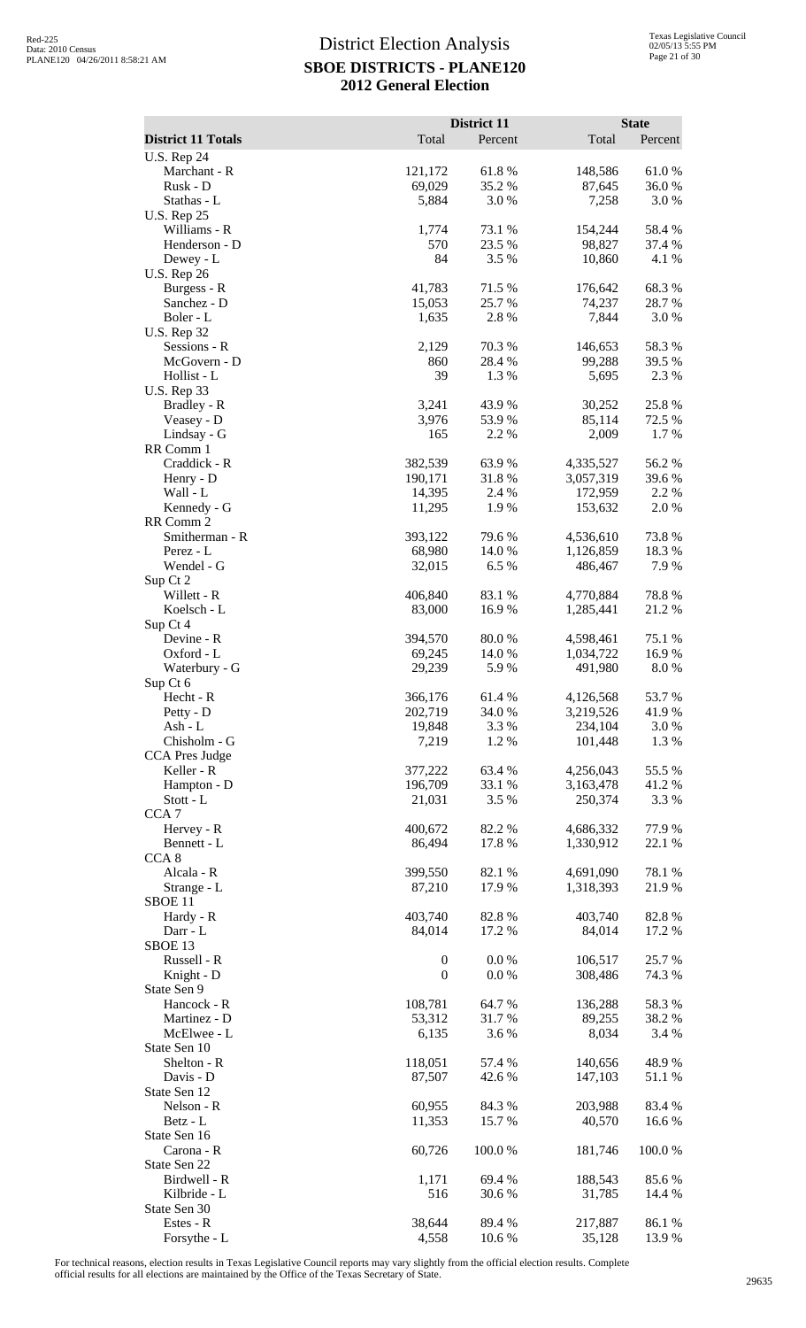|                                    |                   | District 11      |                        | <b>State</b>    |
|------------------------------------|-------------------|------------------|------------------------|-----------------|
| <b>District 11 Totals</b>          | Total             | Percent          | Total                  | Percent         |
| <b>U.S. Rep 24</b><br>Marchant - R | 121,172           | 61.8%            | 148,586                | $61.0\ \%$      |
| Rusk - D                           | 69,029            | 35.2 %           | 87,645                 | 36.0 %          |
| Stathas - L                        | 5,884             | 3.0 %            | 7,258                  | 3.0 %           |
| <b>U.S. Rep 25</b><br>Williams - R | 1,774             | 73.1 %           | 154,244                | 58.4%           |
| Henderson - D                      | 570               | 23.5 %           | 98,827                 | 37.4 %          |
| Dewey - L                          | 84                | 3.5 %            | 10,860                 | 4.1 %           |
| <b>U.S. Rep 26</b>                 |                   |                  |                        |                 |
| Burgess - R<br>Sanchez - D         | 41,783<br>15,053  | 71.5 %<br>25.7 % | 176,642<br>74,237      | 68.3%<br>28.7%  |
| Boler - L                          | 1,635             | 2.8 %            | 7,844                  | 3.0 %           |
| <b>U.S. Rep 32</b>                 |                   |                  |                        |                 |
| Sessions - R                       | 2,129             | 70.3 %           | 146,653                | 58.3%           |
| McGovern - D<br>Hollist - L        | 860<br>39         | 28.4 %<br>1.3%   | 99,288<br>5,695        | 39.5 %<br>2.3 % |
| <b>U.S. Rep 33</b>                 |                   |                  |                        |                 |
| Bradley - R                        | 3,241             | 43.9%            | 30,252                 | 25.8%           |
| Veasey - D                         | 3,976             | 53.9%            | 85,114                 | 72.5 %          |
| Lindsay - G<br>RR Comm 1           | 165               | 2.2 %            | 2,009                  | 1.7 %           |
| Craddick - R                       | 382,539           | 63.9%            | 4,335,527              | 56.2%           |
| Henry - D                          | 190,171           | 31.8%            | 3,057,319              | 39.6%           |
| Wall - L                           | 14,395            | 2.4 %            | 172,959                | 2.2 %           |
| Kennedy - G<br>RR Comm 2           | 11,295            | 1.9%             | 153,632                | 2.0%            |
| Smitherman - R                     | 393,122           | 79.6%            | 4,536,610              | 73.8%           |
| Perez - L                          | 68,980            | 14.0%            | 1,126,859              | 18.3%           |
| Wendel - G                         | 32,015            | 6.5%             | 486,467                | 7.9%            |
| Sup Ct 2                           | 406,840           | 83.1 %           |                        | 78.8%           |
| Willett - R<br>Koelsch - L         | 83,000            | 16.9%            | 4,770,884<br>1,285,441 | 21.2%           |
| Sup Ct 4                           |                   |                  |                        |                 |
| Devine - R                         | 394,570           | 80.0%            | 4,598,461              | 75.1 %          |
| Oxford - L                         | 69,245<br>29,239  | 14.0%<br>5.9%    | 1,034,722              | 16.9%<br>8.0%   |
| Waterbury - G<br>Sup Ct 6          |                   |                  | 491,980                |                 |
| Hecht - R                          | 366,176           | 61.4 %           | 4,126,568              | 53.7%           |
| Petty - D                          | 202,719           | 34.0 %           | 3,219,526              | 41.9%           |
| Ash - L<br>Chisholm - G            | 19,848            | 3.3 %            | 234,104                | 3.0 %           |
| CCA Pres Judge                     | 7,219             | 1.2%             | 101,448                | 1.3 %           |
| Keller - R                         | 377,222           | 63.4 %           | 4,256,043              | 55.5 %          |
| Hampton - D                        | 196,709           | 33.1 %           | 3,163,478              | 41.2%           |
| Stott - L<br>CCA <sub>7</sub>      | 21,031            | 3.5 %            | 250,374                | 3.3 %           |
| Hervey - R                         | 400,672           | 82.2%            | 4,686,332              | 77.9 %          |
| Bennett - L                        | 86,494            | 17.8 %           | 1,330,912              | 22.1 %          |
| CCA <sub>8</sub>                   |                   |                  |                        |                 |
| Alcala - R<br>Strange - L          | 399,550<br>87,210 | 82.1 %<br>17.9 % | 4,691,090<br>1,318,393 | 78.1 %<br>21.9% |
| SBOE 11                            |                   |                  |                        |                 |
| Hardy - R                          | 403,740           | 82.8%            | 403,740                | 82.8%           |
| Darr - L                           | 84,014            | 17.2 %           | 84,014                 | 17.2 %          |
| SBOE <sub>13</sub><br>Russell - R  | $\boldsymbol{0}$  | 0.0 %            | 106,517                | 25.7 %          |
| Knight - D                         | $\boldsymbol{0}$  | 0.0 %            | 308,486                | 74.3 %          |
| State Sen 9                        |                   |                  |                        |                 |
| Hancock - R                        | 108,781           | 64.7 %           | 136,288                | 58.3%           |
| Martinez - D<br>McElwee - L        | 53,312<br>6,135   | 31.7%<br>3.6 %   | 89,255<br>8,034        | 38.2%<br>3.4 %  |
| State Sen 10                       |                   |                  |                        |                 |
| Shelton - R                        | 118,051           | 57.4 %           | 140,656                | 48.9%           |
| Davis - D                          | 87,507            | 42.6 %           | 147,103                | 51.1 %          |
| State Sen 12<br>Nelson - R         | 60,955            | 84.3 %           | 203,988                | 83.4 %          |
| Betz - L                           | 11,353            | 15.7%            | 40,570                 | 16.6 %          |
| State Sen 16                       |                   |                  |                        |                 |
| Carona - R                         | 60,726            | 100.0%           | 181,746                | 100.0 %         |
| State Sen 22<br>Birdwell - R       | 1,171             | 69.4 %           | 188,543                | 85.6%           |
| Kilbride - L                       | 516               | 30.6 %           | 31,785                 | 14.4 %          |
| State Sen 30                       |                   |                  |                        |                 |
| Estes - R                          | 38,644            | 89.4 %           | 217,887                | 86.1 %          |
| Forsythe - L                       | 4,558             | 10.6%            | 35,128                 | 13.9%           |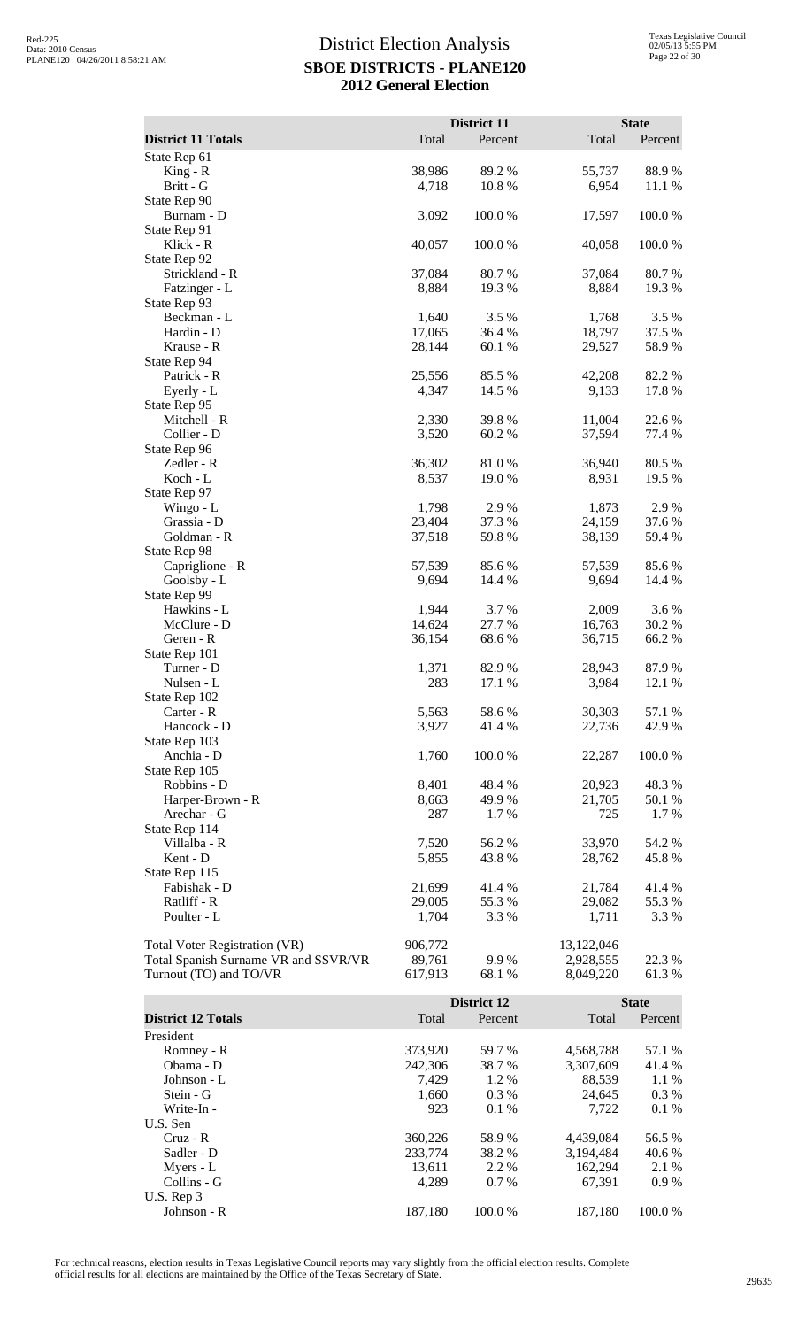|                                                                       |                    | District 11                   |                         | <b>State</b>            |
|-----------------------------------------------------------------------|--------------------|-------------------------------|-------------------------|-------------------------|
| <b>District 11 Totals</b><br>State Rep 61                             | Total              | Percent                       | Total                   | Percent                 |
| $King - R$                                                            | 38,986             | 89.2%                         | 55,737                  | 88.9%                   |
| Britt - G                                                             | 4,718              | 10.8%                         | 6,954                   | 11.1 %                  |
| State Rep 90<br>Burnam - D                                            | 3,092              | 100.0%                        | 17,597                  | 100.0%                  |
| State Rep 91                                                          |                    |                               |                         |                         |
| Klick - R                                                             | 40,057             | 100.0%                        | 40,058                  | 100.0%                  |
| State Rep 92<br>Strickland - R                                        | 37,084             | 80.7%                         | 37,084                  | 80.7%                   |
| Fatzinger - L                                                         | 8,884              | 19.3 %                        | 8,884                   | 19.3 %                  |
| State Rep 93                                                          |                    |                               |                         |                         |
| Beckman - L<br>Hardin - D                                             | 1,640<br>17,065    | 3.5 %<br>36.4 %               | 1,768<br>18,797         | 3.5 %<br>37.5 %         |
| Krause - R                                                            | 28,144             | 60.1%                         | 29,527                  | 58.9%                   |
| State Rep 94                                                          |                    |                               |                         |                         |
| Patrick - R<br>Eyerly - L                                             | 25,556<br>4,347    | 85.5 %<br>14.5 %              | 42,208<br>9,133         | 82.2%<br>17.8 %         |
| State Rep 95                                                          |                    |                               |                         |                         |
| Mitchell - R                                                          | 2,330              | 39.8%                         | 11,004                  | 22.6%                   |
| Collier - D<br>State Rep 96                                           | 3,520              | 60.2 %                        | 37,594                  | 77.4 %                  |
| Zedler - R                                                            | 36,302             | 81.0%                         | 36,940                  | 80.5 %                  |
| Koch - L                                                              | 8,537              | 19.0 %                        | 8,931                   | 19.5 %                  |
| State Rep 97<br>Wingo - L                                             | 1,798              | 2.9%                          | 1,873                   | 2.9%                    |
| Grassia - D                                                           | 23,404             | 37.3 %                        | 24,159                  | 37.6%                   |
| Goldman - R                                                           | 37,518             | 59.8%                         | 38,139                  | 59.4 %                  |
| State Rep 98<br>Capriglione - R                                       | 57,539             | 85.6%                         | 57,539                  | 85.6%                   |
| Goolsby - L                                                           | 9,694              | 14.4 %                        | 9,694                   | 14.4 %                  |
| State Rep 99                                                          |                    |                               |                         |                         |
| Hawkins - L<br>McClure - D                                            | 1,944<br>14,624    | 3.7%<br>27.7 %                | 2,009<br>16,763         | 3.6%<br>30.2 %          |
| Geren - R                                                             | 36,154             | 68.6 %                        | 36,715                  | 66.2%                   |
| State Rep 101<br>Turner - D                                           |                    |                               |                         |                         |
| Nulsen - L                                                            | 1,371<br>283       | 82.9 %<br>17.1 %              | 28,943<br>3,984         | 87.9%<br>12.1 %         |
| State Rep 102                                                         |                    |                               |                         |                         |
| Carter - R<br>Hancock - D                                             | 5,563<br>3,927     | 58.6%<br>41.4 %               | 30,303<br>22,736        | 57.1 %<br>42.9%         |
| State Rep 103                                                         |                    |                               |                         |                         |
| Anchia - D                                                            | 1,760              | 100.0%                        | 22,287                  | 100.0%                  |
| State Rep 105<br>Robbins - D                                          | 8,401              | 48.4%                         | 20,923                  | 48.3%                   |
| Harper-Brown - R                                                      | 8,663              | 49.9%                         | 21,705                  | $50.1~\%$               |
| Arechar - G                                                           | 287                | 1.7 %                         | 725                     | 1.7%                    |
| State Rep 114<br>Villalba - R                                         | 7,520              | 56.2%                         | 33,970                  | 54.2 %                  |
| Kent - D                                                              | 5,855              | 43.8 %                        | 28,762                  | 45.8%                   |
| State Rep 115                                                         |                    |                               |                         |                         |
| Fabishak - D<br>Ratliff - R                                           | 21,699<br>29,005   | 41.4%<br>55.3%                | 21,784<br>29,082        | 41.4%<br>55.3%          |
| Poulter - L                                                           | 1,704              | 3.3 %                         | 1,711                   | 3.3 %                   |
|                                                                       |                    |                               |                         |                         |
| Total Voter Registration (VR)<br>Total Spanish Surname VR and SSVR/VR | 906,772<br>89,761  | 9.9%                          | 13,122,046<br>2,928,555 | 22.3 %                  |
| Turnout (TO) and TO/VR                                                | 617,913            | 68.1 %                        | 8,049,220               | 61.3%                   |
|                                                                       |                    |                               |                         |                         |
| <b>District 12 Totals</b>                                             | Total              | <b>District 12</b><br>Percent | Total                   | <b>State</b><br>Percent |
| President                                                             |                    |                               |                         |                         |
| Romney - R                                                            | 373,920            | 59.7%                         | 4,568,788               | 57.1 %                  |
| Obama - D                                                             | 242,306            | 38.7 %                        | 3,307,609               | 41.4%                   |
| Johnson - L<br>Stein - G                                              | 7,429<br>1,660     | 1.2 %<br>0.3 %                | 88,539<br>24,645        | 1.1 %<br>0.3 %          |
| Write-In -                                                            | 923                | 0.1 %                         | 7,722                   | 0.1%                    |
| U.S. Sen                                                              |                    |                               |                         |                         |
| Cruz - R<br>Sadler - D                                                | 360,226<br>233,774 | 58.9%<br>38.2%                | 4,439,084<br>3,194,484  | 56.5 %<br>40.6%         |
| Myers - L                                                             | 13,611             | 2.2 %                         | 162,294                 | 2.1 %                   |
| Collins - G                                                           | 4,289              | 0.7%                          | 67,391                  | 0.9%                    |
| U.S. Rep 3<br>Johnson - R                                             | 187,180            | 100.0%                        | 187,180                 | 100.0%                  |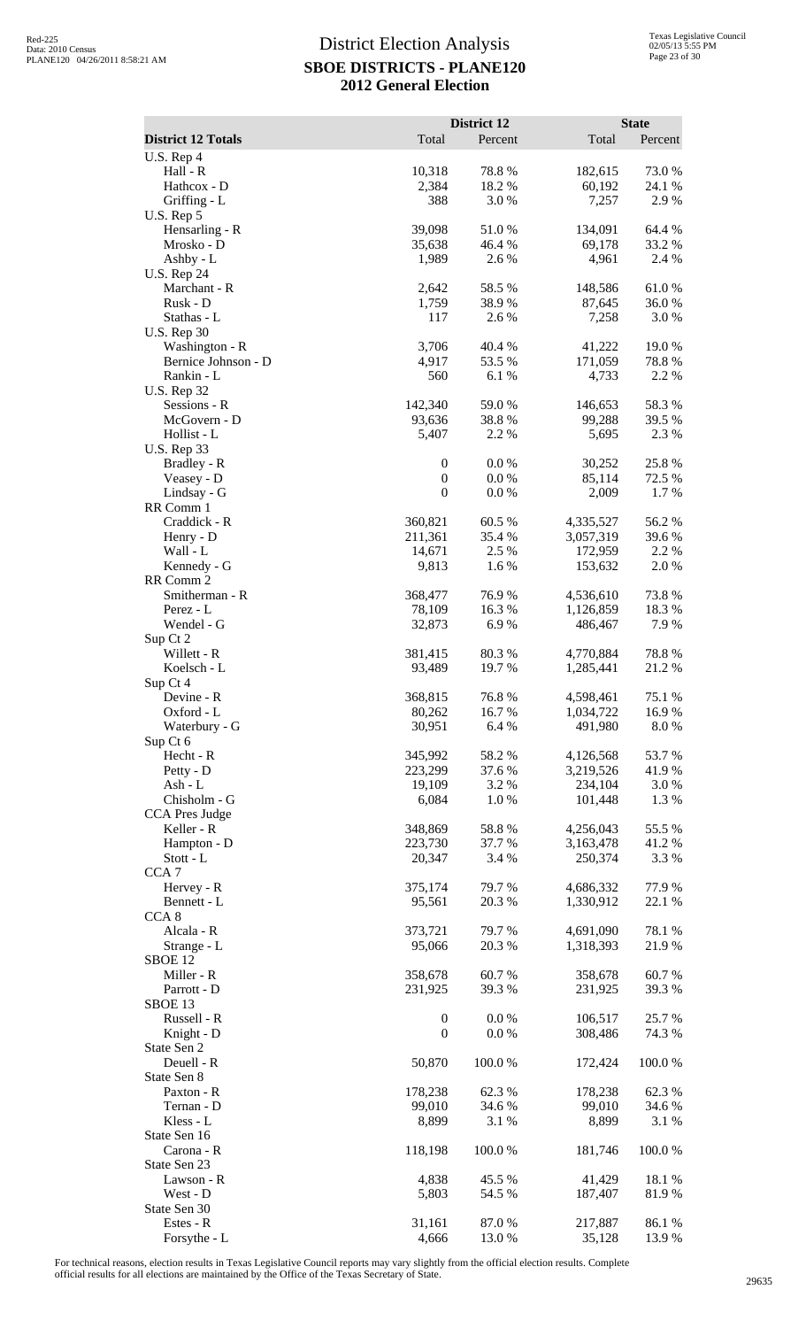|                                       |                                  | District 12      |                        | <b>State</b>    |
|---------------------------------------|----------------------------------|------------------|------------------------|-----------------|
| <b>District 12 Totals</b>             | Total                            | Percent          | Total                  | Percent         |
| $U.S.$ Rep 4<br>Hall - R              | 10,318                           | 78.8%            | 182,615                | 73.0%           |
| Hathcox - D                           | 2,384                            | 18.2%            | 60,192                 | 24.1 %          |
| Griffing - L                          | 388                              | 3.0%             | 7,257                  | 2.9%            |
| U.S. Rep 5<br>Hensarling - R          | 39,098                           | 51.0%            | 134,091                | 64.4 %          |
| Mrosko - D                            | 35,638                           | 46.4 %           | 69,178                 | 33.2 %          |
| Ashby - L                             | 1,989                            | 2.6 %            | 4,961                  | 2.4 %           |
| <b>U.S. Rep 24</b><br>Marchant - R    | 2,642                            | 58.5 %           | 148,586                | $61.0\ \%$      |
| Rusk - D                              | 1,759                            | 38.9%            | 87,645                 | 36.0%           |
| Stathas - L                           | 117                              | 2.6%             | 7,258                  | 3.0%            |
| <b>U.S. Rep 30</b>                    |                                  |                  |                        |                 |
| Washington - R<br>Bernice Johnson - D | 3,706<br>4,917                   | 40.4 %<br>53.5 % | 41,222<br>171,059      | 19.0%<br>78.8%  |
| Rankin - L                            | 560                              | 6.1%             | 4,733                  | 2.2 %           |
| <b>U.S. Rep 32</b>                    |                                  |                  |                        |                 |
| Sessions - R<br>McGovern - D          | 142,340<br>93,636                | 59.0%<br>38.8%   | 146,653<br>99,288      | 58.3%<br>39.5 % |
| Hollist - L                           | 5,407                            | 2.2 %            | 5,695                  | 2.3 %           |
| U.S. Rep 33                           |                                  |                  |                        |                 |
| Bradley - R                           | $\boldsymbol{0}$                 | 0.0 %            | 30,252                 | 25.8%           |
| Veasey - D<br>Lindsay - G             | $\boldsymbol{0}$<br>$\mathbf{0}$ | 0.0 %<br>0.0 %   | 85,114<br>2,009        | 72.5 %<br>1.7 % |
| RR Comm 1                             |                                  |                  |                        |                 |
| Craddick - R                          | 360,821                          | 60.5 %           | 4,335,527              | 56.2%           |
| Henry - D                             | 211,361                          | 35.4 %           | 3,057,319              | 39.6%           |
| Wall - L<br>Kennedy - G               | 14,671<br>9,813                  | 2.5 %<br>1.6%    | 172,959<br>153,632     | 2.2 %<br>2.0%   |
| RR Comm 2                             |                                  |                  |                        |                 |
| Smitherman - R                        | 368,477                          | 76.9%            | 4,536,610              | 73.8%           |
| Perez - L                             | 78,109                           | 16.3 %           | 1,126,859              | 18.3%           |
| Wendel - G<br>Sup Ct 2                | 32,873                           | 6.9%             | 486,467                | 7.9%            |
| Willett - R                           | 381,415                          | 80.3%            | 4,770,884              | 78.8%           |
| Koelsch - L                           | 93,489                           | 19.7 %           | 1,285,441              | 21.2%           |
| Sup Ct 4                              |                                  |                  |                        |                 |
| Devine - R<br>Oxford - L              | 368,815<br>80,262                | 76.8%<br>16.7 %  | 4,598,461<br>1,034,722 | 75.1 %<br>16.9% |
| Waterbury - G                         | 30,951                           | 6.4 %            | 491,980                | 8.0%            |
| Sup Ct 6                              |                                  |                  |                        |                 |
| Hecht - R<br>Petty - D                | 345,992<br>223,299               | 58.2%<br>37.6 %  | 4,126,568<br>3,219,526 | 53.7%<br>41.9%  |
| $Ash - L$                             | 19,109                           | 3.2 %            | 234,104                | 3.0 %           |
| Chisholm - G                          | 6,084                            | 1.0%             | 101,448                | 1.3%            |
| <b>CCA Pres Judge</b>                 |                                  |                  |                        |                 |
| Keller - R<br>Hampton - D             | 348,869<br>223,730               | 58.8%<br>37.7 %  | 4,256,043<br>3,163,478 | 55.5 %<br>41.2% |
| Stott - L                             | 20,347                           | 3.4 %            | 250,374                | 3.3 %           |
| CCA <sub>7</sub>                      |                                  |                  |                        |                 |
| Hervey - R<br>Bennett - L             | 375,174<br>95,561                | 79.7%<br>20.3 %  | 4,686,332<br>1,330,912 | 77.9%<br>22.1 % |
| CCA <sub>8</sub>                      |                                  |                  |                        |                 |
| Alcala - R                            | 373,721                          | 79.7%            | 4,691,090              | 78.1 %          |
| Strange - L                           | 95,066                           | 20.3 %           | 1,318,393              | 21.9%           |
| SBOE 12<br>Miller - R                 | 358,678                          | 60.7%            | 358,678                | 60.7%           |
| Parrott - D                           | 231,925                          | 39.3 %           | 231,925                | 39.3 %          |
| SBOE 13                               |                                  |                  |                        |                 |
| Russell - R                           | $\boldsymbol{0}$                 | 0.0 %            | 106,517                | 25.7 %          |
| Knight - D<br>State Sen 2             | $\mathbf{0}$                     | 0.0 %            | 308,486                | 74.3 %          |
| Deuell - R                            | 50,870                           | 100.0%           | 172,424                | 100.0%          |
| State Sen 8                           |                                  |                  |                        |                 |
| Paxton - R                            | 178,238                          | 62.3%            | 178,238                | 62.3 %          |
| Ternan - D<br>Kless - L               | 99,010<br>8,899                  | 34.6 %<br>3.1 %  | 99,010<br>8,899        | 34.6 %<br>3.1 % |
| State Sen 16                          |                                  |                  |                        |                 |
| Carona - R                            | 118,198                          | 100.0 %          | 181,746                | 100.0%          |
| State Sen 23                          |                                  |                  |                        |                 |
| Lawson - R<br>West - D                | 4,838<br>5,803                   | 45.5 %<br>54.5 % | 41,429<br>187,407      | 18.1 %<br>81.9% |
| State Sen 30                          |                                  |                  |                        |                 |
| Estes - R                             | 31,161                           | 87.0 %           | 217,887                | 86.1%           |
| Forsythe - L                          | 4,666                            | 13.0%            | 35,128                 | 13.9%           |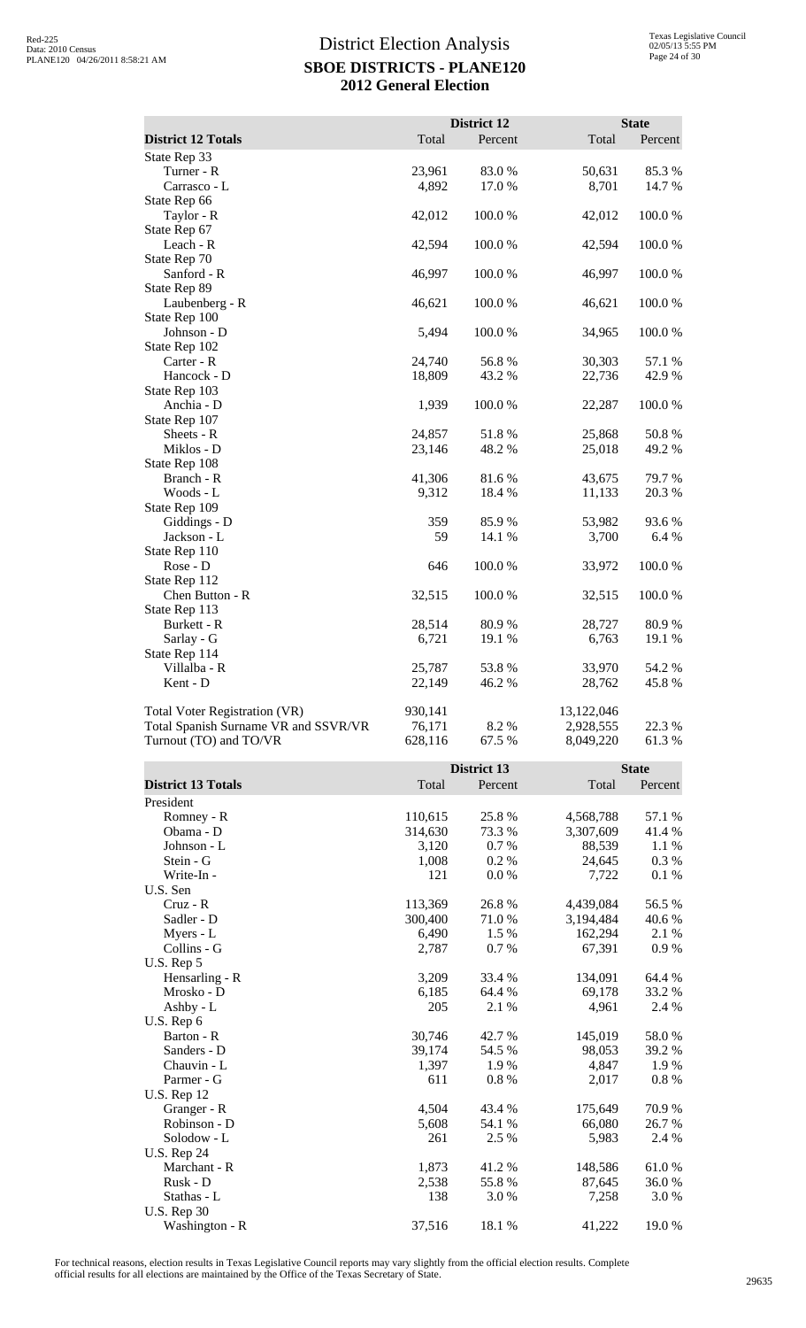|                                      |         | <b>District 12</b> |            | <b>State</b> |
|--------------------------------------|---------|--------------------|------------|--------------|
| <b>District 12 Totals</b>            | Total   | Percent            | Total      | Percent      |
| State Rep 33                         |         |                    |            |              |
| Turner - R                           | 23,961  | 83.0%              | 50,631     | 85.3%        |
| Carrasco - L                         | 4,892   | 17.0 %             | 8,701      | 14.7 %       |
| State Rep 66                         |         |                    |            |              |
| Taylor - R                           | 42,012  | 100.0%             | 42,012     | 100.0%       |
| State Rep 67                         |         |                    |            |              |
| Leach - R                            | 42,594  | 100.0%             | 42,594     | 100.0%       |
| State Rep 70                         |         |                    |            |              |
| Sanford - R                          | 46,997  | 100.0%             | 46,997     | 100.0%       |
| State Rep 89                         |         |                    |            |              |
| Laubenberg - R                       | 46,621  | 100.0%             | 46,621     | 100.0%       |
| State Rep 100                        |         |                    |            |              |
| Johnson - D                          | 5,494   | 100.0%             | 34,965     | 100.0%       |
| State Rep 102                        |         |                    |            |              |
| Carter - R                           | 24,740  | 56.8%              | 30,303     | 57.1 %       |
| Hancock - D                          | 18,809  | 43.2 %             | 22,736     | 42.9%        |
| State Rep 103                        |         |                    |            |              |
| Anchia - D                           | 1,939   | 100.0%             | 22,287     | 100.0%       |
| State Rep 107                        |         |                    |            |              |
| Sheets - R                           | 24,857  | 51.8%              | 25,868     | 50.8%        |
| Miklos - D                           | 23,146  | 48.2%              | 25,018     | 49.2%        |
| State Rep 108                        |         |                    |            |              |
| Branch - R                           | 41,306  | 81.6%              | 43,675     | 79.7%        |
| Woods - L                            | 9,312   | 18.4%              | 11,133     | 20.3 %       |
| State Rep 109                        |         |                    |            |              |
| Giddings - D                         | 359     | 85.9%              | 53,982     | 93.6%        |
| Jackson - L                          | 59      | 14.1 %             | 3,700      | 6.4 %        |
| State Rep 110                        |         |                    |            |              |
| Rose - D                             | 646     | 100.0%             | 33,972     | 100.0%       |
| State Rep 112                        |         |                    |            |              |
| Chen Button - R                      | 32,515  | 100.0%             | 32,515     | 100.0%       |
| State Rep 113                        |         |                    |            |              |
| Burkett - R                          | 28,514  | 80.9%              | 28,727     | 80.9%        |
| Sarlay - G                           | 6,721   | 19.1 %             | 6,763      | 19.1 %       |
| State Rep 114                        |         |                    |            |              |
| Villalba - R                         | 25,787  | 53.8%              | 33,970     | 54.2 %       |
| Kent - D                             | 22,149  | 46.2%              | 28,762     | 45.8%        |
| Total Voter Registration (VR)        | 930,141 |                    | 13,122,046 |              |
| Total Spanish Surname VR and SSVR/VR | 76,171  | 8.2%               | 2,928,555  | 22.3 %       |
| Turnout (TO) and TO/VR               | 628,116 | 67.5 %             | 8,049,220  | 61.3%        |

|                           |         | District 13 |           |         |
|---------------------------|---------|-------------|-----------|---------|
| <b>District 13 Totals</b> | Total   | Percent     | Total     | Percent |
| President                 |         |             |           |         |
| Romney - R                | 110,615 | 25.8 %      | 4,568,788 | 57.1 %  |
| Obama - D                 | 314,630 | 73.3 %      | 3,307,609 | 41.4 %  |
| Johnson - L               | 3,120   | 0.7 %       | 88,539    | 1.1 %   |
| Stein - G                 | 1,008   | 0.2 %       | 24,645    | 0.3 %   |
| Write-In -                | 121     | 0.0 %       | 7,722     | $0.1\%$ |
| U.S. Sen                  |         |             |           |         |
| $Cruz - R$                | 113,369 | 26.8%       | 4,439,084 | 56.5 %  |
| Sadler - D                | 300,400 | 71.0%       | 3,194,484 | 40.6 %  |
| Myers - L                 | 6,490   | 1.5 %       | 162,294   | 2.1 %   |
| Collins - G               | 2,787   | 0.7 %       | 67,391    | 0.9%    |
| U.S. Rep 5                |         |             |           |         |
| Hensarling - R            | 3,209   | 33.4 %      | 134,091   | 64.4 %  |
| Mrosko - D                | 6,185   | 64.4 %      | 69,178    | 33.2 %  |
| Ashby - L                 | 205     | 2.1 %       | 4,961     | 2.4 %   |
| U.S. Rep 6                |         |             |           |         |
| Barton - R                | 30,746  | 42.7 %      | 145,019   | 58.0%   |
| Sanders - D               | 39,174  | 54.5 %      | 98,053    | 39.2 %  |
| Chauvin - L               | 1,397   | 1.9%        | 4,847     | 1.9%    |
| Parmer - G                | 611     | 0.8%        | 2,017     | 0.8 %   |
| <b>U.S. Rep 12</b>        |         |             |           |         |
| Granger - R               | 4,504   | 43.4 %      | 175,649   | 70.9 %  |
| Robinson - D              | 5,608   | 54.1 %      | 66,080    | 26.7%   |
| Solodow - L               | 261     | 2.5 %       | 5,983     | 2.4 %   |
| <b>U.S. Rep 24</b>        |         |             |           |         |
| Marchant - R              | 1,873   | 41.2%       | 148,586   | 61.0%   |
| Rusk - D                  | 2,538   | 55.8%       | 87,645    | 36.0%   |
| Stathas - L               | 138     | 3.0%        | 7,258     | 3.0 %   |
| <b>U.S. Rep 30</b>        |         |             |           |         |
| Washington - R            | 37,516  | 18.1 %      | 41,222    | 19.0%   |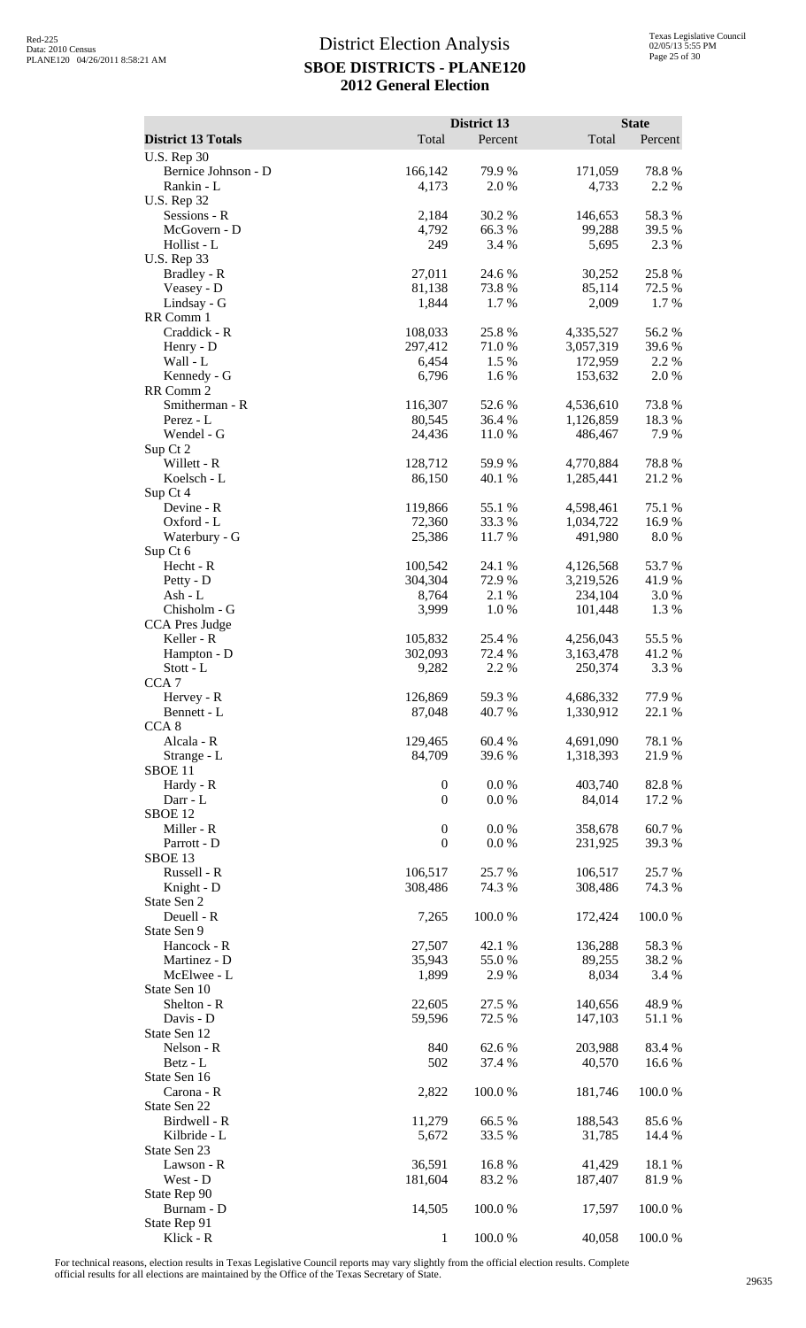|                                                 |                    | District 13      |                        | <b>State</b>    |
|-------------------------------------------------|--------------------|------------------|------------------------|-----------------|
| <b>District 13 Totals</b><br><b>U.S. Rep 30</b> | Total              | Percent          | Total                  | Percent         |
| Bernice Johnson - D                             | 166,142            | 79.9 %           | 171,059                | 78.8%           |
| Rankin - L                                      | 4,173              | 2.0 %            | 4,733                  | 2.2 %           |
| <b>U.S. Rep 32</b><br>Sessions - R              | 2,184              | 30.2 %           | 146,653                | 58.3%           |
| McGovern - D                                    | 4,792              | 66.3%            | 99,288                 | 39.5 %          |
| Hollist - L                                     | 249                | 3.4 %            | 5,695                  | 2.3 %           |
| <b>U.S. Rep 33</b><br>Bradley - R               | 27,011             | 24.6 %           | 30,252                 | 25.8 %          |
| Veasey - D                                      | 81,138             | 73.8%            | 85,114                 | 72.5 %          |
| Lindsay - G                                     | 1,844              | 1.7%             | 2,009                  | 1.7%            |
| RR Comm 1<br>Craddick - R                       | 108,033            | 25.8%            | 4,335,527              | 56.2%           |
| Henry - D                                       | 297,412            | 71.0%            | 3,057,319              | 39.6%           |
| Wall - L                                        | 6,454              | 1.5 %            | 172,959                | 2.2 %           |
| Kennedy - G<br>RR Comm 2                        | 6,796              | 1.6%             | 153,632                | 2.0%            |
| Smitherman - R                                  | 116,307            | 52.6%            | 4,536,610              | 73.8%           |
| Perez - L                                       | 80,545             | 36.4 %           | 1,126,859              | 18.3%           |
| Wendel - G                                      | 24,436             | 11.0 %           | 486,467                | 7.9%            |
| Sup Ct 2<br>Willett - R                         | 128,712            | 59.9%            | 4,770,884              | 78.8 %          |
| Koelsch - L                                     | 86,150             | 40.1 %           | 1,285,441              | 21.2%           |
| Sup Ct 4                                        |                    |                  |                        |                 |
| Devine - R<br>Oxford - L                        | 119,866<br>72,360  | 55.1 %<br>33.3 % | 4,598,461<br>1,034,722 | 75.1 %<br>16.9% |
| Waterbury - G                                   | 25,386             | 11.7%            | 491,980                | 8.0%            |
| Sup Ct 6                                        |                    |                  |                        |                 |
| Hecht - R<br>Petty - D                          | 100,542<br>304,304 | 24.1 %<br>72.9%  | 4,126,568<br>3,219,526 | 53.7 %<br>41.9% |
| Ash - L                                         | 8,764              | 2.1 %            | 234,104                | 3.0%            |
| Chisholm - G                                    | 3,999              | 1.0%             | 101,448                | 1.3%            |
| CCA Pres Judge<br>Keller - R                    | 105,832            | 25.4 %           | 4,256,043              | 55.5 %          |
| Hampton - D                                     | 302,093            | 72.4 %           | 3,163,478              | 41.2%           |
| Stott - L                                       | 9,282              | 2.2 %            | 250,374                | 3.3 %           |
| CCA <sub>7</sub><br>Hervey - R                  | 126,869            | 59.3%            | 4,686,332              | 77.9 %          |
| Bennett - L                                     | 87,048             | 40.7 %           | 1,330,912              | 22.1 %          |
| CCA <sub>8</sub>                                |                    |                  |                        |                 |
| Alcala - R<br>Strange - L                       | 129,465<br>84,709  | 60.4%<br>39.6%   | 4,691,090<br>1,318,393 | 78.1 %<br>21.9% |
| SBOE 11                                         |                    |                  |                        |                 |
| Hardy - R                                       | $\boldsymbol{0}$   | 0.0 %            | 403,740                | 82.8%           |
| Darr - L<br>SBOE <sub>12</sub>                  | $\mathbf{0}$       | 0.0 %            | 84,014                 | 17.2 %          |
| Miller - R                                      | $\boldsymbol{0}$   | 0.0 %            | 358,678                | 60.7%           |
| Parrott - D                                     | $\boldsymbol{0}$   | 0.0 %            | 231,925                | 39.3 %          |
| SBOE <sub>13</sub><br>Russell - R               | 106,517            | 25.7 %           | 106,517                | 25.7 %          |
| Knight - D                                      | 308,486            | 74.3 %           | 308,486                | 74.3 %          |
| State Sen 2                                     |                    |                  |                        |                 |
| Deuell - R<br>State Sen 9                       | 7,265              | 100.0%           | 172,424                | 100.0%          |
| Hancock - R                                     | 27,507             | 42.1 %           | 136,288                | 58.3%           |
| Martinez - D                                    | 35,943             | 55.0%            | 89,255                 | 38.2 %          |
| McElwee - L                                     | 1,899              | 2.9%             | 8,034                  | 3.4 %           |
| State Sen 10<br>Shelton - R                     | 22,605             | 27.5 %           | 140,656                | 48.9%           |
| Davis - D                                       | 59,596             | 72.5 %           | 147,103                | 51.1 %          |
| State Sen 12                                    |                    |                  |                        |                 |
| Nelson - R<br>Betz - L                          | 840<br>502         | 62.6 %<br>37.4 % | 203,988<br>40,570      | 83.4 %<br>16.6% |
| State Sen 16                                    |                    |                  |                        |                 |
| Carona - R                                      | 2,822              | 100.0%           | 181,746                | 100.0%          |
| State Sen 22<br>Birdwell - R                    | 11,279             | 66.5%            | 188,543                | 85.6%           |
| Kilbride - L                                    | 5,672              | 33.5 %           | 31,785                 | 14.4 %          |
| State Sen 23                                    |                    |                  |                        |                 |
| Lawson - R<br>West - D                          | 36,591<br>181,604  | 16.8%<br>83.2%   | 41,429<br>187,407      | 18.1 %<br>81.9% |
| State Rep 90                                    |                    |                  |                        |                 |
| Burnam - D                                      | 14,505             | 100.0%           | 17,597                 | 100.0%          |
| State Rep 91<br>Klick - R                       | 1                  | 100.0%           | 40,058                 | 100.0%          |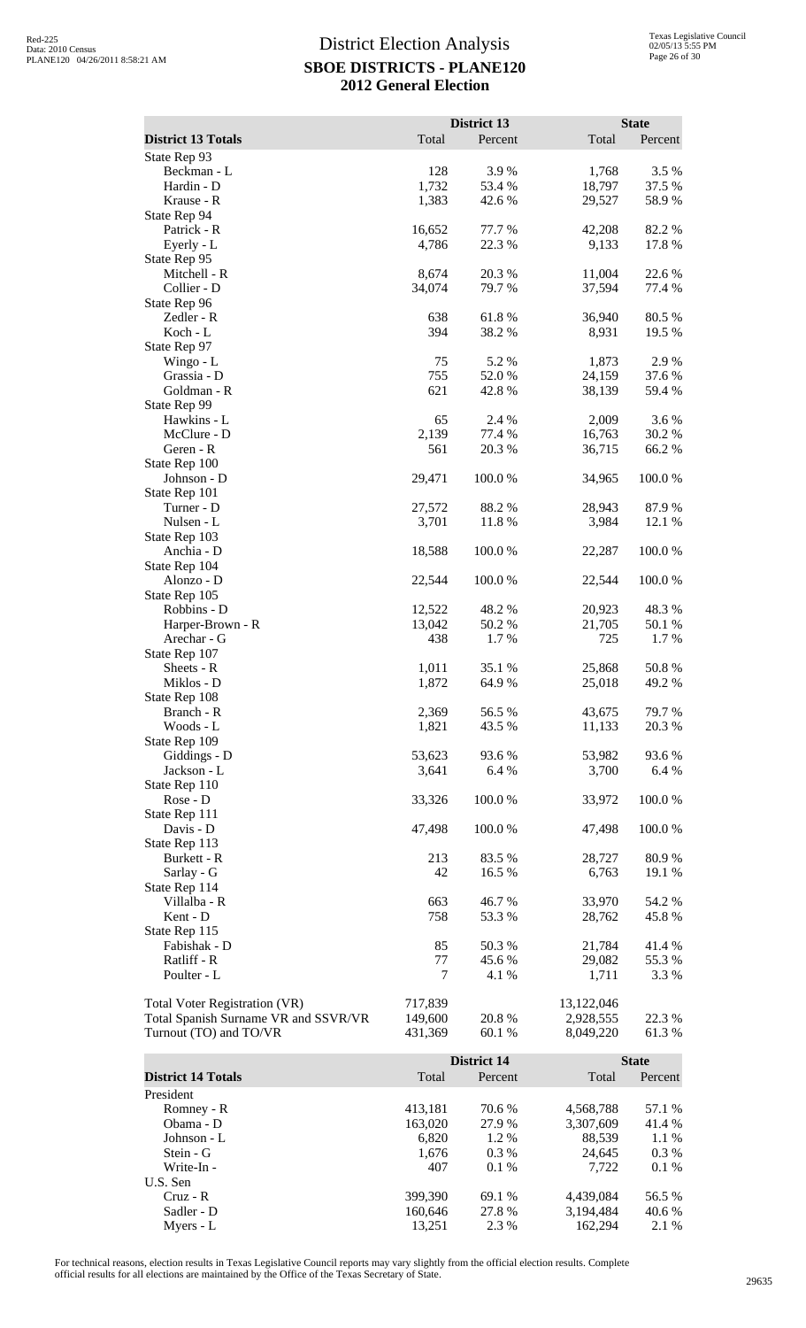|                                                                              |                    | District 13        |                         | <b>State</b>    |
|------------------------------------------------------------------------------|--------------------|--------------------|-------------------------|-----------------|
| <b>District 13 Totals</b>                                                    | Total              | Percent            | Total                   | Percent         |
| State Rep 93<br>Beckman - L                                                  | 128                | 3.9%               | 1,768                   | 3.5 %           |
| Hardin - D                                                                   | 1,732              | 53.4 %             | 18,797                  | 37.5 %          |
| Krause - R                                                                   | 1,383              | 42.6 %             | 29,527                  | 58.9%           |
| State Rep 94                                                                 |                    |                    |                         |                 |
| Patrick - R<br>Eyerly - L                                                    | 16,652<br>4,786    | 77.7 %<br>22.3 %   | 42,208<br>9,133         | 82.2 %<br>17.8% |
| State Rep 95                                                                 |                    |                    |                         |                 |
| Mitchell - R                                                                 | 8,674              | 20.3 %             | 11,004                  | 22.6 %          |
| Collier - D<br>State Rep 96                                                  | 34,074             | 79.7 %             | 37,594                  | 77.4 %          |
| Zedler - R                                                                   | 638                | 61.8%              | 36,940                  | 80.5 %          |
| Koch - L                                                                     | 394                | 38.2%              | 8,931                   | 19.5 %          |
| State Rep 97<br>Wingo - L                                                    | 75                 | 5.2 %              | 1,873                   | 2.9%            |
| Grassia - D                                                                  | 755                | 52.0 %             | 24,159                  | 37.6 %          |
| Goldman - R                                                                  | 621                | 42.8%              | 38,139                  | 59.4 %          |
| State Rep 99                                                                 |                    |                    |                         |                 |
| Hawkins - L<br>McClure - D                                                   | 65<br>2,139        | 2.4 %<br>77.4 %    | 2,009<br>16,763         | 3.6%<br>30.2 %  |
| Geren - R                                                                    | 561                | 20.3 %             | 36,715                  | 66.2%           |
| State Rep 100                                                                |                    |                    |                         |                 |
| Johnson - D<br>State Rep 101                                                 | 29,471             | 100.0%             | 34,965                  | 100.0%          |
| Turner - D                                                                   | 27,572             | 88.2%              | 28,943                  | 87.9%           |
| Nulsen - L                                                                   | 3,701              | 11.8 %             | 3,984                   | 12.1 %          |
| State Rep 103                                                                |                    |                    |                         |                 |
| Anchia - D<br>State Rep 104                                                  | 18,588             | 100.0%             | 22,287                  | 100.0%          |
| Alonzo - D                                                                   | 22,544             | 100.0%             | 22,544                  | 100.0%          |
| State Rep 105                                                                |                    |                    |                         |                 |
| Robbins - D<br>Harper-Brown - R                                              | 12,522<br>13,042   | 48.2%<br>50.2 %    | 20,923<br>21,705        | 48.3%<br>50.1 % |
| Arechar - G                                                                  | 438                | 1.7%               | 725                     | 1.7%            |
| State Rep 107                                                                |                    |                    |                         |                 |
| Sheets - R                                                                   | 1,011              | 35.1 %             | 25,868                  | 50.8%           |
| Miklos - D<br>State Rep 108                                                  | 1,872              | 64.9%              | 25,018                  | 49.2 %          |
| Branch - R                                                                   | 2,369              | 56.5 %             | 43,675                  | 79.7 %          |
| Woods - L                                                                    | 1,821              | 43.5 %             | 11,133                  | 20.3 %          |
| State Rep 109<br>Giddings - D                                                | 53,623             | 93.6%              | 53,982                  | 93.6%           |
| Jackson - L                                                                  | 3,641              | 6.4 %              | 3,700                   | 6.4 %           |
| State Rep 110                                                                |                    |                    |                         |                 |
| Rose - D                                                                     | 33,326             | 100.0%             | 33,972                  | 100.0%          |
| State Rep 111<br>Davis - D                                                   | 47,498             | 100.0%             | 47,498                  | 100.0%          |
| State Rep 113                                                                |                    |                    |                         |                 |
| Burkett - R                                                                  | 213                | 83.5 %             | 28,727                  | 80.9%           |
| Sarlay - G<br>State Rep 114                                                  | 42                 | 16.5 %             | 6,763                   | 19.1 %          |
| Villalba - R                                                                 | 663                | 46.7%              | 33,970                  | 54.2 %          |
| Kent - D                                                                     | 758                | 53.3 %             | 28,762                  | 45.8%           |
| State Rep 115                                                                |                    |                    |                         |                 |
| Fabishak - D<br>Ratliff - R                                                  | 85<br>77           | 50.3%<br>45.6%     | 21,784<br>29,082        | 41.4%<br>55.3 % |
| Poulter - L                                                                  | 7                  | 4.1 %              | 1,711                   | 3.3 %           |
|                                                                              |                    |                    |                         |                 |
| <b>Total Voter Registration (VR)</b><br>Total Spanish Surname VR and SSVR/VR | 717,839<br>149,600 | 20.8%              | 13,122,046<br>2,928,555 | 22.3 %          |
| Turnout (TO) and TO/VR                                                       | 431,369            | 60.1%              | 8,049,220               | 61.3%           |
|                                                                              |                    |                    |                         |                 |
|                                                                              |                    | <b>District 14</b> |                         | <b>State</b>    |
| <b>District 14 Totals</b><br>President                                       | Total              | Percent            | Total                   | Percent         |
| Romney - R                                                                   | 413,181            | 70.6%              | 4,568,788               | 57.1 %          |
| Obama - D                                                                    | 163,020            | 27.9%              | 3,307,609               | 41.4 %          |
| Johnson - L                                                                  | 6,820              | 1.2 %              | 88,539                  | 1.1 %           |
| Stein - G<br>Write-In -                                                      | 1,676<br>407       | 0.3%<br>0.1 %      | 24,645<br>7,722         | 0.3 %<br>0.1 %  |
| U.S. Sen                                                                     |                    |                    |                         |                 |
| Cruz - R                                                                     | 399,390            | 69.1 %             | 4,439,084               | 56.5 %          |
| Sadler - D<br>Myers - L                                                      | 160,646<br>13,251  | 27.8 %<br>2.3 %    | 3,194,484<br>162,294    | 40.6%<br>2.1 %  |
|                                                                              |                    |                    |                         |                 |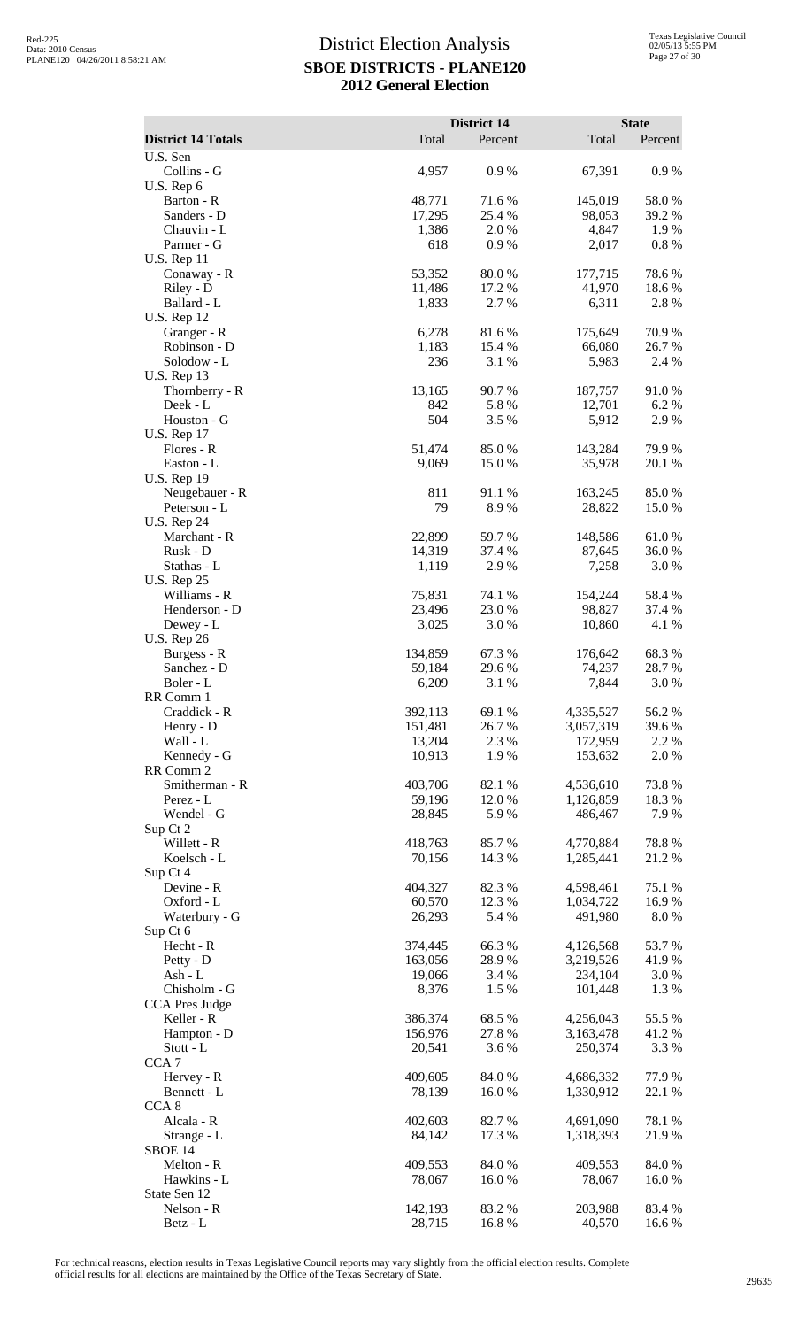|                                      |                    | <b>District 14</b> |                        | <b>State</b>    |
|--------------------------------------|--------------------|--------------------|------------------------|-----------------|
| <b>District 14 Totals</b>            | Total              | Percent            | Total                  | Percent         |
| U.S. Sen<br>Collins - G              | 4,957              | 0.9%               | 67,391                 | $0.9\ \%$       |
| U.S. Rep 6                           |                    |                    |                        |                 |
| Barton - R                           | 48,771             | 71.6%              | 145,019                | 58.0%           |
| Sanders - D<br>Chauvin - L           | 17,295<br>1,386    | 25.4 %<br>2.0%     | 98,053<br>4,847        | 39.2 %<br>1.9%  |
| Parmer - G                           | 618                | 0.9%               | 2,017                  | 0.8 %           |
| <b>U.S. Rep 11</b>                   |                    |                    |                        |                 |
| Conaway - R                          | 53,352             | 80.0%              | 177,715                | 78.6%           |
| Riley - D                            | 11,486             | 17.2 %             | 41,970                 | 18.6%           |
| Ballard - L<br><b>U.S. Rep 12</b>    | 1,833              | 2.7 %              | 6,311                  | 2.8%            |
| Granger - R                          | 6,278              | 81.6%              | 175,649                | 70.9%           |
| Robinson - D                         | 1,183              | 15.4 %             | 66,080                 | 26.7 %          |
| Solodow - L                          | 236                | 3.1 %              | 5,983                  | 2.4 %           |
| <b>U.S. Rep 13</b><br>Thornberry - R | 13,165             | 90.7%              | 187,757                | 91.0%           |
| Deek - L                             | 842                | 5.8%               | 12,701                 | 6.2 %           |
| Houston - G                          | 504                | 3.5 %              | 5,912                  | 2.9 %           |
| <b>U.S. Rep 17</b>                   |                    |                    |                        |                 |
| Flores - R                           | 51,474             | 85.0%              | 143,284                | 79.9%           |
| Easton - L<br><b>U.S. Rep 19</b>     | 9,069              | 15.0%              | 35,978                 | 20.1 %          |
| Neugebauer - R                       | 811                | 91.1%              | 163,245                | 85.0%           |
| Peterson - L                         | 79                 | 8.9%               | 28,822                 | 15.0%           |
| <b>U.S. Rep 24</b>                   |                    |                    |                        |                 |
| Marchant - R<br>Rusk - D             | 22,899<br>14,319   | 59.7%<br>37.4 %    | 148,586<br>87,645      | 61.0%<br>36.0%  |
| Stathas - L                          | 1,119              | 2.9%               | 7,258                  | 3.0%            |
| <b>U.S. Rep 25</b>                   |                    |                    |                        |                 |
| Williams - R                         | 75,831             | 74.1 %             | 154,244                | 58.4%           |
| Henderson - D                        | 23,496             | 23.0%              | 98,827                 | 37.4 %          |
| Dewey - L<br><b>U.S. Rep 26</b>      | 3,025              | 3.0%               | 10,860                 | 4.1 %           |
| Burgess - R                          | 134,859            | 67.3%              | 176,642                | 68.3%           |
| Sanchez - D                          | 59,184             | 29.6%              | 74,237                 | 28.7 %          |
| Boler - L                            | 6,209              | 3.1 %              | 7,844                  | 3.0%            |
| RR Comm 1<br>Craddick - R            | 392,113            | 69.1 %             | 4,335,527              | 56.2%           |
| Henry - D                            | 151,481            | 26.7%              | 3,057,319              | 39.6 %          |
| Wall - L                             | 13,204             | 2.3 %              | 172,959                | 2.2 %           |
| Kennedy - G                          | 10,913             | 1.9%               | 153,632                | 2.0%            |
| RR Comm 2                            |                    |                    |                        |                 |
| Smitherman - R<br>Perez - L          | 403,706<br>59,196  | 82.1 %<br>12.0%    | 4,536,610<br>1,126,859 | 73.8%<br>18.3%  |
| Wendel - G                           | 28,845             | 5.9%               | 486,467                | 7.9 %           |
| Sup Ct 2                             |                    |                    |                        |                 |
| Willett - R                          | 418,763            | 85.7%              | 4,770,884              | 78.8%           |
| Koelsch - L<br>Sup Ct 4              | 70,156             | 14.3 %             | 1,285,441              | 21.2 %          |
| Devine - R                           | 404,327            | 82.3 %             | 4,598,461              | 75.1 %          |
| Oxford - L                           | 60,570             | 12.3 %             | 1,034,722              | 16.9%           |
| Waterbury - G                        | 26,293             | 5.4 %              | 491,980                | 8.0%            |
| Sup Ct 6<br>Hecht - R                | 374,445            | 66.3%              | 4,126,568              | 53.7%           |
| Petty - D                            | 163,056            | 28.9%              | 3,219,526              | 41.9%           |
| Ash - L                              | 19,066             | 3.4 %              | 234,104                | 3.0 %           |
| Chisholm - G                         | 8,376              | 1.5 %              | 101,448                | 1.3 %           |
| <b>CCA Pres Judge</b>                |                    |                    |                        |                 |
| Keller - R<br>Hampton - D            | 386,374<br>156,976 | 68.5 %<br>27.8 %   | 4,256,043<br>3,163,478 | 55.5 %<br>41.2% |
| $Stott - L$                          | 20,541             | 3.6 %              | 250,374                | 3.3 %           |
| CCA <sub>7</sub>                     |                    |                    |                        |                 |
| Hervey - R                           | 409,605            | 84.0%              | 4,686,332              | 77.9%           |
| Bennett - L<br>CCA <sub>8</sub>      | 78,139             | 16.0%              | 1,330,912              | 22.1 %          |
| Alcala - R                           | 402,603            | 82.7%              | 4,691,090              | 78.1 %          |
| Strange - L                          | 84,142             | 17.3 %             | 1,318,393              | 21.9%           |
| SBOE 14                              |                    |                    |                        |                 |
| Melton - R                           | 409,553            | 84.0%              | 409,553                | 84.0%           |
| Hawkins - L<br>State Sen 12          | 78,067             | 16.0%              | 78,067                 | 16.0%           |
| Nelson - R                           | 142,193            | 83.2%              | 203,988                | 83.4 %          |
| Betz - L                             | 28,715             | 16.8%              | 40,570                 | 16.6 %          |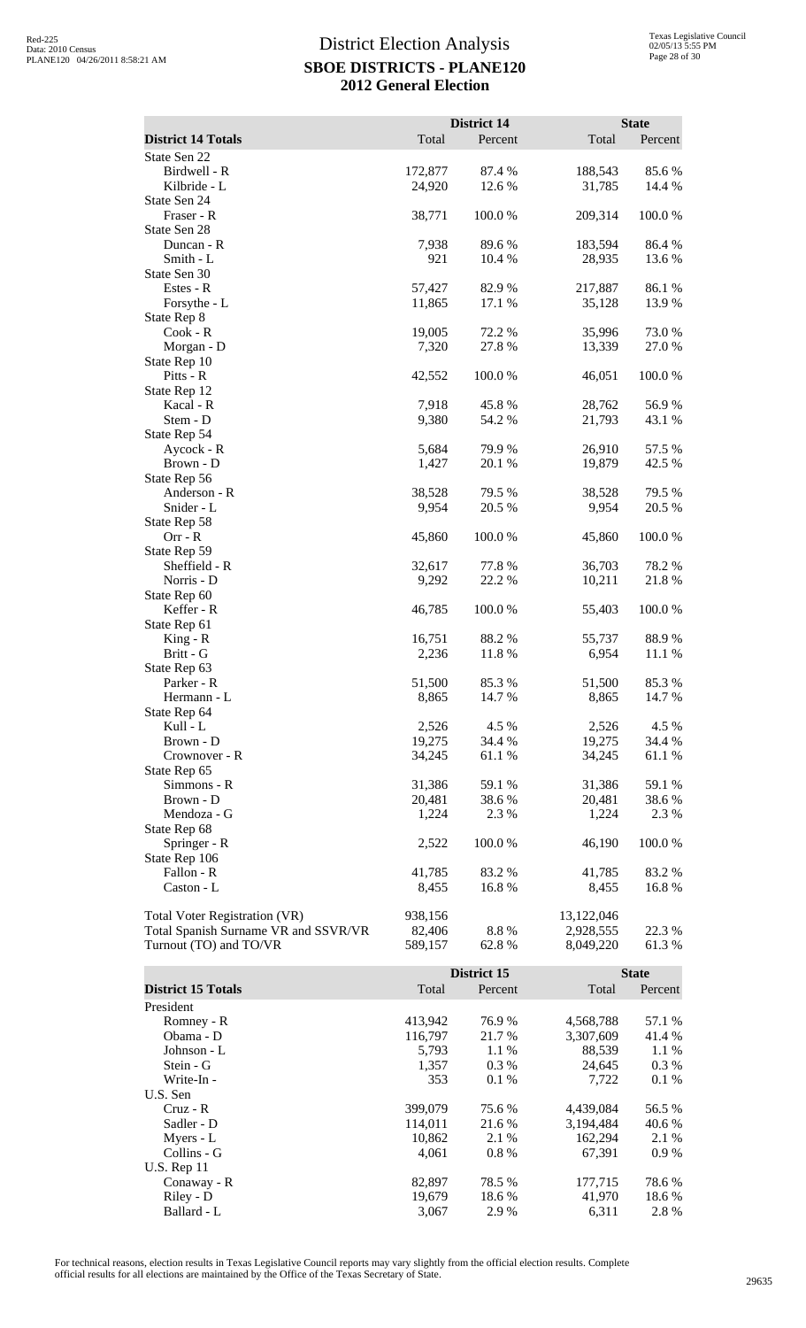|                                      |         | <b>District 14</b> |            | <b>State</b> |
|--------------------------------------|---------|--------------------|------------|--------------|
| <b>District 14 Totals</b>            | Total   | Percent            | Total      | Percent      |
| State Sen 22                         |         |                    |            |              |
| Birdwell - R                         | 172,877 | 87.4 %             | 188,543    | 85.6 %       |
| Kilbride - L                         | 24,920  | 12.6 %             | 31,785     | 14.4 %       |
| State Sen 24                         |         |                    |            |              |
| Fraser - R                           | 38,771  | 100.0 %            | 209,314    | 100.0%       |
| State Sen 28                         |         |                    |            |              |
| Duncan - R                           | 7,938   | 89.6%              | 183,594    | 86.4%        |
| Smith - L                            | 921     | 10.4 %             | 28,935     | 13.6 %       |
| State Sen 30                         |         |                    |            |              |
| Estes - R                            | 57,427  | 82.9%              | 217,887    | 86.1%        |
| Forsythe - L                         | 11,865  | 17.1 %             | 35,128     | 13.9%        |
| State Rep 8                          |         |                    |            |              |
| Cook - R                             | 19,005  | 72.2 %             | 35,996     | 73.0 %       |
| Morgan - D                           | 7,320   | 27.8 %             | 13,339     | 27.0 %       |
| State Rep 10                         |         |                    |            |              |
| Pitts - R                            | 42,552  | 100.0%             | 46,051     | 100.0%       |
| State Rep 12                         |         |                    |            |              |
| Kacal - R                            | 7,918   | 45.8%              | 28,762     | 56.9%        |
| Stem - D                             | 9,380   | 54.2 %             | 21,793     | 43.1 %       |
| State Rep 54                         |         |                    |            |              |
| Aycock - R                           | 5,684   | 79.9%              | 26,910     | 57.5 %       |
| Brown - D                            | 1,427   | 20.1 %             | 19,879     | 42.5 %       |
| State Rep 56                         |         |                    |            |              |
| Anderson - R                         | 38,528  | 79.5 %             | 38,528     | 79.5 %       |
| Snider - L                           | 9,954   | 20.5 %             | 9,954      | 20.5 %       |
| State Rep 58                         |         |                    |            |              |
| $Orr - R$                            | 45,860  | 100.0%             | 45,860     | 100.0%       |
| State Rep 59                         |         |                    |            |              |
| Sheffield - R                        | 32,617  | 77.8 %             | 36,703     | 78.2 %       |
| Norris - D                           | 9,292   | 22.2 %             | 10,211     | 21.8%        |
| State Rep 60                         |         |                    |            |              |
| Keffer - R                           | 46,785  | 100.0%             | 55,403     | 100.0%       |
| State Rep 61                         |         |                    |            |              |
| $King - R$                           | 16,751  | 88.2%              | 55,737     | 88.9%        |
| Britt - G                            | 2,236   | 11.8%              | 6,954      | 11.1 %       |
| State Rep 63                         |         |                    |            |              |
| Parker - R                           | 51,500  | 85.3%              | 51,500     | 85.3%        |
| Hermann - L                          | 8,865   | 14.7 %             | 8,865      | 14.7 %       |
| State Rep 64                         |         |                    |            |              |
| Kull - L                             | 2,526   | 4.5 %              | 2,526      | 4.5 %        |
| Brown - D                            | 19,275  | 34.4 %             | 19,275     | 34.4 %       |
| Crownover - R                        | 34,245  | 61.1 %             | 34,245     | 61.1 %       |
| State Rep 65                         |         |                    |            |              |
| Simmons - R                          | 31,386  | 59.1 %             | 31,386     | 59.1 %       |
| Brown - D                            | 20,481  | 38.6 %             | 20,481     | 38.6%        |
| Mendoza - G                          | 1,224   | 2.3 %              | 1,224      | 2.3 %        |
| State Rep 68                         |         |                    |            |              |
| Springer - R                         | 2,522   | 100.0%             | 46,190     | 100.0 %      |
| State Rep 106                        |         |                    |            |              |
| Fallon - R                           | 41,785  | 83.2 %             | 41,785     | 83.2%        |
| Caston - L                           | 8,455   | 16.8%              | 8,455      | 16.8%        |
| <b>Total Voter Registration (VR)</b> | 938,156 |                    | 13,122,046 |              |
| Total Spanish Surname VR and SSVR/VR | 82,406  | 8.8%               | 2,928,555  | 22.3 %       |
| Turnout (TO) and TO/VR               | 589,157 | 62.8%              | 8,049,220  | 61.3%        |
|                                      |         |                    |            |              |
|                                      |         | District 15        |            | <b>State</b> |

|                           |         | District 15 |           |         |
|---------------------------|---------|-------------|-----------|---------|
| <b>District 15 Totals</b> | Total   | Percent     | Total     | Percent |
| President                 |         |             |           |         |
| Romney - R                | 413,942 | 76.9%       | 4,568,788 | 57.1 %  |
| Obama - D                 | 116,797 | 21.7 %      | 3.307.609 | 41.4 %  |
| Johnson - L               | 5.793   | 1.1 %       | 88,539    | 1.1 %   |
| Stein - G                 | 1,357   | $0.3\%$     | 24,645    | 0.3 %   |
| Write-In -                | 353     | 0.1%        | 7,722     | 0.1%    |
| U.S. Sen                  |         |             |           |         |
| $Cruz - R$                | 399,079 | 75.6 %      | 4,439,084 | 56.5 %  |
| Sadler - D                | 114,011 | 21.6 %      | 3,194,484 | 40.6 %  |
| Myers - L                 | 10,862  | 2.1 %       | 162,294   | 2.1 %   |
| Collins - G               | 4,061   | 0.8 %       | 67,391    | $0.9\%$ |
| <b>U.S. Rep 11</b>        |         |             |           |         |
| Conaway - R               | 82.897  | 78.5 %      | 177,715   | 78.6 %  |
| Riley - D                 | 19,679  | 18.6 %      | 41,970    | 18.6 %  |
| Ballard - L               | 3,067   | 2.9 %       | 6,311     | 2.8%    |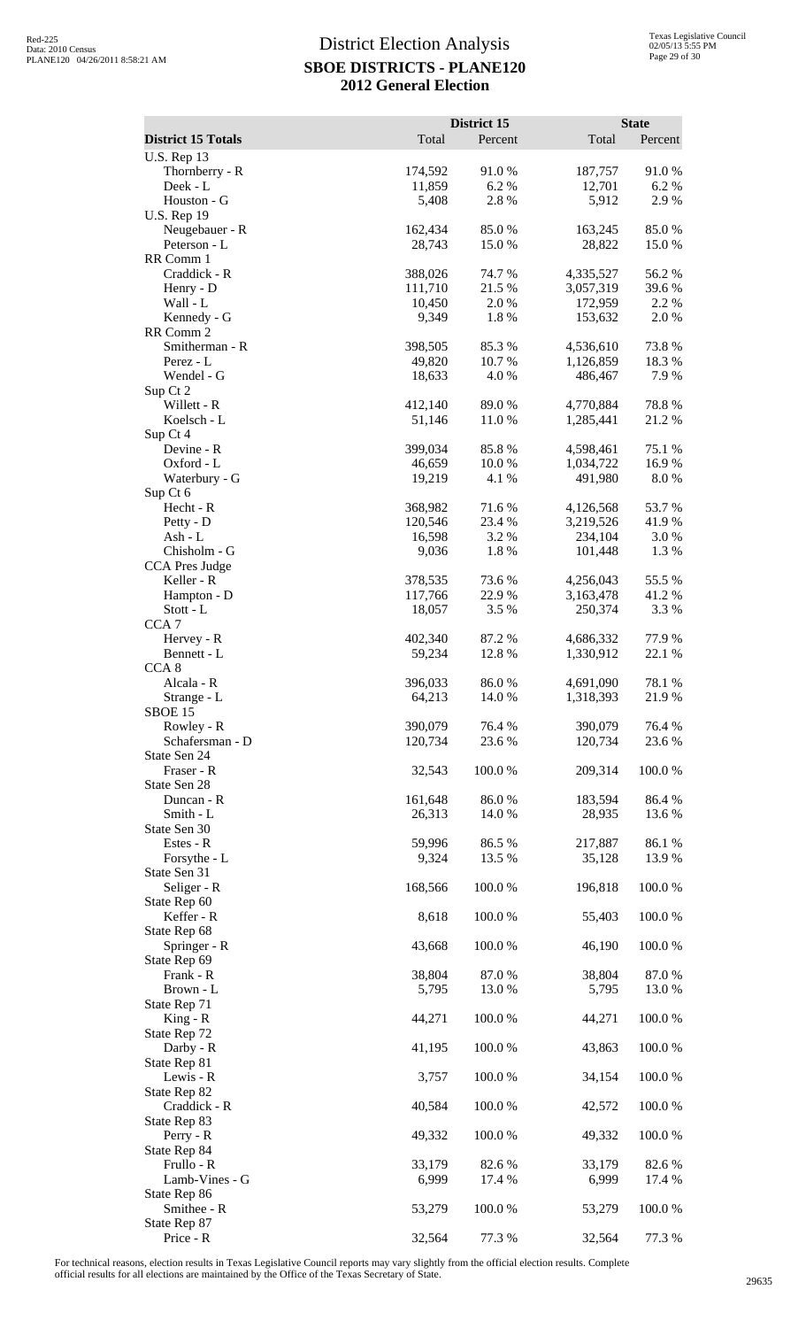|                                                 |                    | District 15     |                        | <b>State</b>     |
|-------------------------------------------------|--------------------|-----------------|------------------------|------------------|
| <b>District 15 Totals</b><br><b>U.S. Rep 13</b> | Total              | Percent         | Total                  | Percent          |
| Thornberry - R                                  | 174,592            | 91.0%           | 187,757                | 91.0%            |
| Deek - L                                        | 11,859             | 6.2%            | 12,701                 | 6.2%             |
| Houston - G<br><b>U.S. Rep 19</b>               | 5,408              | 2.8%            | 5,912                  | 2.9%             |
| Neugebauer - R                                  | 162,434            | 85.0%           | 163,245                | 85.0%            |
| Peterson - L<br>RR Comm 1                       | 28,743             | 15.0%           | 28,822                 | 15.0 %           |
| Craddick - R                                    | 388,026            | 74.7%           | 4,335,527              | 56.2%            |
| Henry - D                                       | 111,710            | 21.5 %          | 3,057,319              | 39.6%            |
| Wall - L<br>Kennedy - G                         | 10,450<br>9,349    | 2.0%<br>1.8%    | 172,959<br>153,632     | 2.2 %<br>2.0 %   |
| RR Comm 2                                       |                    |                 |                        |                  |
| Smitherman - R                                  | 398,505            | 85.3%           | 4,536,610              | 73.8%            |
| Perez - L<br>Wendel - G                         | 49,820<br>18,633   | 10.7%<br>4.0%   | 1,126,859<br>486,467   | 18.3%<br>7.9%    |
| Sup Ct 2                                        |                    |                 |                        |                  |
| Willett - R<br>Koelsch - L                      | 412,140<br>51,146  | 89.0%<br>11.0 % | 4,770,884<br>1,285,441 | 78.8%<br>21.2 %  |
| Sup Ct 4                                        |                    |                 |                        |                  |
| Devine - R                                      | 399,034            | 85.8%           | 4,598,461              | 75.1 %           |
| Oxford - L<br>Waterbury - G                     | 46,659<br>19,219   | 10.0 %<br>4.1 % | 1,034,722<br>491,980   | 16.9%<br>8.0%    |
| Sup Ct 6                                        |                    |                 |                        |                  |
| Hecht - R                                       | 368,982            | 71.6%           | 4,126,568              | 53.7%            |
| Petty - D<br>Ash - L                            | 120,546<br>16,598  | 23.4 %<br>3.2 % | 3,219,526<br>234,104   | 41.9%<br>3.0%    |
| Chisholm - G                                    | 9,036              | 1.8%            | 101,448                | 1.3%             |
| <b>CCA Pres Judge</b>                           |                    |                 |                        |                  |
| Keller - R<br>Hampton - D                       | 378,535<br>117,766 | 73.6 %<br>22.9% | 4,256,043<br>3,163,478 | 55.5 %<br>41.2%  |
| $Stott - L$                                     | 18,057             | 3.5 %           | 250,374                | 3.3 %            |
| CCA <sub>7</sub><br>Hervey - R                  | 402,340            | 87.2%           | 4,686,332              | 77.9%            |
| Bennett - L                                     | 59,234             | 12.8%           | 1,330,912              | 22.1 %           |
| CCA <sub>8</sub>                                |                    |                 |                        |                  |
| Alcala - R<br>Strange - L                       | 396,033<br>64,213  | 86.0%<br>14.0 % | 4,691,090<br>1,318,393 | 78.1 %<br>21.9%  |
| SBOE 15                                         |                    |                 |                        |                  |
| Rowley - R                                      | 390,079            | 76.4 %          | 390,079                | 76.4 %           |
| Schafersman - D<br>State Sen 24                 | 120,734            | 23.6 %          | 120,734                | 23.6 %           |
| Fraser - R                                      | 32,543             | 100.0%          | 209,314                | 100.0%           |
| State Sen 28<br>Duncan - R                      | 161,648            | 86.0%           | 183,594                | 86.4%            |
| Smith - L                                       | 26,313             | 14.0%           | 28,935                 | 13.6 %           |
| State Sen 30                                    |                    |                 |                        |                  |
| Estes - R<br>Forsythe - L                       | 59,996<br>9,324    | 86.5%<br>13.5 % | 217,887<br>35,128      | 86.1 %<br>13.9%  |
| State Sen 31                                    |                    |                 |                        |                  |
| Seliger - R                                     | 168,566            | 100.0%          | 196,818                | 100.0%           |
| State Rep 60<br>Keffer - R                      | 8,618              | 100.0%          | 55,403                 | 100.0%           |
| State Rep 68                                    |                    |                 |                        |                  |
| Springer - R<br>State Rep 69                    | 43,668             | 100.0 %         | 46,190                 | 100.0%           |
| Frank - R                                       | 38,804             | 87.0%           | 38,804                 | 87.0%            |
| Brown - L                                       | 5,795              | 13.0%           | 5,795                  | 13.0%            |
| State Rep 71<br>$King - R$                      | 44,271             | 100.0%          | 44,271                 | 100.0%           |
| State Rep 72                                    |                    |                 |                        |                  |
| Darby - R                                       | 41,195             | 100.0%          | 43,863                 | 100.0%           |
| State Rep 81<br>Lewis - R                       | 3,757              | 100.0%          | 34,154                 | 100.0%           |
| State Rep 82                                    |                    |                 |                        |                  |
| Craddick - R<br>State Rep 83                    | 40,584             | 100.0%          | 42,572                 | 100.0%           |
| Perry - R                                       | 49,332             | 100.0%          | 49,332                 | 100.0%           |
| State Rep 84                                    |                    |                 |                        |                  |
| Frullo - R<br>Lamb-Vines - G                    | 33,179<br>6,999    | 82.6%<br>17.4 % | 33,179<br>6,999        | 82.6 %<br>17.4 % |
| State Rep 86                                    |                    |                 |                        |                  |
| Smithee - R                                     | 53,279             | 100.0%          | 53,279                 | 100.0%           |
| State Rep 87<br>Price - R                       | 32,564             | 77.3 %          | 32,564                 | 77.3 %           |